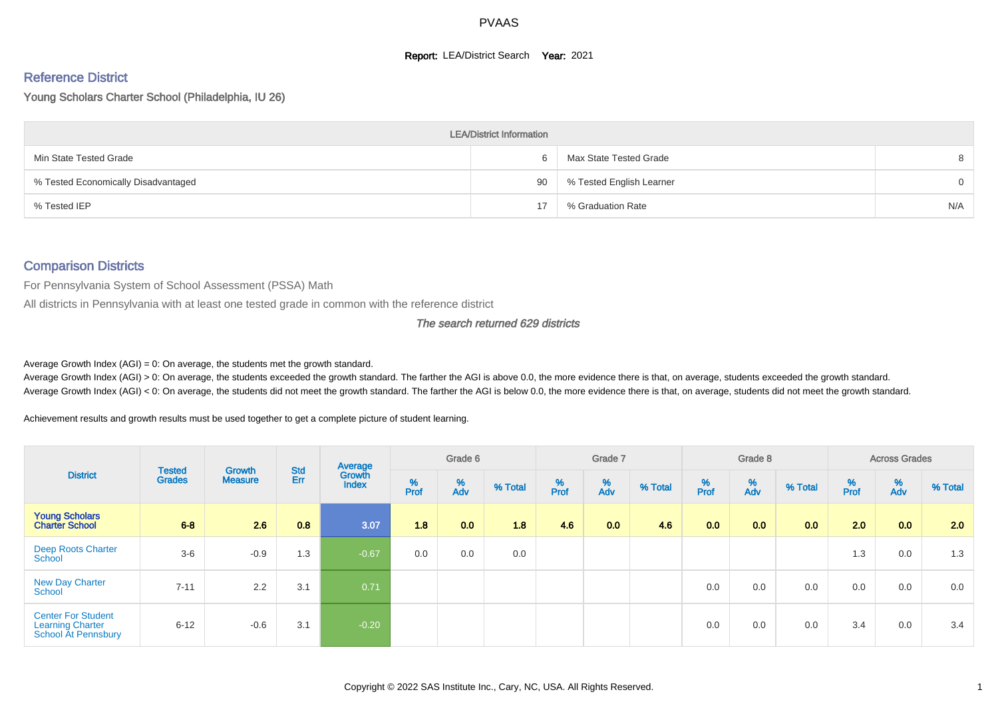#### **Report: LEA/District Search Year: 2021**

# Reference District

Young Scholars Charter School (Philadelphia, IU 26)

|                                     | <b>LEA/District Information</b> |                          |          |
|-------------------------------------|---------------------------------|--------------------------|----------|
| Min State Tested Grade              | 6                               | Max State Tested Grade   | 8        |
| % Tested Economically Disadvantaged | 90                              | % Tested English Learner | $\Omega$ |
| % Tested IEP                        | 17                              | % Graduation Rate        | N/A      |

## Comparison Districts

For Pennsylvania System of School Assessment (PSSA) Math

All districts in Pennsylvania with at least one tested grade in common with the reference district

The search returned 629 districts

Average Growth Index  $(AGI) = 0$ : On average, the students met the growth standard.

Average Growth Index (AGI) > 0: On average, the students exceeded the growth standard. The farther the AGI is above 0.0, the more evidence there is that, on average, students exceeded the growth standard. Average Growth Index (AGI) < 0: On average, the students did not meet the growth standard. The farther the AGI is below 0.0, the more evidence there is that, on average, students did not meet the growth standard.

Achievement results and growth results must be used together to get a complete picture of student learning.

| <b>District</b>                                                             |                                |                          |                   | Average                |           | Grade 6  |         |          | Grade 7  |         |          | Grade 8  |                  |          | <b>Across Grades</b> |         |
|-----------------------------------------------------------------------------|--------------------------------|--------------------------|-------------------|------------------------|-----------|----------|---------|----------|----------|---------|----------|----------|------------------|----------|----------------------|---------|
|                                                                             | <b>Tested</b><br><b>Grades</b> | Growth<br><b>Measure</b> | <b>Std</b><br>Err | Growth<br><b>Index</b> | %<br>Prof | %<br>Adv | % Total | $%$ Prof | %<br>Adv | % Total | $%$ Prof | %<br>Adv | % Total          | $%$ Prof | %<br>Adv             | % Total |
| <b>Young Scholars</b><br><b>Charter School</b>                              | $6 - 8$                        | 2.6                      | 0.8               | 3.07                   | 1.8       | 0.0      | 1.8     | 4.6      | 0.0      | 4.6     | 0.0      | 0.0      | 0.0 <sub>1</sub> | 2.0      | 0.0                  | 2.0     |
| <b>Deep Roots Charter</b><br>School                                         | $3-6$                          | $-0.9$                   | 1.3               | $-0.67$                | 0.0       | 0.0      | 0.0     |          |          |         |          |          |                  | 1.3      | 0.0                  | 1.3     |
| <b>New Day Charter</b><br>School                                            | $7 - 11$                       | 2.2                      | 3.1               | 0.71                   |           |          |         |          |          |         | 0.0      | 0.0      | 0.0              | 0.0      | 0.0                  | 0.0     |
| <b>Center For Student</b><br><b>Learning Charter</b><br>School At Pennsbury | $6 - 12$                       | $-0.6$                   | 3.1               | $-0.20$                |           |          |         |          |          |         | 0.0      | 0.0      | 0.0              | 3.4      | 0.0                  | 3.4     |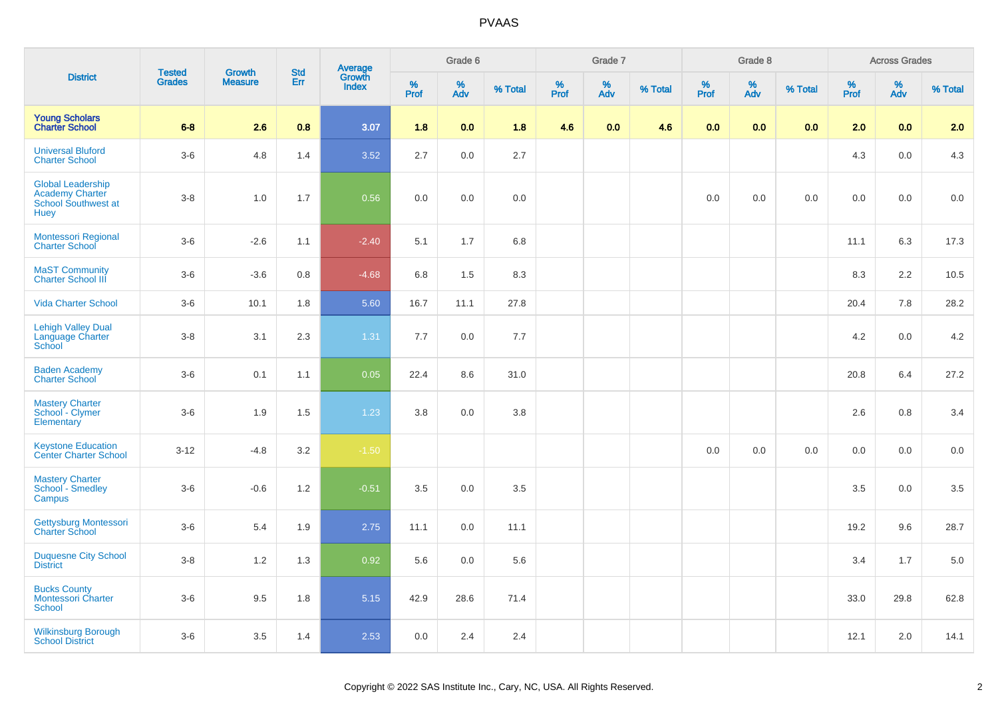|                                                                                          |                                |                                 |                   |                                   |              | Grade 6  |         |           | Grade 7  |         |           | Grade 8  |         |           | <b>Across Grades</b> |         |
|------------------------------------------------------------------------------------------|--------------------------------|---------------------------------|-------------------|-----------------------------------|--------------|----------|---------|-----------|----------|---------|-----------|----------|---------|-----------|----------------------|---------|
| <b>District</b>                                                                          | <b>Tested</b><br><b>Grades</b> | <b>Growth</b><br><b>Measure</b> | <b>Std</b><br>Err | Average<br>Growth<br><b>Index</b> | $\%$<br>Prof | %<br>Adv | % Total | %<br>Prof | %<br>Adv | % Total | %<br>Prof | %<br>Adv | % Total | %<br>Prof | %<br>Adv             | % Total |
| <b>Young Scholars</b><br><b>Charter School</b>                                           | $6 - 8$                        | 2.6                             | 0.8               | 3.07                              | 1.8          | 0.0      | 1.8     | 4.6       | 0.0      | 4.6     | 0.0       | 0.0      | 0.0     | 2.0       | 0.0                  | 2.0     |
| <b>Universal Bluford</b><br><b>Charter School</b>                                        | $3-6$                          | 4.8                             | 1.4               | 3.52                              | 2.7          | 0.0      | 2.7     |           |          |         |           |          |         | 4.3       | 0.0                  | 4.3     |
| <b>Global Leadership</b><br><b>Academy Charter</b><br>School Southwest at<br><b>Huey</b> | $3 - 8$                        | 1.0                             | 1.7               | 0.56                              | 0.0          | 0.0      | 0.0     |           |          |         | 0.0       | 0.0      | 0.0     | 0.0       | 0.0                  | 0.0     |
| Montessori Regional<br><b>Charter School</b>                                             | $3-6$                          | $-2.6$                          | 1.1               | $-2.40$                           | 5.1          | 1.7      | 6.8     |           |          |         |           |          |         | 11.1      | 6.3                  | 17.3    |
| <b>MaST Community</b><br>Charter School III                                              | $3-6$                          | $-3.6$                          | 0.8               | $-4.68$                           | 6.8          | 1.5      | 8.3     |           |          |         |           |          |         | 8.3       | 2.2                  | 10.5    |
| <b>Vida Charter School</b>                                                               | $3-6$                          | 10.1                            | 1.8               | 5.60                              | 16.7         | 11.1     | 27.8    |           |          |         |           |          |         | 20.4      | 7.8                  | 28.2    |
| <b>Lehigh Valley Dual</b><br>Language Charter<br>School                                  | $3 - 8$                        | 3.1                             | 2.3               | $1.31$                            | 7.7          | 0.0      | $7.7\,$ |           |          |         |           |          |         | 4.2       | 0.0                  | 4.2     |
| <b>Baden Academy</b><br><b>Charter School</b>                                            | $3-6$                          | 0.1                             | 1.1               | 0.05                              | 22.4         | 8.6      | 31.0    |           |          |         |           |          |         | 20.8      | 6.4                  | 27.2    |
| <b>Mastery Charter</b><br>School - Clymer<br>Elementary                                  | $3-6$                          | 1.9                             | 1.5               | 1.23                              | 3.8          | 0.0      | 3.8     |           |          |         |           |          |         | 2.6       | 0.8                  | 3.4     |
| <b>Keystone Education<br/>Center Charter School</b>                                      | $3-12$                         | $-4.8$                          | 3.2               | $-1.50$                           |              |          |         |           |          |         | 0.0       | 0.0      | $0.0\,$ | 0.0       | 0.0                  | $0.0\,$ |
| <b>Mastery Charter</b><br>School - Smedley<br>Campus                                     | $3-6$                          | $-0.6$                          | 1.2               | $-0.51$                           | 3.5          | 0.0      | 3.5     |           |          |         |           |          |         | 3.5       | 0.0                  | 3.5     |
| Gettysburg Montessori<br><b>Charter School</b>                                           | $3-6$                          | 5.4                             | 1.9               | 2.75                              | 11.1         | 0.0      | 11.1    |           |          |         |           |          |         | 19.2      | 9.6                  | 28.7    |
| <b>Duquesne City School</b><br><b>District</b>                                           | $3 - 8$                        | 1.2                             | 1.3               | 0.92                              | 5.6          | 0.0      | 5.6     |           |          |         |           |          |         | 3.4       | 1.7                  | 5.0     |
| <b>Bucks County</b><br><b>Montessori Charter</b><br><b>School</b>                        | $3-6$                          | 9.5                             | 1.8               | 5.15                              | 42.9         | 28.6     | 71.4    |           |          |         |           |          |         | 33.0      | 29.8                 | 62.8    |
| <b>Wilkinsburg Borough</b><br><b>School District</b>                                     | $3-6$                          | 3.5                             | 1.4               | 2.53                              | 0.0          | 2.4      | 2.4     |           |          |         |           |          |         | 12.1      | 2.0                  | 14.1    |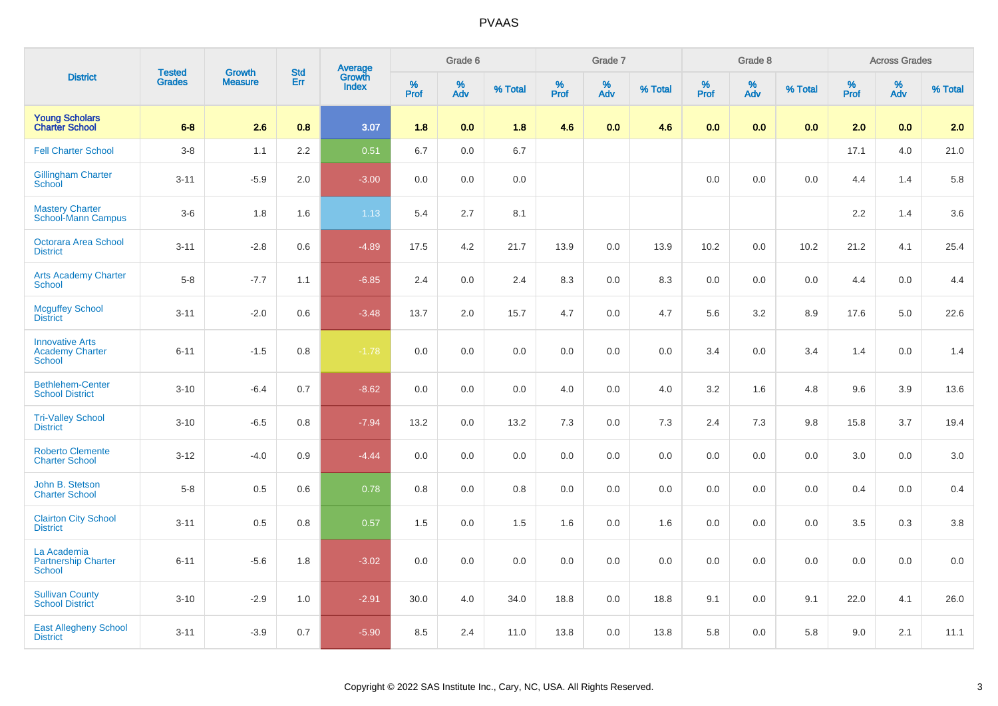| <b>District</b>                                                   |                                | <b>Growth</b>  | <b>Std</b> |                                          |           | Grade 6  |         |           | Grade 7  |         |                  | Grade 8  |         |                  | <b>Across Grades</b> |         |
|-------------------------------------------------------------------|--------------------------------|----------------|------------|------------------------------------------|-----------|----------|---------|-----------|----------|---------|------------------|----------|---------|------------------|----------------------|---------|
|                                                                   | <b>Tested</b><br><b>Grades</b> | <b>Measure</b> | Err        | <b>Average</b><br>Growth<br><b>Index</b> | %<br>Prof | %<br>Adv | % Total | %<br>Prof | %<br>Adv | % Total | %<br><b>Prof</b> | %<br>Adv | % Total | %<br><b>Prof</b> | %<br>Adv             | % Total |
| <b>Young Scholars</b><br><b>Charter School</b>                    | $6 - 8$                        | 2.6            | 0.8        | 3.07                                     | 1.8       | 0.0      | 1.8     | 4.6       | 0.0      | 4.6     | 0.0              | 0.0      | 0.0     | 2.0              | 0.0                  | 2.0     |
| <b>Fell Charter School</b>                                        | $3-8$                          | 1.1            | 2.2        | 0.51                                     | 6.7       | 0.0      | 6.7     |           |          |         |                  |          |         | 17.1             | 4.0                  | 21.0    |
| <b>Gillingham Charter</b><br><b>School</b>                        | $3 - 11$                       | $-5.9$         | 2.0        | $-3.00$                                  | 0.0       | 0.0      | 0.0     |           |          |         | 0.0              | 0.0      | 0.0     | 4.4              | 1.4                  | 5.8     |
| <b>Mastery Charter</b><br><b>School-Mann Campus</b>               | $3-6$                          | 1.8            | 1.6        | 1.13                                     | 5.4       | 2.7      | 8.1     |           |          |         |                  |          |         | 2.2              | 1.4                  | 3.6     |
| <b>Octorara Area School</b><br><b>District</b>                    | $3 - 11$                       | $-2.8$         | 0.6        | $-4.89$                                  | 17.5      | 4.2      | 21.7    | 13.9      | 0.0      | 13.9    | 10.2             | 0.0      | 10.2    | 21.2             | 4.1                  | 25.4    |
| <b>Arts Academy Charter</b><br><b>School</b>                      | $5 - 8$                        | $-7.7$         | 1.1        | $-6.85$                                  | 2.4       | 0.0      | 2.4     | 8.3       | $0.0\,$  | 8.3     | $0.0\,$          | 0.0      | 0.0     | 4.4              | 0.0                  | 4.4     |
| <b>Mcguffey School</b><br><b>District</b>                         | $3 - 11$                       | $-2.0$         | 0.6        | $-3.48$                                  | 13.7      | 2.0      | 15.7    | 4.7       | $0.0\,$  | 4.7     | 5.6              | 3.2      | 8.9     | 17.6             | 5.0                  | 22.6    |
| <b>Innovative Arts</b><br><b>Academy Charter</b><br><b>School</b> | $6 - 11$                       | $-1.5$         | 0.8        | $-1.78$                                  | 0.0       | 0.0      | 0.0     | 0.0       | 0.0      | 0.0     | 3.4              | 0.0      | 3.4     | 1.4              | 0.0                  | 1.4     |
| <b>Bethlehem-Center</b><br><b>School District</b>                 | $3 - 10$                       | $-6.4$         | 0.7        | $-8.62$                                  | 0.0       | 0.0      | 0.0     | 4.0       | 0.0      | 4.0     | 3.2              | 1.6      | 4.8     | 9.6              | 3.9                  | 13.6    |
| <b>Tri-Valley School</b><br><b>District</b>                       | $3 - 10$                       | $-6.5$         | 0.8        | $-7.94$                                  | 13.2      | 0.0      | 13.2    | 7.3       | 0.0      | 7.3     | 2.4              | 7.3      | 9.8     | 15.8             | 3.7                  | 19.4    |
| <b>Roberto Clemente</b><br><b>Charter School</b>                  | $3 - 12$                       | $-4.0$         | 0.9        | $-4.44$                                  | 0.0       | 0.0      | 0.0     | 0.0       | $0.0\,$  | 0.0     | $0.0\,$          | 0.0      | 0.0     | 3.0              | 0.0                  | 3.0     |
| John B. Stetson<br><b>Charter School</b>                          | $5-8$                          | 0.5            | 0.6        | 0.78                                     | 0.8       | 0.0      | 0.8     | 0.0       | 0.0      | 0.0     | 0.0              | 0.0      | 0.0     | 0.4              | 0.0                  | 0.4     |
| <b>Clairton City School</b><br><b>District</b>                    | $3 - 11$                       | 0.5            | 0.8        | 0.57                                     | 1.5       | 0.0      | 1.5     | 1.6       | 0.0      | 1.6     | 0.0              | 0.0      | 0.0     | 3.5              | 0.3                  | 3.8     |
| La Academia<br><b>Partnership Charter</b><br>School               | $6 - 11$                       | $-5.6$         | 1.8        | $-3.02$                                  | 0.0       | 0.0      | 0.0     | 0.0       | 0.0      | 0.0     | 0.0              | 0.0      | 0.0     | 0.0              | 0.0                  | 0.0     |
| <b>Sullivan County</b><br><b>School District</b>                  | $3 - 10$                       | $-2.9$         | 1.0        | $-2.91$                                  | 30.0      | 4.0      | 34.0    | 18.8      | 0.0      | 18.8    | 9.1              | 0.0      | 9.1     | 22.0             | 4.1                  | 26.0    |
| <b>East Allegheny School</b><br><b>District</b>                   | $3 - 11$                       | $-3.9$         | 0.7        | $-5.90$                                  | 8.5       | 2.4      | 11.0    | 13.8      | 0.0      | 13.8    | 5.8              | 0.0      | 5.8     | 9.0              | 2.1                  | 11.1    |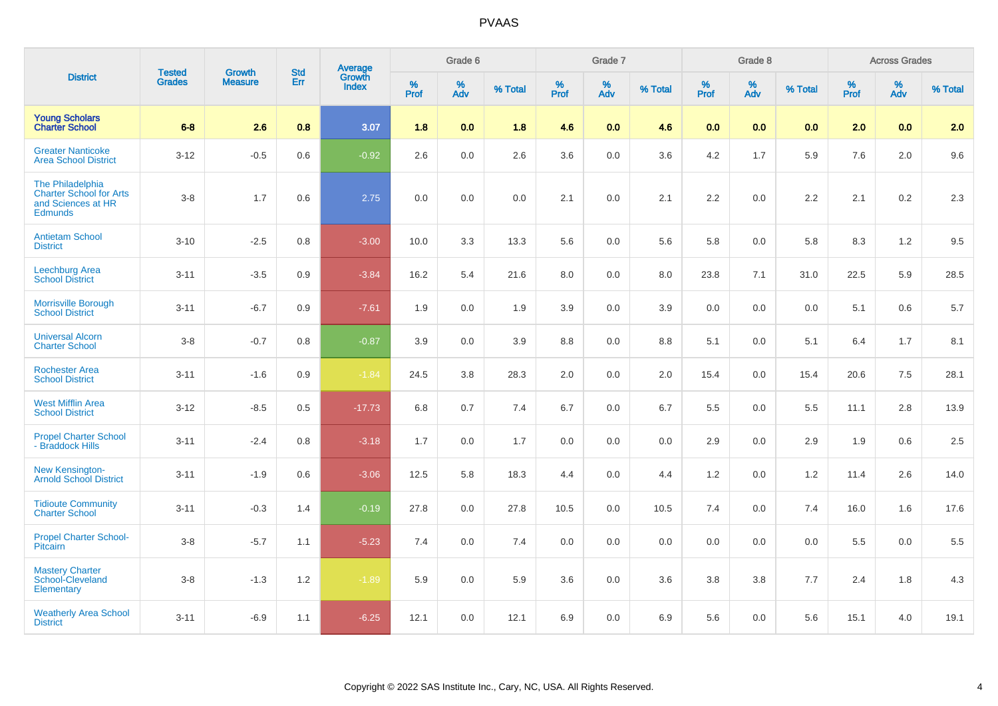|                                                                                            | <b>Tested</b> | <b>Growth</b>  | <b>Std</b> | <b>Average</b>         |              | Grade 6  |         |           | Grade 7  |         |           | Grade 8  |         |           | <b>Across Grades</b> |         |
|--------------------------------------------------------------------------------------------|---------------|----------------|------------|------------------------|--------------|----------|---------|-----------|----------|---------|-----------|----------|---------|-----------|----------------------|---------|
| <b>District</b>                                                                            | <b>Grades</b> | <b>Measure</b> | Err        | Growth<br><b>Index</b> | $\%$<br>Prof | %<br>Adv | % Total | %<br>Prof | %<br>Adv | % Total | %<br>Prof | %<br>Adv | % Total | %<br>Prof | %<br>Adv             | % Total |
| <b>Young Scholars</b><br><b>Charter School</b>                                             | $6-8$         | 2.6            | 0.8        | 3.07                   | 1.8          | 0.0      | 1.8     | 4.6       | 0.0      | 4.6     | 0.0       | 0.0      | 0.0     | 2.0       | 0.0                  | 2.0     |
| <b>Greater Nanticoke</b><br><b>Area School District</b>                                    | $3 - 12$      | $-0.5$         | 0.6        | $-0.92$                | 2.6          | 0.0      | 2.6     | 3.6       | 0.0      | 3.6     | 4.2       | 1.7      | 5.9     | 7.6       | 2.0                  | 9.6     |
| The Philadelphia<br><b>Charter School for Arts</b><br>and Sciences at HR<br><b>Edmunds</b> | $3 - 8$       | 1.7            | 0.6        | 2.75                   | 0.0          | 0.0      | 0.0     | 2.1       | 0.0      | 2.1     | 2.2       | 0.0      | 2.2     | 2.1       | 0.2                  | 2.3     |
| <b>Antietam School</b><br><b>District</b>                                                  | $3 - 10$      | $-2.5$         | 0.8        | $-3.00$                | 10.0         | 3.3      | 13.3    | 5.6       | 0.0      | 5.6     | 5.8       | 0.0      | 5.8     | 8.3       | 1.2                  | 9.5     |
| Leechburg Area<br><b>School District</b>                                                   | $3 - 11$      | $-3.5$         | 0.9        | $-3.84$                | 16.2         | 5.4      | 21.6    | 8.0       | 0.0      | 8.0     | 23.8      | 7.1      | 31.0    | 22.5      | 5.9                  | 28.5    |
| <b>Morrisville Borough</b><br><b>School District</b>                                       | $3 - 11$      | $-6.7$         | 0.9        | $-7.61$                | 1.9          | 0.0      | 1.9     | 3.9       | 0.0      | 3.9     | 0.0       | 0.0      | 0.0     | 5.1       | 0.6                  | 5.7     |
| <b>Universal Alcorn</b><br><b>Charter School</b>                                           | $3-8$         | $-0.7$         | 0.8        | $-0.87$                | 3.9          | 0.0      | 3.9     | 8.8       | 0.0      | 8.8     | 5.1       | 0.0      | 5.1     | 6.4       | 1.7                  | 8.1     |
| <b>Rochester Area</b><br><b>School District</b>                                            | $3 - 11$      | $-1.6$         | 0.9        | $-1.84$                | 24.5         | 3.8      | 28.3    | 2.0       | 0.0      | 2.0     | 15.4      | 0.0      | 15.4    | 20.6      | 7.5                  | 28.1    |
| <b>West Mifflin Area</b><br><b>School District</b>                                         | $3 - 12$      | $-8.5$         | 0.5        | $-17.73$               | 6.8          | 0.7      | 7.4     | 6.7       | 0.0      | 6.7     | 5.5       | 0.0      | 5.5     | 11.1      | 2.8                  | 13.9    |
| <b>Propel Charter School</b><br>- Braddock Hills                                           | $3 - 11$      | $-2.4$         | 0.8        | $-3.18$                | 1.7          | 0.0      | 1.7     | 0.0       | 0.0      | 0.0     | 2.9       | 0.0      | 2.9     | 1.9       | 0.6                  | 2.5     |
| <b>New Kensington-</b><br><b>Arnold School District</b>                                    | $3 - 11$      | $-1.9$         | 0.6        | $-3.06$                | 12.5         | 5.8      | 18.3    | 4.4       | 0.0      | 4.4     | 1.2       | 0.0      | 1.2     | 11.4      | 2.6                  | 14.0    |
| <b>Tidioute Community</b><br><b>Charter School</b>                                         | $3 - 11$      | $-0.3$         | 1.4        | $-0.19$                | 27.8         | 0.0      | 27.8    | 10.5      | 0.0      | 10.5    | 7.4       | 0.0      | 7.4     | 16.0      | 1.6                  | 17.6    |
| <b>Propel Charter School-</b><br>Pitcairn                                                  | $3-8$         | $-5.7$         | 1.1        | $-5.23$                | 7.4          | 0.0      | 7.4     | 0.0       | 0.0      | 0.0     | 0.0       | 0.0      | 0.0     | 5.5       | 0.0                  | 5.5     |
| <b>Mastery Charter</b><br>School-Cleveland<br>Elementary                                   | $3-8$         | $-1.3$         | 1.2        | $-1.89$                | 5.9          | $0.0\,$  | 5.9     | 3.6       | 0.0      | 3.6     | $3.8\,$   | 3.8      | $7.7$   | 2.4       | 1.8                  | 4.3     |
| <b>Weatherly Area School</b><br><b>District</b>                                            | $3 - 11$      | $-6.9$         | 1.1        | $-6.25$                | 12.1         | 0.0      | 12.1    | 6.9       | 0.0      | 6.9     | 5.6       | 0.0      | 5.6     | 15.1      | 4.0                  | 19.1    |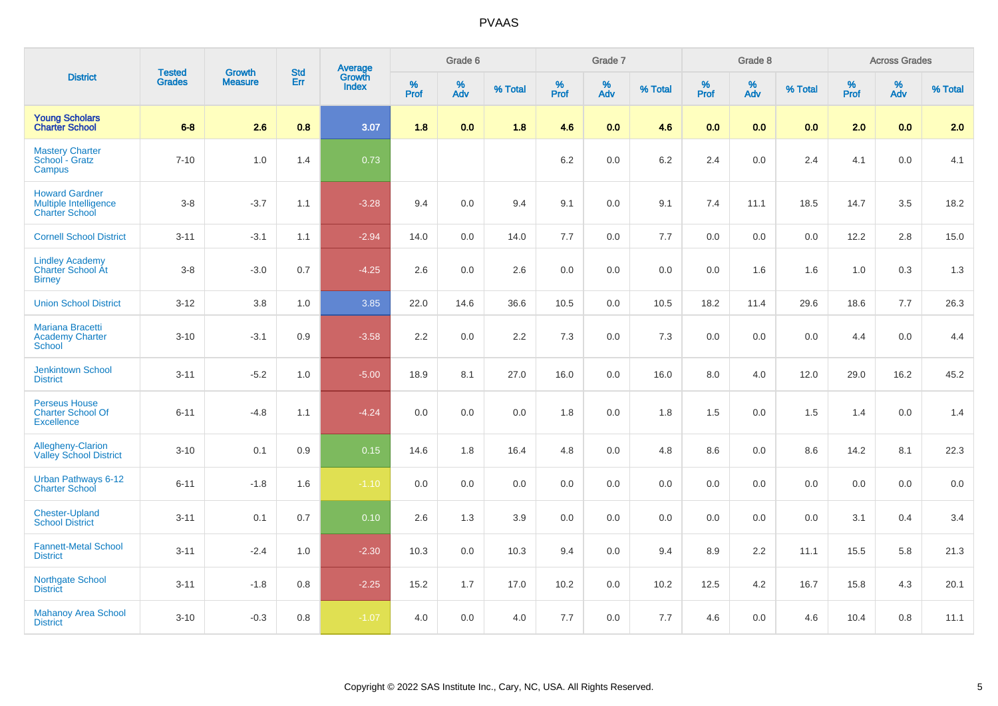| <b>District</b>                                                         | <b>Tested</b> | <b>Growth</b>  | <b>Std</b> |                                          |              | Grade 6  |         |                  | Grade 7     |         |           | Grade 8  |         |           | <b>Across Grades</b> |         |
|-------------------------------------------------------------------------|---------------|----------------|------------|------------------------------------------|--------------|----------|---------|------------------|-------------|---------|-----------|----------|---------|-----------|----------------------|---------|
|                                                                         | <b>Grades</b> | <b>Measure</b> | Err        | <b>Average</b><br>Growth<br><b>Index</b> | $\%$<br>Prof | %<br>Adv | % Total | %<br><b>Prof</b> | $\%$<br>Adv | % Total | %<br>Prof | %<br>Adv | % Total | %<br>Prof | %<br>Adv             | % Total |
| <b>Young Scholars<br/>Charter School</b>                                | $6-8$         | 2.6            | 0.8        | 3.07                                     | 1.8          | 0.0      | 1.8     | 4.6              | 0.0         | 4.6     | 0.0       | 0.0      | 0.0     | 2.0       | 0.0                  | 2.0     |
| <b>Mastery Charter</b><br>School - Gratz<br>Campus                      | $7 - 10$      | 1.0            | 1.4        | 0.73                                     |              |          |         | 6.2              | $0.0\,$     | $6.2\,$ | 2.4       | 0.0      | 2.4     | 4.1       | 0.0                  | 4.1     |
| <b>Howard Gardner</b><br>Multiple Intelligence<br><b>Charter School</b> | $3 - 8$       | $-3.7$         | 1.1        | $-3.28$                                  | 9.4          | 0.0      | 9.4     | 9.1              | 0.0         | 9.1     | 7.4       | 11.1     | 18.5    | 14.7      | 3.5                  | 18.2    |
| <b>Cornell School District</b>                                          | $3 - 11$      | $-3.1$         | 1.1        | $-2.94$                                  | 14.0         | 0.0      | 14.0    | 7.7              | 0.0         | 7.7     | 0.0       | 0.0      | 0.0     | 12.2      | 2.8                  | 15.0    |
| <b>Lindley Academy</b><br><b>Charter School At</b><br><b>Birney</b>     | $3 - 8$       | $-3.0$         | 0.7        | $-4.25$                                  | 2.6          | 0.0      | 2.6     | 0.0              | $0.0\,$     | 0.0     | 0.0       | 1.6      | 1.6     | 1.0       | 0.3                  | $1.3$   |
| <b>Union School District</b>                                            | $3 - 12$      | 3.8            | 1.0        | 3.85                                     | 22.0         | 14.6     | 36.6    | 10.5             | 0.0         | 10.5    | 18.2      | 11.4     | 29.6    | 18.6      | 7.7                  | 26.3    |
| <b>Mariana Bracetti</b><br><b>Academy Charter</b><br><b>School</b>      | $3 - 10$      | $-3.1$         | 0.9        | $-3.58$                                  | 2.2          | 0.0      | 2.2     | $7.3$            | $0.0\,$     | 7.3     | $0.0\,$   | 0.0      | 0.0     | 4.4       | 0.0                  | 4.4     |
| Jenkintown School<br><b>District</b>                                    | $3 - 11$      | $-5.2$         | 1.0        | $-5.00$                                  | 18.9         | 8.1      | 27.0    | 16.0             | $0.0\,$     | 16.0    | 8.0       | 4.0      | 12.0    | 29.0      | 16.2                 | 45.2    |
| <b>Perseus House</b><br><b>Charter School Of</b><br><b>Excellence</b>   | $6 - 11$      | $-4.8$         | 1.1        | $-4.24$                                  | 0.0          | 0.0      | 0.0     | 1.8              | $0.0\,$     | 1.8     | 1.5       | 0.0      | 1.5     | 1.4       | 0.0                  | 1.4     |
| <b>Allegheny-Clarion</b><br><b>Valley School District</b>               | $3 - 10$      | 0.1            | 0.9        | 0.15                                     | 14.6         | 1.8      | 16.4    | 4.8              | 0.0         | 4.8     | 8.6       | 0.0      | 8.6     | 14.2      | 8.1                  | 22.3    |
| <b>Urban Pathways 6-12</b><br><b>Charter School</b>                     | $6 - 11$      | $-1.8$         | 1.6        | $-1.10$                                  | 0.0          | 0.0      | 0.0     | 0.0              | 0.0         | 0.0     | 0.0       | 0.0      | 0.0     | 0.0       | 0.0                  | 0.0     |
| <b>Chester-Upland</b><br><b>School District</b>                         | $3 - 11$      | 0.1            | 0.7        | 0.10                                     | 2.6          | 1.3      | 3.9     | 0.0              | 0.0         | 0.0     | 0.0       | 0.0      | 0.0     | 3.1       | 0.4                  | 3.4     |
| <b>Fannett-Metal School</b><br><b>District</b>                          | $3 - 11$      | $-2.4$         | 1.0        | $-2.30$                                  | 10.3         | 0.0      | 10.3    | 9.4              | 0.0         | 9.4     | 8.9       | 2.2      | 11.1    | 15.5      | 5.8                  | 21.3    |
| Northgate School<br><b>District</b>                                     | $3 - 11$      | $-1.8$         | 0.8        | $-2.25$                                  | 15.2         | 1.7      | 17.0    | 10.2             | $0.0\,$     | 10.2    | 12.5      | 4.2      | 16.7    | 15.8      | 4.3                  | 20.1    |
| <b>Mahanoy Area School</b><br><b>District</b>                           | $3 - 10$      | $-0.3$         | 0.8        | $-1.07$                                  | 4.0          | 0.0      | 4.0     | 7.7              | 0.0         | 7.7     | 4.6       | 0.0      | 4.6     | 10.4      | 0.8                  | 11.1    |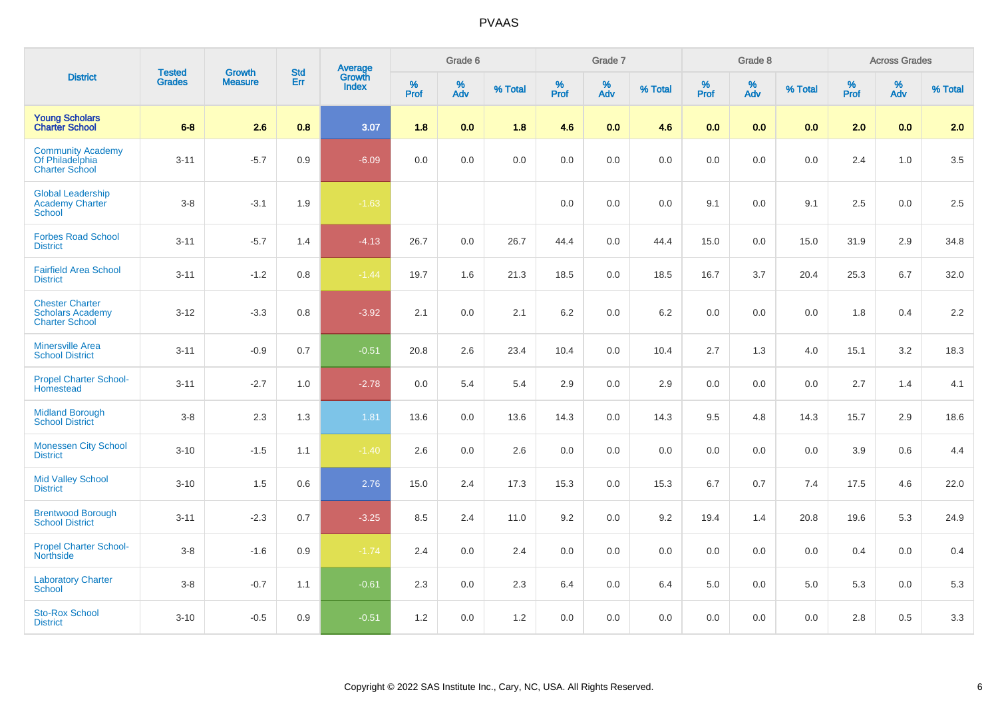| <b>District</b>                                                            | <b>Tested</b> | <b>Growth</b>  | <b>Std</b> |                                          |              | Grade 6     |         |                  | Grade 7     |         |           | Grade 8  |         |           | <b>Across Grades</b> |         |
|----------------------------------------------------------------------------|---------------|----------------|------------|------------------------------------------|--------------|-------------|---------|------------------|-------------|---------|-----------|----------|---------|-----------|----------------------|---------|
|                                                                            | <b>Grades</b> | <b>Measure</b> | Err        | <b>Average</b><br>Growth<br><b>Index</b> | $\%$<br>Prof | $\%$<br>Adv | % Total | %<br><b>Prof</b> | $\%$<br>Adv | % Total | %<br>Prof | %<br>Adv | % Total | %<br>Prof | %<br>Adv             | % Total |
| <b>Young Scholars<br/>Charter School</b>                                   | $6-8$         | 2.6            | 0.8        | 3.07                                     | 1.8          | 0.0         | 1.8     | 4.6              | 0.0         | 4.6     | 0.0       | 0.0      | 0.0     | 2.0       | 0.0                  | 2.0     |
| <b>Community Academy</b><br>Of Philadelphia<br><b>Charter School</b>       | $3 - 11$      | $-5.7$         | 0.9        | $-6.09$                                  | 0.0          | 0.0         | 0.0     | 0.0              | $0.0\,$     | $0.0\,$ | 0.0       | 0.0      | 0.0     | 2.4       | 1.0                  | $3.5\,$ |
| <b>Global Leadership</b><br><b>Academy Charter</b><br><b>School</b>        | $3 - 8$       | $-3.1$         | 1.9        | $-1.63$                                  |              |             |         | 0.0              | $0.0\,$     | 0.0     | 9.1       | 0.0      | 9.1     | 2.5       | 0.0                  | $2.5\,$ |
| <b>Forbes Road School</b><br><b>District</b>                               | $3 - 11$      | $-5.7$         | 1.4        | $-4.13$                                  | 26.7         | 0.0         | 26.7    | 44.4             | $0.0\,$     | 44.4    | 15.0      | 0.0      | 15.0    | 31.9      | 2.9                  | 34.8    |
| <b>Fairfield Area School</b><br><b>District</b>                            | $3 - 11$      | $-1.2$         | 0.8        | $-1.44$                                  | 19.7         | 1.6         | 21.3    | 18.5             | 0.0         | 18.5    | 16.7      | 3.7      | 20.4    | 25.3      | 6.7                  | 32.0    |
| <b>Chester Charter</b><br><b>Scholars Academy</b><br><b>Charter School</b> | $3 - 12$      | $-3.3$         | 0.8        | $-3.92$                                  | 2.1          | 0.0         | 2.1     | 6.2              | 0.0         | 6.2     | 0.0       | 0.0      | 0.0     | 1.8       | 0.4                  | 2.2     |
| <b>Minersville Area</b><br><b>School District</b>                          | $3 - 11$      | $-0.9$         | 0.7        | $-0.51$                                  | 20.8         | 2.6         | 23.4    | 10.4             | $0.0\,$     | 10.4    | 2.7       | 1.3      | 4.0     | 15.1      | 3.2                  | 18.3    |
| <b>Propel Charter School-</b><br>Homestead                                 | $3 - 11$      | $-2.7$         | 1.0        | $-2.78$                                  | 0.0          | 5.4         | 5.4     | 2.9              | $0.0\,$     | 2.9     | $0.0\,$   | 0.0      | 0.0     | 2.7       | 1.4                  | 4.1     |
| <b>Midland Borough</b><br><b>School District</b>                           | $3-8$         | 2.3            | 1.3        | 1.81                                     | 13.6         | 0.0         | 13.6    | 14.3             | 0.0         | 14.3    | 9.5       | 4.8      | 14.3    | 15.7      | 2.9                  | 18.6    |
| <b>Monessen City School</b><br><b>District</b>                             | $3 - 10$      | $-1.5$         | 1.1        | $-1.40$                                  | 2.6          | 0.0         | 2.6     | 0.0              | 0.0         | 0.0     | 0.0       | 0.0      | 0.0     | 3.9       | 0.6                  | 4.4     |
| <b>Mid Valley School</b><br><b>District</b>                                | $3 - 10$      | 1.5            | 0.6        | 2.76                                     | 15.0         | 2.4         | 17.3    | 15.3             | 0.0         | 15.3    | 6.7       | 0.7      | 7.4     | 17.5      | 4.6                  | 22.0    |
| <b>Brentwood Borough</b><br><b>School District</b>                         | $3 - 11$      | $-2.3$         | 0.7        | $-3.25$                                  | 8.5          | 2.4         | 11.0    | 9.2              | 0.0         | 9.2     | 19.4      | 1.4      | 20.8    | 19.6      | 5.3                  | 24.9    |
| <b>Propel Charter School-</b><br>Northside                                 | $3-8$         | $-1.6$         | 0.9        | $-1.74$                                  | 2.4          | 0.0         | 2.4     | 0.0              | 0.0         | 0.0     | 0.0       | 0.0      | 0.0     | 0.4       | 0.0                  | 0.4     |
| <b>Laboratory Charter</b><br><b>School</b>                                 | $3-8$         | $-0.7$         | 1.1        | $-0.61$                                  | 2.3          | 0.0         | 2.3     | 6.4              | 0.0         | 6.4     | 5.0       | 0.0      | 5.0     | 5.3       | 0.0                  | 5.3     |
| <b>Sto-Rox School</b><br><b>District</b>                                   | $3 - 10$      | $-0.5$         | 0.9        | $-0.51$                                  | 1.2          | 0.0         | 1.2     | 0.0              | 0.0         | 0.0     | 0.0       | 0.0      | 0.0     | 2.8       | 0.5                  | 3.3     |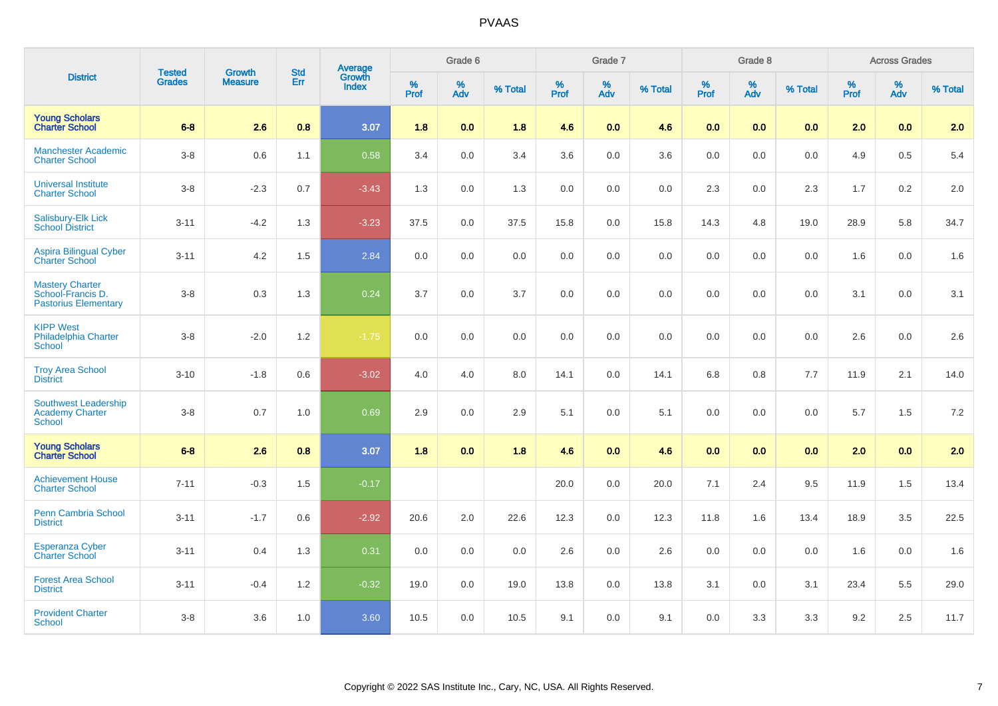|                                                                            | <b>Tested</b> | <b>Growth</b>  | <b>Std</b> |                                          |              | Grade 6     |         |           | Grade 7     |         |           | Grade 8  |         |                  | <b>Across Grades</b> |         |
|----------------------------------------------------------------------------|---------------|----------------|------------|------------------------------------------|--------------|-------------|---------|-----------|-------------|---------|-----------|----------|---------|------------------|----------------------|---------|
| <b>District</b>                                                            | <b>Grades</b> | <b>Measure</b> | Err        | <b>Average</b><br>Growth<br><b>Index</b> | $\%$<br>Prof | $\%$<br>Adv | % Total | %<br>Prof | $\%$<br>Adv | % Total | %<br>Prof | %<br>Adv | % Total | %<br><b>Prof</b> | %<br>Adv             | % Total |
| <b>Young Scholars</b><br><b>Charter School</b>                             | $6-8$         | 2.6            | 0.8        | 3.07                                     | 1.8          | 0.0         | 1.8     | 4.6       | 0.0         | 4.6     | 0.0       | 0.0      | 0.0     | 2.0              | 0.0                  | 2.0     |
| <b>Manchester Academic</b><br><b>Charter School</b>                        | $3-8$         | 0.6            | 1.1        | 0.58                                     | 3.4          | 0.0         | 3.4     | 3.6       | 0.0         | 3.6     | 0.0       | 0.0      | 0.0     | 4.9              | 0.5                  | 5.4     |
| <b>Universal Institute</b><br><b>Charter School</b>                        | $3-8$         | $-2.3$         | 0.7        | $-3.43$                                  | 1.3          | 0.0         | 1.3     | 0.0       | 0.0         | 0.0     | 2.3       | 0.0      | 2.3     | 1.7              | 0.2                  | 2.0     |
| Salisbury-Elk Lick<br><b>School District</b>                               | $3 - 11$      | $-4.2$         | 1.3        | $-3.23$                                  | 37.5         | 0.0         | 37.5    | 15.8      | 0.0         | 15.8    | 14.3      | 4.8      | 19.0    | 28.9             | 5.8                  | 34.7    |
| <b>Aspira Bilingual Cyber</b><br><b>Charter School</b>                     | $3 - 11$      | 4.2            | 1.5        | 2.84                                     | 0.0          | 0.0         | 0.0     | 0.0       | 0.0         | 0.0     | 0.0       | 0.0      | 0.0     | 1.6              | 0.0                  | 1.6     |
| <b>Mastery Charter</b><br>School-Francis D.<br><b>Pastorius Elementary</b> | $3-8$         | 0.3            | 1.3        | 0.24                                     | 3.7          | 0.0         | 3.7     | 0.0       | $0.0\,$     | $0.0\,$ | $0.0\,$   | 0.0      | 0.0     | 3.1              | 0.0                  | 3.1     |
| <b>KIPP West</b><br><b>Philadelphia Charter</b><br><b>School</b>           | $3 - 8$       | $-2.0$         | 1.2        | $-1.75$                                  | 0.0          | 0.0         | 0.0     | 0.0       | 0.0         | 0.0     | 0.0       | 0.0      | 0.0     | 2.6              | 0.0                  | 2.6     |
| <b>Troy Area School</b><br><b>District</b>                                 | $3 - 10$      | $-1.8$         | 0.6        | $-3.02$                                  | 4.0          | 4.0         | 8.0     | 14.1      | $0.0\,$     | 14.1    | 6.8       | 0.8      | 7.7     | 11.9             | 2.1                  | 14.0    |
| Southwest Leadership<br><b>Academy Charter</b><br><b>School</b>            | $3 - 8$       | 0.7            | 1.0        | 0.69                                     | 2.9          | 0.0         | 2.9     | 5.1       | $0.0\,$     | 5.1     | $0.0\,$   | 0.0      | 0.0     | 5.7              | 1.5                  | $7.2\,$ |
| <b>Young Scholars</b><br><b>Charter School</b>                             | $6 - 8$       | 2.6            | 0.8        | 3.07                                     | 1.8          | 0.0         | 1.8     | 4.6       | 0.0         | 4.6     | 0.0       | 0.0      | 0.0     | 2.0              | 0.0                  | 2.0     |
| <b>Achievement House</b><br><b>Charter School</b>                          | $7 - 11$      | $-0.3$         | 1.5        | $-0.17$                                  |              |             |         | 20.0      | $0.0\,$     | 20.0    | 7.1       | 2.4      | 9.5     | 11.9             | 1.5                  | 13.4    |
| <b>Penn Cambria School</b><br><b>District</b>                              | $3 - 11$      | $-1.7$         | 0.6        | $-2.92$                                  | 20.6         | 2.0         | 22.6    | 12.3      | $0.0\,$     | 12.3    | 11.8      | 1.6      | 13.4    | 18.9             | 3.5                  | 22.5    |
| <b>Esperanza Cyber</b><br><b>Charter School</b>                            | $3 - 11$      | 0.4            | 1.3        | 0.31                                     | 0.0          | 0.0         | $0.0\,$ | 2.6       | 0.0         | 2.6     | 0.0       | 0.0      | 0.0     | 1.6              | 0.0                  | 1.6     |
| <b>Forest Area School</b><br><b>District</b>                               | $3 - 11$      | $-0.4$         | 1.2        | $-0.32$                                  | 19.0         | 0.0         | 19.0    | 13.8      | 0.0         | 13.8    | 3.1       | 0.0      | 3.1     | 23.4             | 5.5                  | 29.0    |
| <b>Provident Charter</b><br>School                                         | $3 - 8$       | 3.6            | 1.0        | 3.60                                     | 10.5         | 0.0         | 10.5    | 9.1       | 0.0         | 9.1     | 0.0       | 3.3      | 3.3     | 9.2              | 2.5                  | 11.7    |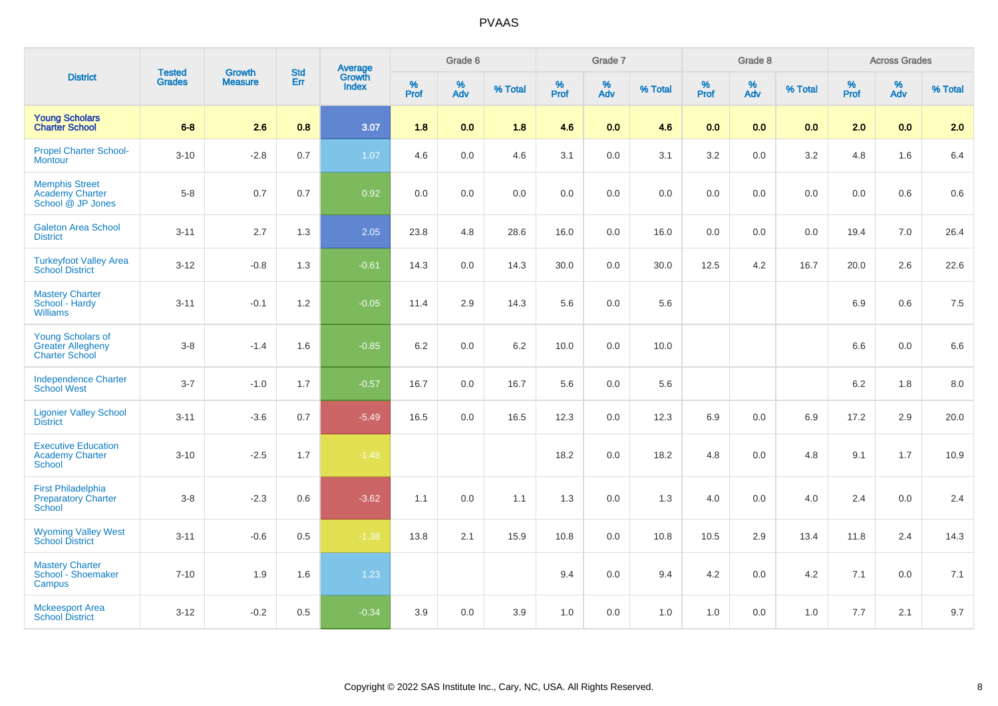| <b>District</b>                                                        |                                |                                 | <b>Std</b> |                                          |                     | Grade 6  |         |           | Grade 7  |         |              | Grade 8  |         |           | <b>Across Grades</b>          |         |
|------------------------------------------------------------------------|--------------------------------|---------------------------------|------------|------------------------------------------|---------------------|----------|---------|-----------|----------|---------|--------------|----------|---------|-----------|-------------------------------|---------|
|                                                                        | <b>Tested</b><br><b>Grades</b> | <b>Growth</b><br><b>Measure</b> | Err        | <b>Average</b><br>Growth<br><b>Index</b> | $\%$<br><b>Prof</b> | %<br>Adv | % Total | %<br>Prof | %<br>Adv | % Total | $\%$<br>Prof | %<br>Adv | % Total | %<br>Prof | $\stackrel{\%}{\mathsf{Adv}}$ | % Total |
| <b>Young Scholars</b><br><b>Charter School</b>                         | $6-8$                          | 2.6                             | 0.8        | 3.07                                     | 1.8                 | 0.0      | 1.8     | 4.6       | 0.0      | 4.6     | 0.0          | 0.0      | 0.0     | 2.0       | 0.0                           | 2.0     |
| <b>Propel Charter School-</b><br><b>Montour</b>                        | $3 - 10$                       | $-2.8$                          | 0.7        | 1.07                                     | 4.6                 | 0.0      | 4.6     | 3.1       | 0.0      | 3.1     | 3.2          | 0.0      | 3.2     | 4.8       | 1.6                           | 6.4     |
| <b>Memphis Street</b><br><b>Academy Charter</b><br>School @ JP Jones   | $5 - 8$                        | 0.7                             | 0.7        | 0.92                                     | 0.0                 | 0.0      | 0.0     | 0.0       | $0.0\,$  | $0.0\,$ | $0.0\,$      | 0.0      | 0.0     | 0.0       | $0.6\,$                       | $0.6\,$ |
| <b>Galeton Area School</b><br><b>District</b>                          | $3 - 11$                       | 2.7                             | 1.3        | 2.05                                     | 23.8                | 4.8      | 28.6    | 16.0      | $0.0\,$  | 16.0    | 0.0          | 0.0      | 0.0     | 19.4      | 7.0                           | 26.4    |
| <b>Turkeyfoot Valley Area</b><br>School District                       | $3 - 12$                       | $-0.8$                          | 1.3        | $-0.61$                                  | 14.3                | 0.0      | 14.3    | 30.0      | $0.0\,$  | 30.0    | 12.5         | 4.2      | 16.7    | 20.0      | 2.6                           | 22.6    |
| <b>Mastery Charter</b><br>School - Hardy<br><b>Williams</b>            | $3 - 11$                       | $-0.1$                          | 1.2        | $-0.05$                                  | 11.4                | 2.9      | 14.3    | 5.6       | $0.0\,$  | 5.6     |              |          |         | 6.9       | 0.6                           | 7.5     |
| <b>Young Scholars of</b><br><b>Greater Allegheny</b><br>Charter School | $3 - 8$                        | $-1.4$                          | 1.6        | $-0.85$                                  | 6.2                 | 0.0      | 6.2     | 10.0      | $0.0\,$  | 10.0    |              |          |         | 6.6       | $0.0\,$                       | 6.6     |
| <b>Independence Charter</b><br><b>School West</b>                      | $3 - 7$                        | $-1.0$                          | 1.7        | $-0.57$                                  | 16.7                | 0.0      | 16.7    | 5.6       | 0.0      | 5.6     |              |          |         | 6.2       | 1.8                           | 8.0     |
| <b>Ligonier Valley School</b><br><b>District</b>                       | $3 - 11$                       | $-3.6$                          | 0.7        | $-5.49$                                  | 16.5                | 0.0      | 16.5    | 12.3      | 0.0      | 12.3    | 6.9          | 0.0      | 6.9     | 17.2      | 2.9                           | 20.0    |
| <b>Executive Education</b><br><b>Academy Charter</b><br><b>School</b>  | $3 - 10$                       | $-2.5$                          | 1.7        | $-1.48$                                  |                     |          |         | 18.2      | 0.0      | 18.2    | 4.8          | 0.0      | 4.8     | 9.1       | 1.7                           | 10.9    |
| <b>First Philadelphia</b><br>Preparatory Charter<br>School             | $3-8$                          | $-2.3$                          | 0.6        | $-3.62$                                  | 1.1                 | 0.0      | 1.1     | 1.3       | 0.0      | 1.3     | 4.0          | 0.0      | 4.0     | 2.4       | 0.0                           | 2.4     |
| <b>Wyoming Valley West</b><br>School District                          | $3 - 11$                       | $-0.6$                          | 0.5        | $-1.38$                                  | 13.8                | 2.1      | 15.9    | 10.8      | 0.0      | 10.8    | 10.5         | 2.9      | 13.4    | 11.8      | 2.4                           | 14.3    |
| <b>Mastery Charter</b><br>School - Shoemaker<br>Campus                 | $7 - 10$                       | 1.9                             | 1.6        | 1.23                                     |                     |          |         | 9.4       | 0.0      | 9.4     | 4.2          | 0.0      | 4.2     | 7.1       | 0.0                           | 7.1     |
| <b>Mckeesport Area</b><br><b>School District</b>                       | $3 - 12$                       | $-0.2$                          | 0.5        | $-0.34$                                  | 3.9                 | 0.0      | 3.9     | 1.0       | 0.0      | 1.0     | 1.0          | 0.0      | 1.0     | 7.7       | 2.1                           | 9.7     |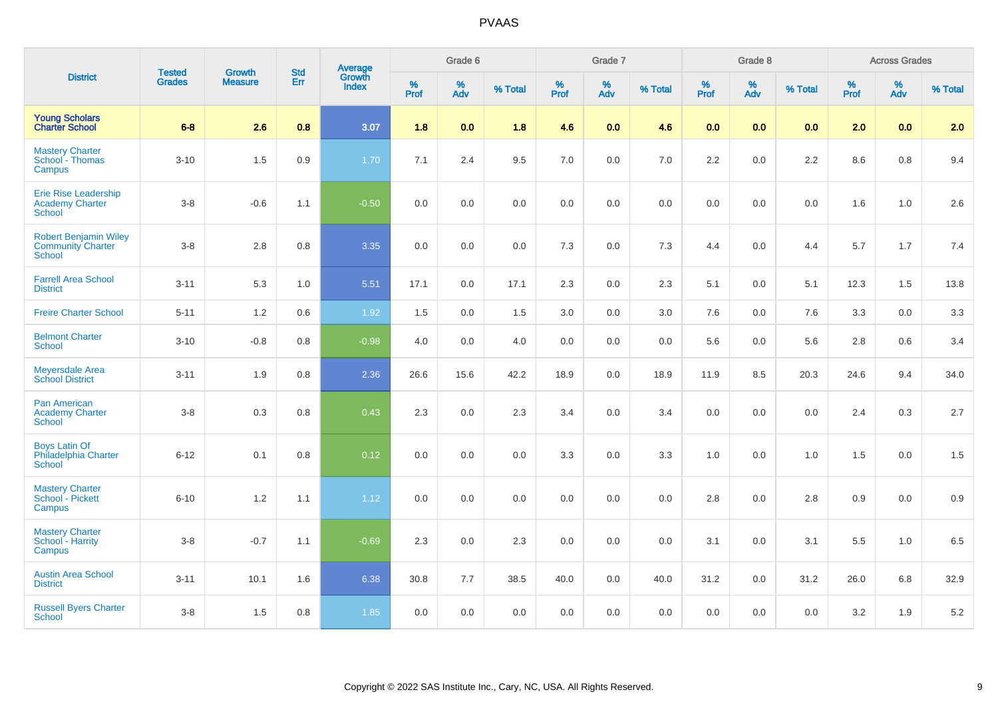|                                                                           | <b>Tested</b> | <b>Growth</b>  | <b>Std</b> |                                   |              | Grade 6  |         |              | Grade 7  |         |          | Grade 8  |         |           | <b>Across Grades</b> |         |
|---------------------------------------------------------------------------|---------------|----------------|------------|-----------------------------------|--------------|----------|---------|--------------|----------|---------|----------|----------|---------|-----------|----------------------|---------|
| <b>District</b>                                                           | <b>Grades</b> | <b>Measure</b> | Err        | Average<br>Growth<br><b>Index</b> | $\%$<br>Prof | %<br>Adv | % Total | $\%$<br>Prof | %<br>Adv | % Total | $%$ Prof | %<br>Adv | % Total | %<br>Prof | %<br>Adv             | % Total |
| <b>Young Scholars</b><br><b>Charter School</b>                            | $6-8$         | 2.6            | 0.8        | 3.07                              | 1.8          | 0.0      | 1.8     | 4.6          | 0.0      | 4.6     | 0.0      | 0.0      | 0.0     | 2.0       | 0.0                  | 2.0     |
| <b>Mastery Charter</b><br>School - Thomas<br>Campus                       | $3 - 10$      | 1.5            | 0.9        | 1.70                              | 7.1          | 2.4      | 9.5     | 7.0          | $0.0\,$  | 7.0     | 2.2      | 0.0      | $2.2\,$ | 8.6       | 0.8                  | 9.4     |
| Erie Rise Leadership<br><b>Academy Charter</b><br>School                  | $3 - 8$       | $-0.6$         | 1.1        | $-0.50$                           | 0.0          | 0.0      | 0.0     | 0.0          | $0.0\,$  | $0.0\,$ | 0.0      | 0.0      | 0.0     | 1.6       | 1.0                  | 2.6     |
| <b>Robert Benjamin Wiley</b><br><b>Community Charter</b><br><b>School</b> | $3 - 8$       | 2.8            | 0.8        | 3.35                              | 0.0          | 0.0      | 0.0     | 7.3          | $0.0\,$  | 7.3     | 4.4      | 0.0      | 4.4     | 5.7       | 1.7                  | 7.4     |
| <b>Farrell Area School</b><br><b>District</b>                             | $3 - 11$      | 5.3            | 1.0        | 5.51                              | 17.1         | 0.0      | 17.1    | 2.3          | 0.0      | 2.3     | 5.1      | 0.0      | 5.1     | 12.3      | 1.5                  | 13.8    |
| <b>Freire Charter School</b>                                              | $5 - 11$      | $1.2$          | 0.6        | 1.92                              | 1.5          | 0.0      | 1.5     | 3.0          | 0.0      | 3.0     | 7.6      | 0.0      | 7.6     | 3.3       | 0.0                  | 3.3     |
| <b>Belmont Charter</b><br>School                                          | $3 - 10$      | $-0.8$         | 0.8        | $-0.98$                           | 4.0          | 0.0      | 4.0     | 0.0          | $0.0\,$  | 0.0     | 5.6      | 0.0      | 5.6     | 2.8       | 0.6                  | 3.4     |
| Meyersdale Area<br><b>School District</b>                                 | $3 - 11$      | 1.9            | 0.8        | 2.36                              | 26.6         | 15.6     | 42.2    | 18.9         | 0.0      | 18.9    | 11.9     | 8.5      | 20.3    | 24.6      | 9.4                  | 34.0    |
| Pan American<br><b>Academy Charter</b><br>School                          | $3 - 8$       | 0.3            | 0.8        | 0.43                              | 2.3          | 0.0      | 2.3     | 3.4          | 0.0      | 3.4     | 0.0      | 0.0      | 0.0     | 2.4       | 0.3                  | 2.7     |
| <b>Boys Latin Of</b><br>Philadelphia Charter<br><b>School</b>             | $6 - 12$      | 0.1            | 0.8        | 0.12                              | 0.0          | 0.0      | 0.0     | 3.3          | 0.0      | 3.3     | $1.0$    | 0.0      | 1.0     | 1.5       | 0.0                  | 1.5     |
| <b>Mastery Charter</b><br>School - Pickett<br>Campus                      | $6 - 10$      | 1.2            | 1.1        | 1.12                              | 0.0          | 0.0      | 0.0     | 0.0          | $0.0\,$  | $0.0\,$ | 2.8      | 0.0      | $2.8\,$ | 0.9       | $0.0\,$              | 0.9     |
| <b>Mastery Charter</b><br>School - Harrity<br>Campus                      | $3 - 8$       | $-0.7$         | 1.1        | $-0.69$                           | 2.3          | 0.0      | 2.3     | 0.0          | $0.0\,$  | $0.0\,$ | 3.1      | 0.0      | 3.1     | 5.5       | $1.0$                | 6.5     |
| <b>Austin Area School</b><br><b>District</b>                              | $3 - 11$      | 10.1           | 1.6        | 6.38                              | 30.8         | 7.7      | 38.5    | 40.0         | 0.0      | 40.0    | 31.2     | 0.0      | 31.2    | 26.0      | 6.8                  | 32.9    |
| <b>Russell Byers Charter</b><br>School                                    | $3 - 8$       | 1.5            | 0.8        | 1.85                              | 0.0          | 0.0      | 0.0     | 0.0          | 0.0      | 0.0     | 0.0      | 0.0      | 0.0     | 3.2       | 1.9                  | $5.2\,$ |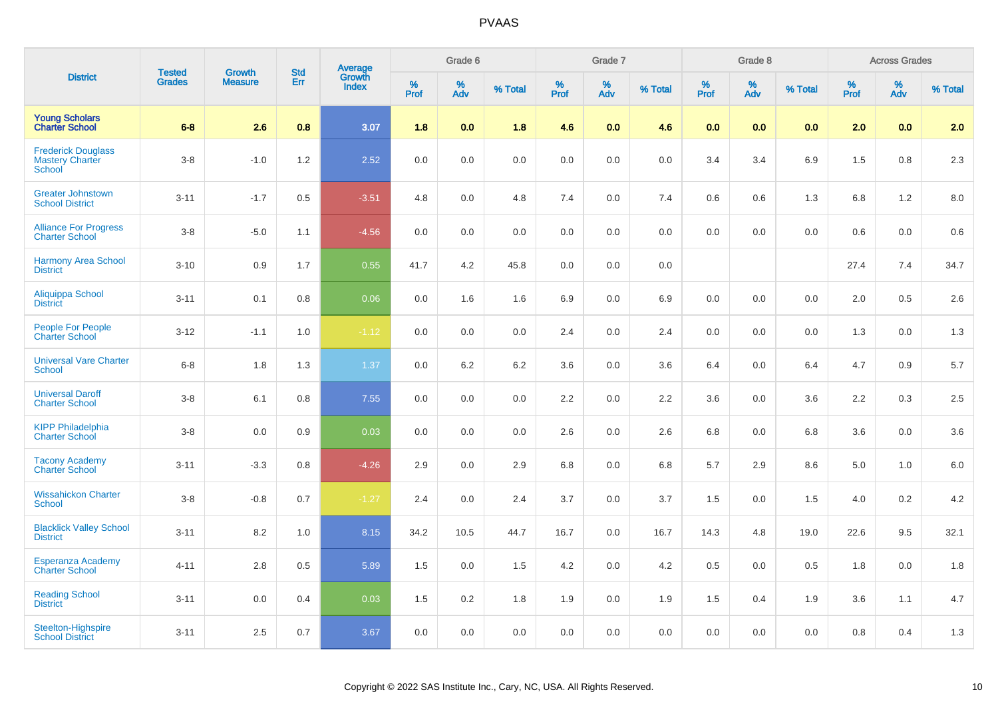| <b>District</b>                                               | <b>Tested</b> | <b>Growth</b>  | <b>Std</b> |                                   |                     | Grade 6  |         |                  | Grade 7  |         |              | Grade 8                 |         |           | <b>Across Grades</b> |         |
|---------------------------------------------------------------|---------------|----------------|------------|-----------------------------------|---------------------|----------|---------|------------------|----------|---------|--------------|-------------------------|---------|-----------|----------------------|---------|
|                                                               | <b>Grades</b> | <b>Measure</b> | Err        | Average<br>Growth<br><b>Index</b> | $\%$<br><b>Prof</b> | %<br>Adv | % Total | %<br><b>Prof</b> | %<br>Adv | % Total | $\%$<br>Prof | $\frac{\%}{\text{Adv}}$ | % Total | %<br>Prof | %<br>Adv             | % Total |
| <b>Young Scholars</b><br><b>Charter School</b>                | $6 - 8$       | 2.6            | 0.8        | 3.07                              | 1.8                 | 0.0      | 1.8     | 4.6              | 0.0      | 4.6     | 0.0          | 0.0                     | 0.0     | 2.0       | 0.0                  | 2.0     |
| <b>Frederick Douglass</b><br><b>Mastery Charter</b><br>School | $3 - 8$       | $-1.0$         | 1.2        | 2.52                              | 0.0                 | 0.0      | 0.0     | 0.0              | 0.0      | 0.0     | 3.4          | 3.4                     | 6.9     | 1.5       | 0.8                  | 2.3     |
| <b>Greater Johnstown</b><br><b>School District</b>            | $3 - 11$      | $-1.7$         | 0.5        | $-3.51$                           | 4.8                 | 0.0      | 4.8     | 7.4              | $0.0\,$  | 7.4     | $0.6\,$      | 0.6                     | 1.3     | 6.8       | 1.2                  | 8.0     |
| <b>Alliance For Progress</b><br><b>Charter School</b>         | $3 - 8$       | $-5.0$         | 1.1        | $-4.56$                           | 0.0                 | 0.0      | 0.0     | 0.0              | 0.0      | 0.0     | 0.0          | 0.0                     | 0.0     | 0.6       | 0.0                  | 0.6     |
| <b>Harmony Area School</b><br><b>District</b>                 | $3 - 10$      | 0.9            | 1.7        | 0.55                              | 41.7                | 4.2      | 45.8    | 0.0              | 0.0      | 0.0     |              |                         |         | 27.4      | 7.4                  | 34.7    |
| Aliquippa School<br><b>District</b>                           | $3 - 11$      | 0.1            | 0.8        | 0.06                              | 0.0                 | 1.6      | 1.6     | 6.9              | 0.0      | 6.9     | 0.0          | 0.0                     | 0.0     | 2.0       | 0.5                  | 2.6     |
| <b>People For People</b><br><b>Charter School</b>             | $3 - 12$      | $-1.1$         | 1.0        | $-1.12$                           | 0.0                 | 0.0      | 0.0     | 2.4              | 0.0      | 2.4     | 0.0          | 0.0                     | 0.0     | 1.3       | 0.0                  | 1.3     |
| <b>Universal Vare Charter</b><br>School                       | $6 - 8$       | 1.8            | 1.3        | 1.37                              | 0.0                 | 6.2      | 6.2     | 3.6              | 0.0      | 3.6     | 6.4          | 0.0                     | 6.4     | 4.7       | 0.9                  | 5.7     |
| <b>Universal Daroff</b><br><b>Charter School</b>              | $3 - 8$       | 6.1            | 0.8        | 7.55                              | 0.0                 | 0.0      | 0.0     | 2.2              | 0.0      | 2.2     | 3.6          | 0.0                     | 3.6     | 2.2       | 0.3                  | 2.5     |
| <b>KIPP Philadelphia</b><br><b>Charter School</b>             | $3 - 8$       | 0.0            | 0.9        | 0.03                              | 0.0                 | 0.0      | 0.0     | 2.6              | 0.0      | $2.6\,$ | 6.8          | 0.0                     | 6.8     | 3.6       | 0.0                  | $3.6\,$ |
| <b>Tacony Academy</b><br><b>Charter School</b>                | $3 - 11$      | $-3.3$         | 0.8        | $-4.26$                           | 2.9                 | 0.0      | 2.9     | 6.8              | 0.0      | 6.8     | 5.7          | 2.9                     | 8.6     | 5.0       | 1.0                  | 6.0     |
| <b>Wissahickon Charter</b><br><b>School</b>                   | $3 - 8$       | $-0.8$         | 0.7        | $-1.27$                           | 2.4                 | 0.0      | 2.4     | 3.7              | 0.0      | 3.7     | 1.5          | 0.0                     | 1.5     | 4.0       | 0.2                  | 4.2     |
| <b>Blacklick Valley School</b><br><b>District</b>             | $3 - 11$      | 8.2            | 1.0        | 8.15                              | 34.2                | 10.5     | 44.7    | 16.7             | 0.0      | 16.7    | 14.3         | 4.8                     | 19.0    | 22.6      | 9.5                  | 32.1    |
| <b>Esperanza Academy</b><br><b>Charter School</b>             | $4 - 11$      | 2.8            | 0.5        | 5.89                              | 1.5                 | 0.0      | 1.5     | 4.2              | $0.0\,$  | 4.2     | $0.5\,$      | 0.0                     | 0.5     | 1.8       | 0.0                  | 1.8     |
| <b>Reading School</b><br><b>District</b>                      | $3 - 11$      | 0.0            | 0.4        | 0.03                              | 1.5                 | 0.2      | 1.8     | 1.9              | 0.0      | 1.9     | 1.5          | 0.4                     | 1.9     | 3.6       | 1.1                  | 4.7     |
| Steelton-Highspire<br><b>School District</b>                  | $3 - 11$      | 2.5            | 0.7        | 3.67                              | 0.0                 | 0.0      | 0.0     | 0.0              | 0.0      | 0.0     | 0.0          | 0.0                     | 0.0     | 0.8       | 0.4                  | 1.3     |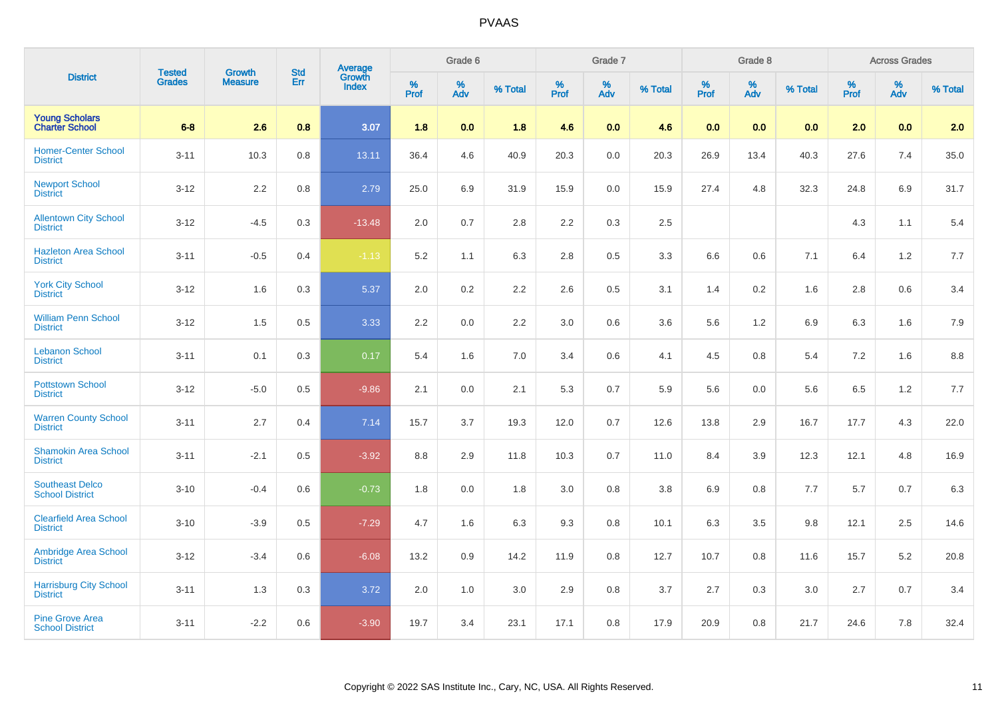| <b>District</b>                                  | <b>Tested</b> | <b>Growth</b>  | <b>Std</b> |                                          |                     | Grade 6  |         |                  | Grade 7  |         |                     | Grade 8                 |         |                     | <b>Across Grades</b> |         |
|--------------------------------------------------|---------------|----------------|------------|------------------------------------------|---------------------|----------|---------|------------------|----------|---------|---------------------|-------------------------|---------|---------------------|----------------------|---------|
|                                                  | <b>Grades</b> | <b>Measure</b> | Err        | <b>Average</b><br>Growth<br><b>Index</b> | $\%$<br><b>Prof</b> | %<br>Adv | % Total | %<br><b>Prof</b> | %<br>Adv | % Total | $\%$<br><b>Prof</b> | $\frac{\%}{\text{Adv}}$ | % Total | $\%$<br><b>Prof</b> | $\%$<br>Adv          | % Total |
| <b>Young Scholars</b><br><b>Charter School</b>   | $6-8$         | 2.6            | 0.8        | 3.07                                     | 1.8                 | 0.0      | 1.8     | 4.6              | 0.0      | 4.6     | 0.0                 | 0.0                     | 0.0     | 2.0                 | 0.0                  | 2.0     |
| <b>Homer-Center School</b><br><b>District</b>    | $3 - 11$      | 10.3           | 0.8        | 13.11                                    | 36.4                | 4.6      | 40.9    | 20.3             | 0.0      | 20.3    | 26.9                | 13.4                    | 40.3    | 27.6                | 7.4                  | 35.0    |
| <b>Newport School</b><br><b>District</b>         | $3 - 12$      | 2.2            | 0.8        | 2.79                                     | 25.0                | 6.9      | 31.9    | 15.9             | 0.0      | 15.9    | 27.4                | 4.8                     | 32.3    | 24.8                | 6.9                  | 31.7    |
| <b>Allentown City School</b><br><b>District</b>  | $3 - 12$      | $-4.5$         | 0.3        | $-13.48$                                 | 2.0                 | 0.7      | 2.8     | 2.2              | 0.3      | 2.5     |                     |                         |         | 4.3                 | 1.1                  | 5.4     |
| <b>Hazleton Area School</b><br><b>District</b>   | $3 - 11$      | $-0.5$         | 0.4        | $-1.13$                                  | 5.2                 | 1.1      | 6.3     | 2.8              | 0.5      | 3.3     | 6.6                 | 0.6                     | 7.1     | 6.4                 | 1.2                  | 7.7     |
| <b>York City School</b><br><b>District</b>       | $3 - 12$      | 1.6            | 0.3        | 5.37                                     | 2.0                 | 0.2      | 2.2     | 2.6              | 0.5      | 3.1     | 1.4                 | 0.2                     | 1.6     | 2.8                 | 0.6                  | 3.4     |
| <b>William Penn School</b><br><b>District</b>    | $3 - 12$      | 1.5            | 0.5        | 3.33                                     | 2.2                 | 0.0      | 2.2     | 3.0              | 0.6      | 3.6     | 5.6                 | 1.2                     | 6.9     | 6.3                 | 1.6                  | 7.9     |
| <b>Lebanon School</b><br><b>District</b>         | $3 - 11$      | 0.1            | 0.3        | 0.17                                     | 5.4                 | 1.6      | 7.0     | 3.4              | 0.6      | 4.1     | 4.5                 | 0.8                     | 5.4     | 7.2                 | 1.6                  | 8.8     |
| <b>Pottstown School</b><br><b>District</b>       | $3 - 12$      | $-5.0$         | 0.5        | $-9.86$                                  | 2.1                 | 0.0      | 2.1     | 5.3              | 0.7      | 5.9     | 5.6                 | 0.0                     | 5.6     | 6.5                 | 1.2                  | 7.7     |
| <b>Warren County School</b><br><b>District</b>   | $3 - 11$      | 2.7            | 0.4        | 7.14                                     | 15.7                | 3.7      | 19.3    | 12.0             | 0.7      | 12.6    | 13.8                | 2.9                     | 16.7    | 17.7                | 4.3                  | 22.0    |
| <b>Shamokin Area School</b><br><b>District</b>   | $3 - 11$      | $-2.1$         | 0.5        | $-3.92$                                  | $8.8\,$             | 2.9      | 11.8    | 10.3             | 0.7      | 11.0    | 8.4                 | 3.9                     | 12.3    | 12.1                | 4.8                  | 16.9    |
| <b>Southeast Delco</b><br><b>School District</b> | $3 - 10$      | $-0.4$         | 0.6        | $-0.73$                                  | 1.8                 | 0.0      | 1.8     | 3.0              | 0.8      | 3.8     | 6.9                 | 0.8                     | 7.7     | 5.7                 | 0.7                  | 6.3     |
| <b>Clearfield Area School</b><br><b>District</b> | $3 - 10$      | $-3.9$         | 0.5        | $-7.29$                                  | 4.7                 | 1.6      | 6.3     | 9.3              | 0.8      | 10.1    | 6.3                 | 3.5                     | 9.8     | 12.1                | 2.5                  | 14.6    |
| <b>Ambridge Area School</b><br><b>District</b>   | $3 - 12$      | $-3.4$         | 0.6        | $-6.08$                                  | 13.2                | 0.9      | 14.2    | 11.9             | 0.8      | 12.7    | 10.7                | 0.8                     | 11.6    | 15.7                | 5.2                  | 20.8    |
| <b>Harrisburg City School</b><br><b>District</b> | $3 - 11$      | 1.3            | 0.3        | 3.72                                     | 2.0                 | 1.0      | 3.0     | 2.9              | 0.8      | 3.7     | 2.7                 | 0.3                     | 3.0     | 2.7                 | 0.7                  | 3.4     |
| <b>Pine Grove Area</b><br><b>School District</b> | $3 - 11$      | $-2.2$         | 0.6        | $-3.90$                                  | 19.7                | 3.4      | 23.1    | 17.1             | 0.8      | 17.9    | 20.9                | 0.8                     | 21.7    | 24.6                | 7.8                  | 32.4    |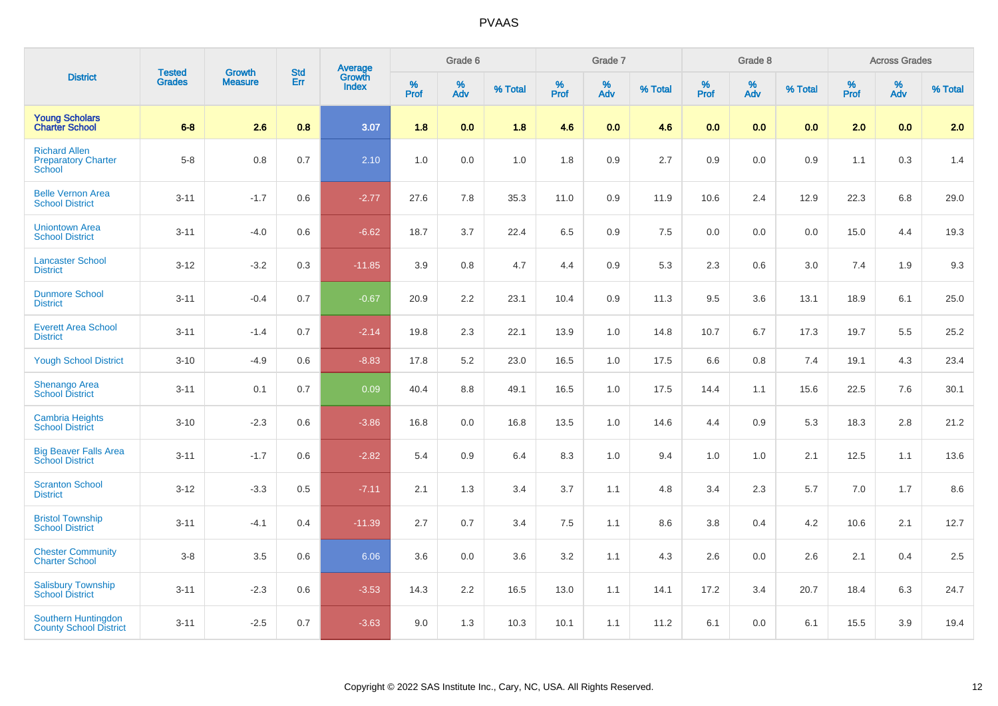|                                                              | <b>Tested</b> | <b>Growth</b>  | <b>Std</b> | <b>Average</b><br>Growth |                     | Grade 6  |         |              | Grade 7  |         |              | Grade 8                 |         |                     | <b>Across Grades</b> |         |
|--------------------------------------------------------------|---------------|----------------|------------|--------------------------|---------------------|----------|---------|--------------|----------|---------|--------------|-------------------------|---------|---------------------|----------------------|---------|
| <b>District</b>                                              | <b>Grades</b> | <b>Measure</b> | Err        | <b>Index</b>             | $\%$<br><b>Prof</b> | %<br>Adv | % Total | $\%$<br>Prof | %<br>Adv | % Total | $\%$<br>Prof | $\frac{\%}{\text{Adv}}$ | % Total | $\%$<br><b>Prof</b> | %<br>Adv             | % Total |
| <b>Young Scholars</b><br><b>Charter School</b>               | $6-8$         | 2.6            | 0.8        | 3.07                     | 1.8                 | 0.0      | 1.8     | 4.6          | 0.0      | 4.6     | 0.0          | 0.0                     | 0.0     | 2.0                 | 0.0                  | 2.0     |
| <b>Richard Allen</b><br><b>Preparatory Charter</b><br>School | $5-8$         | 0.8            | 0.7        | 2.10                     | 1.0                 | 0.0      | 1.0     | 1.8          | 0.9      | 2.7     | 0.9          | 0.0                     | 0.9     | 1.1                 | 0.3                  | 1.4     |
| <b>Belle Vernon Area</b><br><b>School District</b>           | $3 - 11$      | $-1.7$         | 0.6        | $-2.77$                  | 27.6                | 7.8      | 35.3    | 11.0         | 0.9      | 11.9    | 10.6         | 2.4                     | 12.9    | 22.3                | 6.8                  | 29.0    |
| <b>Uniontown Area</b><br><b>School District</b>              | $3 - 11$      | $-4.0$         | 0.6        | $-6.62$                  | 18.7                | 3.7      | 22.4    | 6.5          | 0.9      | 7.5     | 0.0          | 0.0                     | 0.0     | 15.0                | 4.4                  | 19.3    |
| <b>Lancaster School</b><br><b>District</b>                   | $3 - 12$      | $-3.2$         | 0.3        | $-11.85$                 | 3.9                 | 0.8      | 4.7     | 4.4          | 0.9      | 5.3     | 2.3          | 0.6                     | 3.0     | 7.4                 | 1.9                  | 9.3     |
| <b>Dunmore School</b><br><b>District</b>                     | $3 - 11$      | $-0.4$         | 0.7        | $-0.67$                  | 20.9                | 2.2      | 23.1    | 10.4         | 0.9      | 11.3    | 9.5          | 3.6                     | 13.1    | 18.9                | 6.1                  | 25.0    |
| <b>Everett Area School</b><br><b>District</b>                | $3 - 11$      | $-1.4$         | 0.7        | $-2.14$                  | 19.8                | 2.3      | 22.1    | 13.9         | 1.0      | 14.8    | 10.7         | 6.7                     | 17.3    | 19.7                | 5.5                  | 25.2    |
| <b>Yough School District</b>                                 | $3 - 10$      | $-4.9$         | 0.6        | $-8.83$                  | 17.8                | 5.2      | 23.0    | 16.5         | 1.0      | 17.5    | 6.6          | 0.8                     | 7.4     | 19.1                | 4.3                  | 23.4    |
| Shenango Area<br>School District                             | $3 - 11$      | 0.1            | 0.7        | 0.09                     | 40.4                | 8.8      | 49.1    | 16.5         | 1.0      | 17.5    | 14.4         | 1.1                     | 15.6    | 22.5                | 7.6                  | 30.1    |
| <b>Cambria Heights</b><br><b>School District</b>             | $3 - 10$      | $-2.3$         | 0.6        | $-3.86$                  | 16.8                | 0.0      | 16.8    | 13.5         | 1.0      | 14.6    | 4.4          | 0.9                     | 5.3     | 18.3                | 2.8                  | 21.2    |
| <b>Big Beaver Falls Area</b><br><b>School District</b>       | $3 - 11$      | $-1.7$         | 0.6        | $-2.82$                  | 5.4                 | 0.9      | 6.4     | 8.3          | 1.0      | 9.4     | 1.0          | 1.0                     | 2.1     | 12.5                | 1.1                  | 13.6    |
| <b>Scranton School</b><br><b>District</b>                    | $3 - 12$      | $-3.3$         | 0.5        | $-7.11$                  | 2.1                 | 1.3      | 3.4     | 3.7          | 1.1      | 4.8     | 3.4          | 2.3                     | 5.7     | 7.0                 | 1.7                  | 8.6     |
| <b>Bristol Township</b><br><b>School District</b>            | $3 - 11$      | $-4.1$         | 0.4        | $-11.39$                 | 2.7                 | 0.7      | 3.4     | 7.5          | 1.1      | 8.6     | 3.8          | 0.4                     | 4.2     | 10.6                | 2.1                  | 12.7    |
| <b>Chester Community</b><br><b>Charter School</b>            | $3-8$         | $3.5\,$        | 0.6        | 6.06                     | 3.6                 | 0.0      | 3.6     | 3.2          | 1.1      | 4.3     | 2.6          | 0.0                     | 2.6     | 2.1                 | 0.4                  | 2.5     |
| <b>Salisbury Township</b><br><b>School District</b>          | $3 - 11$      | $-2.3$         | 0.6        | $-3.53$                  | 14.3                | 2.2      | 16.5    | 13.0         | 1.1      | 14.1    | 17.2         | 3.4                     | 20.7    | 18.4                | 6.3                  | 24.7    |
| Southern Huntingdon<br><b>County School District</b>         | $3 - 11$      | $-2.5$         | 0.7        | $-3.63$                  | 9.0                 | 1.3      | 10.3    | 10.1         | 1.1      | 11.2    | 6.1          | 0.0                     | 6.1     | 15.5                | 3.9                  | 19.4    |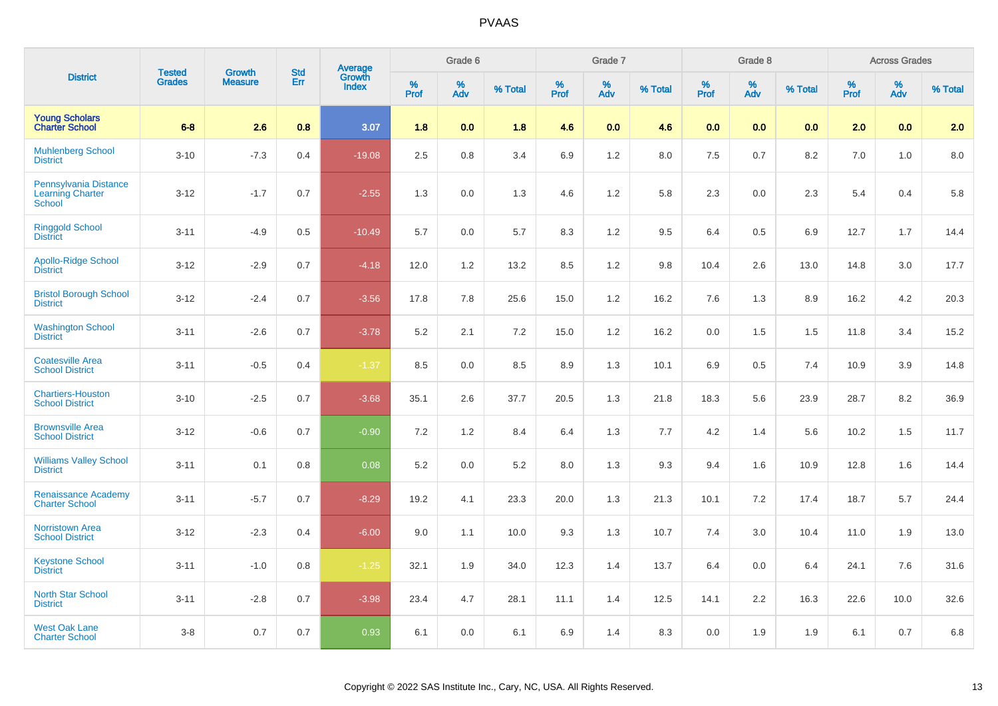|                                                                   | <b>Tested</b> | <b>Growth</b>  | <b>Std</b> |                                          |           | Grade 6  |         |              | Grade 7  |         |              | Grade 8  |         |                     | <b>Across Grades</b> |         |
|-------------------------------------------------------------------|---------------|----------------|------------|------------------------------------------|-----------|----------|---------|--------------|----------|---------|--------------|----------|---------|---------------------|----------------------|---------|
| <b>District</b>                                                   | <b>Grades</b> | <b>Measure</b> | Err        | <b>Average</b><br>Growth<br><b>Index</b> | %<br>Prof | %<br>Adv | % Total | $\%$<br>Prof | %<br>Adv | % Total | $\%$<br>Prof | %<br>Adv | % Total | $\%$<br><b>Prof</b> | %<br>Adv             | % Total |
| <b>Young Scholars</b><br><b>Charter School</b>                    | $6-8$         | 2.6            | 0.8        | 3.07                                     | 1.8       | 0.0      | 1.8     | 4.6          | 0.0      | 4.6     | 0.0          | 0.0      | 0.0     | 2.0                 | 0.0                  | 2.0     |
| <b>Muhlenberg School</b><br><b>District</b>                       | $3 - 10$      | $-7.3$         | 0.4        | $-19.08$                                 | 2.5       | 0.8      | 3.4     | 6.9          | 1.2      | 8.0     | 7.5          | 0.7      | 8.2     | 7.0                 | 1.0                  | 8.0     |
| Pennsylvania Distance<br><b>Learning Charter</b><br><b>School</b> | $3 - 12$      | $-1.7$         | 0.7        | $-2.55$                                  | 1.3       | 0.0      | 1.3     | 4.6          | 1.2      | 5.8     | 2.3          | 0.0      | 2.3     | 5.4                 | 0.4                  | 5.8     |
| Ringgold School<br>District                                       | $3 - 11$      | $-4.9$         | 0.5        | $-10.49$                                 | 5.7       | 0.0      | 5.7     | 8.3          | 1.2      | 9.5     | 6.4          | 0.5      | 6.9     | 12.7                | 1.7                  | 14.4    |
| <b>Apollo-Ridge School</b><br><b>District</b>                     | $3 - 12$      | $-2.9$         | 0.7        | $-4.18$                                  | 12.0      | 1.2      | 13.2    | 8.5          | 1.2      | 9.8     | 10.4         | 2.6      | 13.0    | 14.8                | 3.0                  | 17.7    |
| <b>Bristol Borough School</b><br><b>District</b>                  | $3 - 12$      | $-2.4$         | 0.7        | $-3.56$                                  | 17.8      | 7.8      | 25.6    | 15.0         | 1.2      | 16.2    | 7.6          | 1.3      | 8.9     | 16.2                | 4.2                  | 20.3    |
| <b>Washington School</b><br><b>District</b>                       | $3 - 11$      | $-2.6$         | 0.7        | $-3.78$                                  | 5.2       | 2.1      | 7.2     | 15.0         | 1.2      | 16.2    | 0.0          | 1.5      | 1.5     | 11.8                | 3.4                  | 15.2    |
| <b>Coatesville Area</b><br><b>School District</b>                 | $3 - 11$      | $-0.5$         | 0.4        | $-1.37$                                  | 8.5       | 0.0      | 8.5     | 8.9          | 1.3      | 10.1    | 6.9          | 0.5      | 7.4     | 10.9                | 3.9                  | 14.8    |
| <b>Chartiers-Houston</b><br><b>School District</b>                | $3 - 10$      | $-2.5$         | 0.7        | $-3.68$                                  | 35.1      | 2.6      | 37.7    | 20.5         | 1.3      | 21.8    | 18.3         | 5.6      | 23.9    | 28.7                | 8.2                  | 36.9    |
| <b>Brownsville Area</b><br><b>School District</b>                 | $3 - 12$      | $-0.6$         | 0.7        | $-0.90$                                  | 7.2       | 1.2      | 8.4     | 6.4          | 1.3      | 7.7     | 4.2          | 1.4      | 5.6     | 10.2                | 1.5                  | 11.7    |
| <b>Williams Valley School</b><br><b>District</b>                  | $3 - 11$      | 0.1            | 0.8        | 0.08                                     | 5.2       | 0.0      | 5.2     | 8.0          | 1.3      | 9.3     | 9.4          | 1.6      | 10.9    | 12.8                | 1.6                  | 14.4    |
| <b>Renaissance Academy</b><br><b>Charter School</b>               | $3 - 11$      | $-5.7$         | 0.7        | $-8.29$                                  | 19.2      | 4.1      | 23.3    | 20.0         | 1.3      | 21.3    | 10.1         | $7.2\,$  | 17.4    | 18.7                | 5.7                  | 24.4    |
| <b>Norristown Area</b><br><b>School District</b>                  | $3 - 12$      | $-2.3$         | 0.4        | $-6.00$                                  | 9.0       | 1.1      | 10.0    | 9.3          | 1.3      | 10.7    | 7.4          | 3.0      | 10.4    | 11.0                | 1.9                  | 13.0    |
| <b>Keystone School</b><br><b>District</b>                         | $3 - 11$      | $-1.0$         | 0.8        | $-1.25$                                  | 32.1      | 1.9      | 34.0    | 12.3         | 1.4      | 13.7    | 6.4          | 0.0      | 6.4     | 24.1                | 7.6                  | 31.6    |
| <b>North Star School</b><br><b>District</b>                       | $3 - 11$      | $-2.8$         | 0.7        | $-3.98$                                  | 23.4      | 4.7      | 28.1    | 11.1         | 1.4      | 12.5    | 14.1         | 2.2      | 16.3    | 22.6                | 10.0                 | 32.6    |
| <b>West Oak Lane</b><br><b>Charter School</b>                     | $3-8$         | 0.7            | 0.7        | 0.93                                     | 6.1       | 0.0      | 6.1     | 6.9          | 1.4      | 8.3     | 0.0          | 1.9      | 1.9     | 6.1                 | 0.7                  | 6.8     |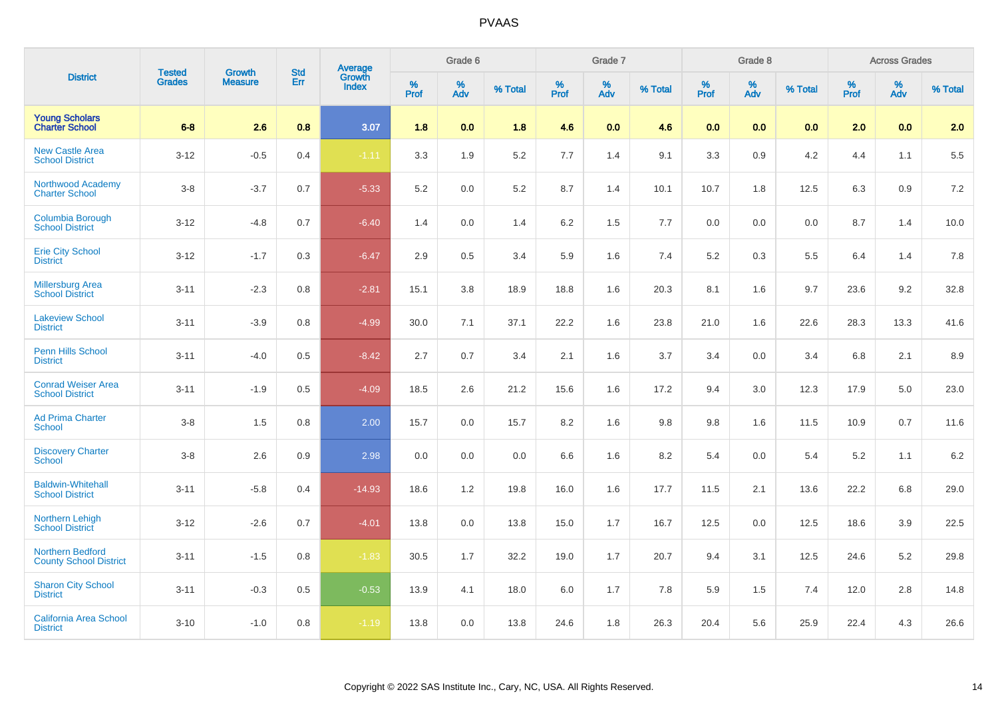|                                                          | <b>Tested</b> | <b>Growth</b>  | <b>Std</b> |                                          |                     | Grade 6  |         |                     | Grade 7  |         |                     | Grade 8  |         |                     | <b>Across Grades</b> |         |
|----------------------------------------------------------|---------------|----------------|------------|------------------------------------------|---------------------|----------|---------|---------------------|----------|---------|---------------------|----------|---------|---------------------|----------------------|---------|
| <b>District</b>                                          | <b>Grades</b> | <b>Measure</b> | Err        | <b>Average</b><br>Growth<br><b>Index</b> | $\%$<br><b>Prof</b> | %<br>Adv | % Total | $\%$<br><b>Prof</b> | %<br>Adv | % Total | $\%$<br><b>Prof</b> | %<br>Adv | % Total | $\%$<br><b>Prof</b> | $\%$<br>Adv          | % Total |
| <b>Young Scholars</b><br><b>Charter School</b>           | $6-8$         | 2.6            | 0.8        | 3.07                                     | 1.8                 | 0.0      | 1.8     | 4.6                 | 0.0      | 4.6     | 0.0                 | 0.0      | 0.0     | 2.0                 | 0.0                  | 2.0     |
| <b>New Castle Area</b><br><b>School District</b>         | $3 - 12$      | $-0.5$         | 0.4        | $-1.11$                                  | 3.3                 | 1.9      | 5.2     | 7.7                 | 1.4      | 9.1     | 3.3                 | 0.9      | 4.2     | 4.4                 | 1.1                  | 5.5     |
| <b>Northwood Academy</b><br><b>Charter School</b>        | $3-8$         | $-3.7$         | 0.7        | $-5.33$                                  | 5.2                 | $0.0\,$  | 5.2     | 8.7                 | 1.4      | 10.1    | 10.7                | 1.8      | 12.5    | 6.3                 | 0.9                  | $7.2\,$ |
| Columbia Borough<br><b>School District</b>               | $3 - 12$      | $-4.8$         | 0.7        | $-6.40$                                  | 1.4                 | 0.0      | 1.4     | $6.2\,$             | 1.5      | 7.7     | 0.0                 | 0.0      | 0.0     | 8.7                 | 1.4                  | 10.0    |
| <b>Erie City School</b><br><b>District</b>               | $3 - 12$      | $-1.7$         | 0.3        | $-6.47$                                  | 2.9                 | 0.5      | 3.4     | 5.9                 | 1.6      | 7.4     | 5.2                 | 0.3      | 5.5     | 6.4                 | 1.4                  | 7.8     |
| <b>Millersburg Area</b><br><b>School District</b>        | $3 - 11$      | $-2.3$         | 0.8        | $-2.81$                                  | 15.1                | 3.8      | 18.9    | 18.8                | 1.6      | 20.3    | 8.1                 | 1.6      | 9.7     | 23.6                | 9.2                  | 32.8    |
| <b>Lakeview School</b><br><b>District</b>                | $3 - 11$      | $-3.9$         | 0.8        | $-4.99$                                  | 30.0                | 7.1      | 37.1    | 22.2                | 1.6      | 23.8    | 21.0                | 1.6      | 22.6    | 28.3                | 13.3                 | 41.6    |
| Penn Hills School<br><b>District</b>                     | $3 - 11$      | $-4.0$         | 0.5        | $-8.42$                                  | 2.7                 | 0.7      | 3.4     | 2.1                 | 1.6      | 3.7     | 3.4                 | 0.0      | 3.4     | 6.8                 | 2.1                  | 8.9     |
| <b>Conrad Weiser Area</b><br><b>School District</b>      | $3 - 11$      | $-1.9$         | 0.5        | $-4.09$                                  | 18.5                | 2.6      | 21.2    | 15.6                | 1.6      | 17.2    | 9.4                 | 3.0      | 12.3    | 17.9                | 5.0                  | 23.0    |
| <b>Ad Prima Charter</b><br><b>School</b>                 | $3-8$         | 1.5            | 0.8        | 2.00                                     | 15.7                | 0.0      | 15.7    | 8.2                 | 1.6      | 9.8     | 9.8                 | 1.6      | 11.5    | 10.9                | 0.7                  | 11.6    |
| <b>Discovery Charter</b><br><b>School</b>                | $3-8$         | 2.6            | 0.9        | 2.98                                     | 0.0                 | 0.0      | 0.0     | 6.6                 | 1.6      | 8.2     | 5.4                 | 0.0      | 5.4     | 5.2                 | 1.1                  | 6.2     |
| <b>Baldwin-Whitehall</b><br><b>School District</b>       | $3 - 11$      | $-5.8$         | 0.4        | $-14.93$                                 | 18.6                | 1.2      | 19.8    | 16.0                | 1.6      | 17.7    | 11.5                | 2.1      | 13.6    | 22.2                | 6.8                  | 29.0    |
| Northern Lehigh<br><b>School District</b>                | $3 - 12$      | $-2.6$         | 0.7        | $-4.01$                                  | 13.8                | 0.0      | 13.8    | 15.0                | 1.7      | 16.7    | 12.5                | 0.0      | 12.5    | 18.6                | 3.9                  | 22.5    |
| <b>Northern Bedford</b><br><b>County School District</b> | $3 - 11$      | $-1.5$         | 0.8        | $-1.83$                                  | 30.5                | 1.7      | 32.2    | 19.0                | 1.7      | 20.7    | 9.4                 | 3.1      | 12.5    | 24.6                | 5.2                  | 29.8    |
| <b>Sharon City School</b><br><b>District</b>             | $3 - 11$      | $-0.3$         | 0.5        | $-0.53$                                  | 13.9                | 4.1      | 18.0    | 6.0                 | 1.7      | 7.8     | 5.9                 | 1.5      | 7.4     | 12.0                | 2.8                  | 14.8    |
| <b>California Area School</b><br><b>District</b>         | $3 - 10$      | $-1.0$         | 0.8        | $-1.19$                                  | 13.8                | 0.0      | 13.8    | 24.6                | 1.8      | 26.3    | 20.4                | 5.6      | 25.9    | 22.4                | 4.3                  | 26.6    |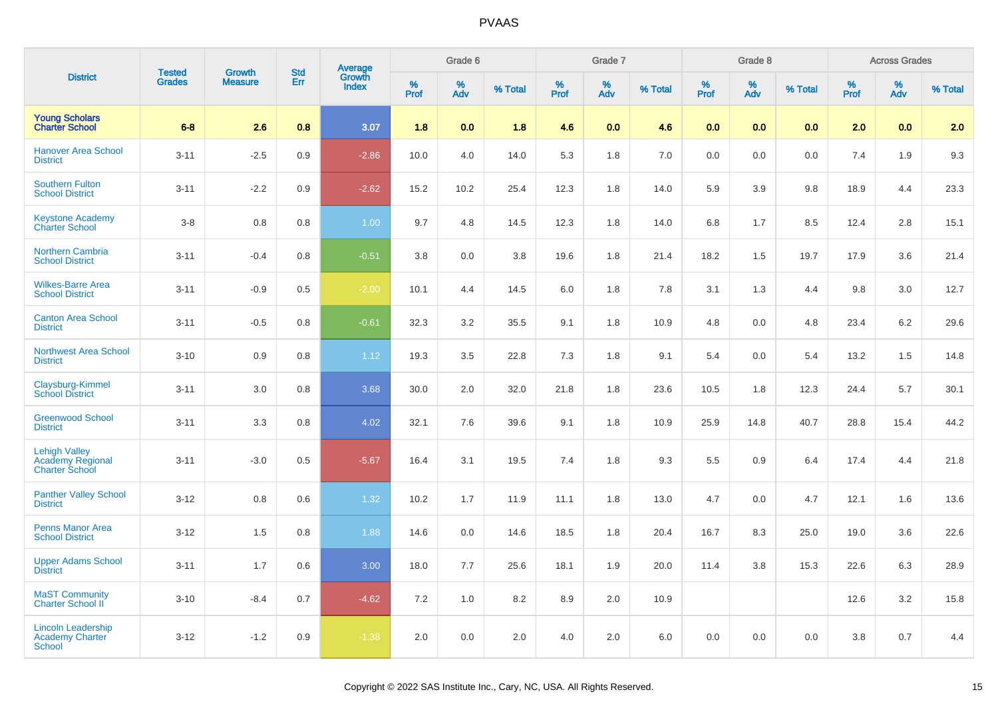|                                                                          | <b>Tested</b> | <b>Growth</b>  | <b>Std</b> | Average<br>Growth |          | Grade 6  |         |          | Grade 7  |         |           | Grade 8  |         |          | <b>Across Grades</b> |         |
|--------------------------------------------------------------------------|---------------|----------------|------------|-------------------|----------|----------|---------|----------|----------|---------|-----------|----------|---------|----------|----------------------|---------|
| <b>District</b>                                                          | <b>Grades</b> | <b>Measure</b> | Err        | <b>Index</b>      | $%$ Prof | %<br>Adv | % Total | $%$ Prof | %<br>Adv | % Total | %<br>Prof | %<br>Adv | % Total | $%$ Prof | %<br>Adv             | % Total |
| <b>Young Scholars</b><br><b>Charter School</b>                           | $6 - 8$       | 2.6            | 0.8        | 3.07              | 1.8      | 0.0      | 1.8     | 4.6      | 0.0      | 4.6     | 0.0       | 0.0      | 0.0     | 2.0      | 0.0                  | 2.0     |
| <b>Hanover Area School</b><br><b>District</b>                            | $3 - 11$      | $-2.5$         | 0.9        | $-2.86$           | 10.0     | 4.0      | 14.0    | 5.3      | 1.8      | 7.0     | 0.0       | 0.0      | 0.0     | 7.4      | 1.9                  | 9.3     |
| <b>Southern Fulton</b><br><b>School District</b>                         | $3 - 11$      | $-2.2$         | 0.9        | $-2.62$           | 15.2     | 10.2     | 25.4    | 12.3     | 1.8      | 14.0    | 5.9       | 3.9      | 9.8     | 18.9     | 4.4                  | 23.3    |
| <b>Keystone Academy</b><br><b>Charter School</b>                         | $3 - 8$       | 0.8            | 0.8        | 1.00              | 9.7      | 4.8      | 14.5    | 12.3     | 1.8      | 14.0    | 6.8       | 1.7      | 8.5     | 12.4     | 2.8                  | 15.1    |
| <b>Northern Cambria</b><br><b>School District</b>                        | $3 - 11$      | $-0.4$         | 0.8        | $-0.51$           | 3.8      | 0.0      | 3.8     | 19.6     | 1.8      | 21.4    | 18.2      | 1.5      | 19.7    | 17.9     | 3.6                  | 21.4    |
| <b>Wilkes-Barre Area</b><br><b>School District</b>                       | $3 - 11$      | $-0.9$         | 0.5        | $-2.00$           | 10.1     | 4.4      | 14.5    | 6.0      | 1.8      | 7.8     | 3.1       | 1.3      | 4.4     | 9.8      | 3.0                  | 12.7    |
| <b>Canton Area School</b><br><b>District</b>                             | $3 - 11$      | $-0.5$         | 0.8        | $-0.61$           | 32.3     | 3.2      | 35.5    | 9.1      | 1.8      | 10.9    | 4.8       | 0.0      | 4.8     | 23.4     | 6.2                  | 29.6    |
| <b>Northwest Area School</b><br><b>District</b>                          | $3 - 10$      | 0.9            | 0.8        | 1.12              | 19.3     | 3.5      | 22.8    | 7.3      | 1.8      | 9.1     | 5.4       | 0.0      | 5.4     | 13.2     | 1.5                  | 14.8    |
| Claysburg-Kimmel<br><b>School District</b>                               | $3 - 11$      | 3.0            | 0.8        | 3.68              | 30.0     | 2.0      | 32.0    | 21.8     | 1.8      | 23.6    | 10.5      | 1.8      | 12.3    | 24.4     | 5.7                  | 30.1    |
| <b>Greenwood School</b><br><b>District</b>                               | $3 - 11$      | 3.3            | 0.8        | 4.02              | 32.1     | 7.6      | 39.6    | 9.1      | 1.8      | 10.9    | 25.9      | 14.8     | 40.7    | 28.8     | 15.4                 | 44.2    |
| <b>Lehigh Valley</b><br><b>Academy Regional</b><br><b>Charter School</b> | $3 - 11$      | $-3.0$         | 0.5        | $-5.67$           | 16.4     | 3.1      | 19.5    | 7.4      | 1.8      | 9.3     | 5.5       | 0.9      | 6.4     | 17.4     | 4.4                  | 21.8    |
| <b>Panther Valley School</b><br><b>District</b>                          | $3 - 12$      | 0.8            | 0.6        | 1.32              | 10.2     | 1.7      | 11.9    | 11.1     | 1.8      | 13.0    | 4.7       | 0.0      | 4.7     | 12.1     | 1.6                  | 13.6    |
| Penns Manor Area<br><b>School District</b>                               | $3 - 12$      | 1.5            | 0.8        | 1.88              | 14.6     | 0.0      | 14.6    | 18.5     | 1.8      | 20.4    | 16.7      | 8.3      | 25.0    | 19.0     | 3.6                  | 22.6    |
| <b>Upper Adams School</b><br><b>District</b>                             | $3 - 11$      | 1.7            | 0.6        | 3.00              | 18.0     | 7.7      | 25.6    | 18.1     | 1.9      | 20.0    | 11.4      | 3.8      | 15.3    | 22.6     | 6.3                  | 28.9    |
| <b>MaST Community</b><br>Charter School II <sup>7</sup>                  | $3 - 10$      | $-8.4$         | 0.7        | $-4.62$           | 7.2      | 1.0      | 8.2     | 8.9      | 2.0      | 10.9    |           |          |         | 12.6     | 3.2                  | 15.8    |
| <b>Lincoln Leadership</b><br><b>Academy Charter</b><br>School            | $3 - 12$      | $-1.2$         | 0.9        | $-1.38$           | 2.0      | 0.0      | 2.0     | 4.0      | 2.0      | 6.0     | 0.0       | 0.0      | 0.0     | 3.8      | 0.7                  | 4.4     |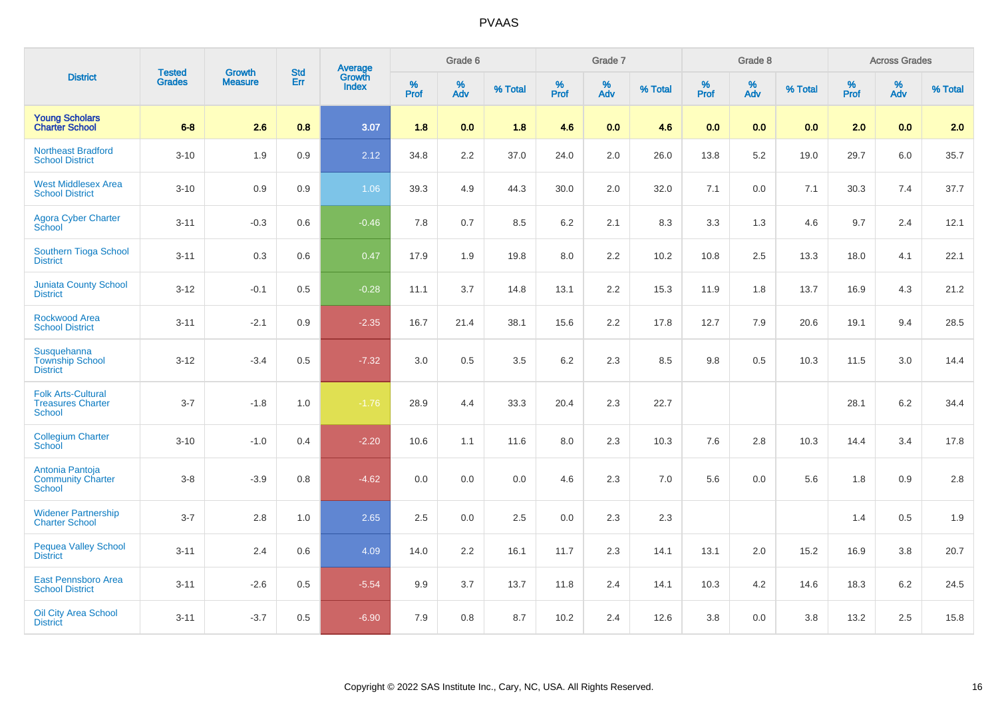|                                                                 | <b>Tested</b> | <b>Growth</b>  | <b>Std</b> |                                   |              | Grade 6  |         |           | Grade 7  |         |                  | Grade 8  |         |           | <b>Across Grades</b> |         |
|-----------------------------------------------------------------|---------------|----------------|------------|-----------------------------------|--------------|----------|---------|-----------|----------|---------|------------------|----------|---------|-----------|----------------------|---------|
| <b>District</b>                                                 | <b>Grades</b> | <b>Measure</b> | Err        | Average<br>Growth<br><b>Index</b> | $\%$<br>Prof | %<br>Adv | % Total | %<br>Prof | %<br>Adv | % Total | %<br><b>Prof</b> | %<br>Adv | % Total | %<br>Prof | %<br>Adv             | % Total |
| <b>Young Scholars</b><br><b>Charter School</b>                  | $6 - 8$       | 2.6            | 0.8        | 3.07                              | 1.8          | 0.0      | 1.8     | 4.6       | 0.0      | 4.6     | 0.0              | 0.0      | 0.0     | 2.0       | 0.0                  | 2.0     |
| Northeast Bradford<br><b>School District</b>                    | $3 - 10$      | 1.9            | 0.9        | 2.12                              | 34.8         | 2.2      | 37.0    | 24.0      | 2.0      | 26.0    | 13.8             | 5.2      | 19.0    | 29.7      | 6.0                  | 35.7    |
| <b>West Middlesex Area</b><br><b>School District</b>            | $3 - 10$      | 0.9            | 0.9        | 1.06                              | 39.3         | 4.9      | 44.3    | 30.0      | 2.0      | 32.0    | 7.1              | 0.0      | 7.1     | 30.3      | 7.4                  | 37.7    |
| <b>Agora Cyber Charter</b><br>School                            | $3 - 11$      | $-0.3$         | 0.6        | $-0.46$                           | 7.8          | 0.7      | 8.5     | 6.2       | 2.1      | 8.3     | 3.3              | 1.3      | 4.6     | 9.7       | 2.4                  | 12.1    |
| <b>Southern Tioga School</b><br><b>District</b>                 | $3 - 11$      | 0.3            | 0.6        | 0.47                              | 17.9         | 1.9      | 19.8    | 8.0       | 2.2      | 10.2    | 10.8             | 2.5      | 13.3    | 18.0      | 4.1                  | 22.1    |
| <b>Juniata County School</b><br><b>District</b>                 | $3 - 12$      | $-0.1$         | 0.5        | $-0.28$                           | 11.1         | 3.7      | 14.8    | 13.1      | 2.2      | 15.3    | 11.9             | 1.8      | 13.7    | 16.9      | 4.3                  | 21.2    |
| Rockwood Area<br><b>School District</b>                         | $3 - 11$      | $-2.1$         | 0.9        | $-2.35$                           | 16.7         | 21.4     | 38.1    | 15.6      | 2.2      | 17.8    | 12.7             | 7.9      | 20.6    | 19.1      | 9.4                  | 28.5    |
| Susquehanna<br><b>Township School</b><br><b>District</b>        | $3 - 12$      | $-3.4$         | 0.5        | $-7.32$                           | 3.0          | 0.5      | 3.5     | 6.2       | 2.3      | 8.5     | 9.8              | 0.5      | 10.3    | 11.5      | 3.0                  | 14.4    |
| <b>Folk Arts-Cultural</b><br><b>Treasures Charter</b><br>School | $3 - 7$       | $-1.8$         | 1.0        | $-1.76$                           | 28.9         | 4.4      | 33.3    | 20.4      | 2.3      | 22.7    |                  |          |         | 28.1      | 6.2                  | 34.4    |
| <b>Collegium Charter</b><br>School                              | $3 - 10$      | $-1.0$         | 0.4        | $-2.20$                           | 10.6         | 1.1      | 11.6    | 8.0       | 2.3      | 10.3    | 7.6              | 2.8      | 10.3    | 14.4      | 3.4                  | 17.8    |
| Antonia Pantoja<br><b>Community Charter</b><br>School           | $3 - 8$       | $-3.9$         | 0.8        | $-4.62$                           | 0.0          | 0.0      | 0.0     | 4.6       | 2.3      | 7.0     | 5.6              | 0.0      | 5.6     | 1.8       | 0.9                  | 2.8     |
| <b>Widener Partnership</b><br><b>Charter School</b>             | $3 - 7$       | 2.8            | 1.0        | 2.65                              | 2.5          | 0.0      | 2.5     | 0.0       | 2.3      | $2.3\,$ |                  |          |         | 1.4       | 0.5                  | 1.9     |
| Pequea Valley School<br><b>District</b>                         | $3 - 11$      | 2.4            | 0.6        | 4.09                              | 14.0         | 2.2      | 16.1    | 11.7      | $2.3\,$  | 14.1    | 13.1             | 2.0      | 15.2    | 16.9      | 3.8                  | 20.7    |
| <b>East Pennsboro Area</b><br><b>School District</b>            | $3 - 11$      | $-2.6$         | 0.5        | $-5.54$                           | 9.9          | 3.7      | 13.7    | 11.8      | 2.4      | 14.1    | 10.3             | $4.2\,$  | 14.6    | 18.3      | $6.2\,$              | 24.5    |
| <b>Oil City Area School</b><br><b>District</b>                  | $3 - 11$      | $-3.7$         | 0.5        | $-6.90$                           | 7.9          | 0.8      | 8.7     | 10.2      | 2.4      | 12.6    | 3.8              | 0.0      | 3.8     | 13.2      | 2.5                  | 15.8    |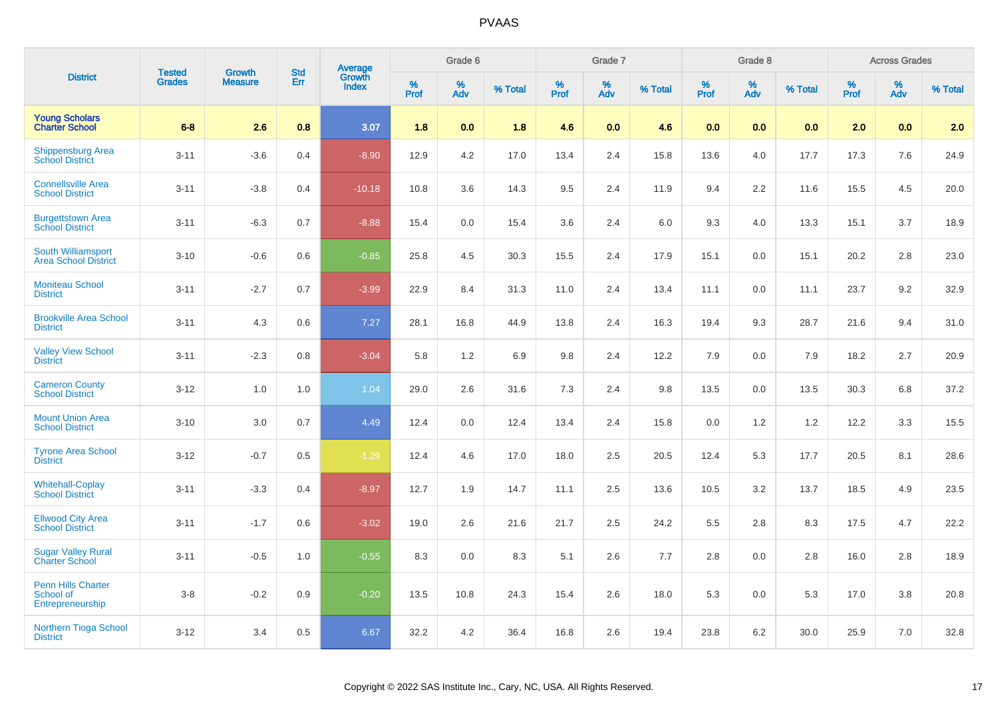|                                                     | <b>Tested</b> | <b>Growth</b>  | <b>Std</b> |                                   |           | Grade 6  |         |           | Grade 7  |         |              | Grade 8  |         |                  | <b>Across Grades</b> |         |
|-----------------------------------------------------|---------------|----------------|------------|-----------------------------------|-----------|----------|---------|-----------|----------|---------|--------------|----------|---------|------------------|----------------------|---------|
| <b>District</b>                                     | <b>Grades</b> | <b>Measure</b> | Err        | Average<br>Growth<br><b>Index</b> | %<br>Prof | %<br>Adv | % Total | %<br>Prof | %<br>Adv | % Total | $\%$<br>Prof | %<br>Adv | % Total | %<br><b>Prof</b> | %<br>Adv             | % Total |
| <b>Young Scholars</b><br><b>Charter School</b>      | $6-8$         | 2.6            | 0.8        | 3.07                              | 1.8       | 0.0      | 1.8     | 4.6       | 0.0      | 4.6     | 0.0          | 0.0      | 0.0     | 2.0              | 0.0                  | 2.0     |
| Shippensburg Area<br><b>School District</b>         | $3 - 11$      | $-3.6$         | 0.4        | $-8.90$                           | 12.9      | 4.2      | 17.0    | 13.4      | 2.4      | 15.8    | 13.6         | 4.0      | 17.7    | 17.3             | 7.6                  | 24.9    |
| <b>Connellsville Area</b><br><b>School District</b> | $3 - 11$      | $-3.8$         | 0.4        | $-10.18$                          | 10.8      | 3.6      | 14.3    | 9.5       | 2.4      | 11.9    | 9.4          | 2.2      | 11.6    | 15.5             | 4.5                  | 20.0    |
| <b>Burgettstown Area</b><br><b>School District</b>  | $3 - 11$      | $-6.3$         | 0.7        | $-8.88$                           | 15.4      | 0.0      | 15.4    | 3.6       | 2.4      | 6.0     | 9.3          | 4.0      | 13.3    | 15.1             | 3.7                  | 18.9    |
| South Williamsport<br><b>Area School District</b>   | $3 - 10$      | $-0.6$         | 0.6        | $-0.85$                           | 25.8      | 4.5      | 30.3    | 15.5      | 2.4      | 17.9    | 15.1         | 0.0      | 15.1    | 20.2             | 2.8                  | 23.0    |
| <b>Moniteau School</b><br><b>District</b>           | $3 - 11$      | $-2.7$         | 0.7        | $-3.99$                           | 22.9      | 8.4      | 31.3    | 11.0      | 2.4      | 13.4    | 11.1         | 0.0      | 11.1    | 23.7             | 9.2                  | 32.9    |
| <b>Brookville Area School</b><br><b>District</b>    | $3 - 11$      | 4.3            | 0.6        | 7.27                              | 28.1      | 16.8     | 44.9    | 13.8      | 2.4      | 16.3    | 19.4         | 9.3      | 28.7    | 21.6             | 9.4                  | 31.0    |
| <b>Valley View School</b><br><b>District</b>        | $3 - 11$      | $-2.3$         | 0.8        | $-3.04$                           | 5.8       | 1.2      | 6.9     | 9.8       | 2.4      | 12.2    | 7.9          | 0.0      | 7.9     | 18.2             | 2.7                  | 20.9    |
| <b>Cameron County</b><br><b>School District</b>     | $3 - 12$      | $1.0$          | 1.0        | 1.04                              | 29.0      | 2.6      | 31.6    | 7.3       | 2.4      | 9.8     | 13.5         | 0.0      | 13.5    | 30.3             | 6.8                  | 37.2    |
| <b>Mount Union Area</b><br><b>School District</b>   | $3 - 10$      | 3.0            | 0.7        | 4.49                              | 12.4      | 0.0      | 12.4    | 13.4      | 2.4      | 15.8    | $0.0\,$      | 1.2      | 1.2     | 12.2             | 3.3                  | 15.5    |
| <b>Tyrone Area School</b><br><b>District</b>        | $3 - 12$      | $-0.7$         | 0.5        | $-1.29$                           | 12.4      | 4.6      | 17.0    | 18.0      | 2.5      | 20.5    | 12.4         | 5.3      | 17.7    | 20.5             | 8.1                  | 28.6    |
| <b>Whitehall-Coplay</b><br><b>School District</b>   | $3 - 11$      | $-3.3$         | 0.4        | $-8.97$                           | 12.7      | 1.9      | 14.7    | 11.1      | 2.5      | 13.6    | 10.5         | 3.2      | 13.7    | 18.5             | 4.9                  | 23.5    |
| <b>Ellwood City Area</b><br><b>School District</b>  | $3 - 11$      | $-1.7$         | 0.6        | $-3.02$                           | 19.0      | 2.6      | 21.6    | 21.7      | 2.5      | 24.2    | $5.5\,$      | 2.8      | 8.3     | 17.5             | 4.7                  | 22.2    |
| <b>Sugar Valley Rural</b><br><b>Charter School</b>  | $3 - 11$      | $-0.5$         | 1.0        | $-0.55$                           | 8.3       | 0.0      | 8.3     | 5.1       | 2.6      | 7.7     | 2.8          | 0.0      | 2.8     | 16.0             | $2.8\,$              | 18.9    |
| Penn Hills Charter<br>School of<br>Entrepreneurship | $3 - 8$       | $-0.2$         | 0.9        | $-0.20$                           | 13.5      | 10.8     | 24.3    | 15.4      | 2.6      | 18.0    | 5.3          | 0.0      | 5.3     | 17.0             | 3.8                  | 20.8    |
| Northern Tioga School<br><b>District</b>            | $3 - 12$      | 3.4            | 0.5        | 6.67                              | 32.2      | 4.2      | 36.4    | 16.8      | 2.6      | 19.4    | 23.8         | 6.2      | 30.0    | 25.9             | 7.0                  | 32.8    |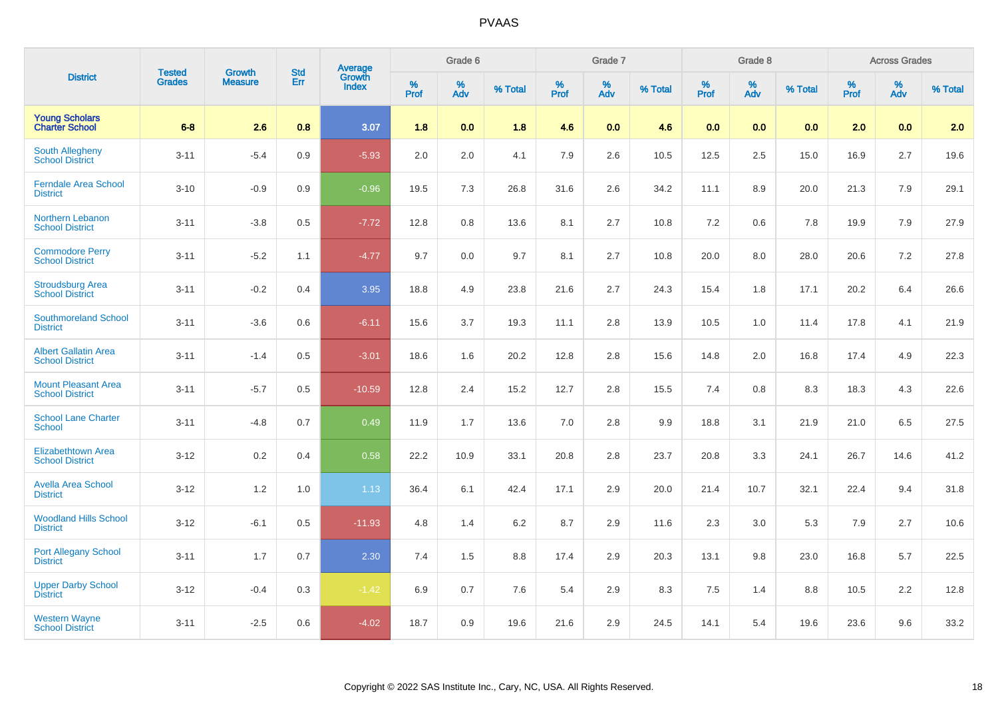|                                                       | <b>Tested</b> | <b>Growth</b>  | <b>Std</b> | <b>Average</b><br>Growth |                     | Grade 6  |         |                  | Grade 7     |         |                     | Grade 8  |         |                     | <b>Across Grades</b> |         |
|-------------------------------------------------------|---------------|----------------|------------|--------------------------|---------------------|----------|---------|------------------|-------------|---------|---------------------|----------|---------|---------------------|----------------------|---------|
| <b>District</b>                                       | <b>Grades</b> | <b>Measure</b> | Err        | <b>Index</b>             | $\%$<br><b>Prof</b> | %<br>Adv | % Total | %<br><b>Prof</b> | $\%$<br>Adv | % Total | $\%$<br><b>Prof</b> | %<br>Adv | % Total | $\%$<br><b>Prof</b> | $\%$<br><b>Adv</b>   | % Total |
| <b>Young Scholars</b><br><b>Charter School</b>        | $6-8$         | 2.6            | 0.8        | 3.07                     | 1.8                 | 0.0      | 1.8     | 4.6              | 0.0         | 4.6     | 0.0                 | 0.0      | 0.0     | 2.0                 | 0.0                  | 2.0     |
| <b>South Allegheny</b><br><b>School District</b>      | $3 - 11$      | $-5.4$         | 0.9        | $-5.93$                  | 2.0                 | 2.0      | 4.1     | 7.9              | 2.6         | 10.5    | 12.5                | 2.5      | 15.0    | 16.9                | 2.7                  | 19.6    |
| <b>Ferndale Area School</b><br><b>District</b>        | $3 - 10$      | $-0.9$         | 0.9        | $-0.96$                  | 19.5                | 7.3      | 26.8    | 31.6             | 2.6         | 34.2    | 11.1                | 8.9      | 20.0    | 21.3                | 7.9                  | 29.1    |
| Northern Lebanon<br><b>School District</b>            | $3 - 11$      | $-3.8$         | 0.5        | $-7.72$                  | 12.8                | 0.8      | 13.6    | 8.1              | 2.7         | 10.8    | 7.2                 | 0.6      | 7.8     | 19.9                | 7.9                  | 27.9    |
| <b>Commodore Perry</b><br><b>School District</b>      | $3 - 11$      | $-5.2$         | 1.1        | $-4.77$                  | 9.7                 | 0.0      | 9.7     | 8.1              | 2.7         | 10.8    | 20.0                | 8.0      | 28.0    | 20.6                | 7.2                  | 27.8    |
| <b>Stroudsburg Area</b><br><b>School District</b>     | $3 - 11$      | $-0.2$         | 0.4        | 3.95                     | 18.8                | 4.9      | 23.8    | 21.6             | 2.7         | 24.3    | 15.4                | 1.8      | 17.1    | 20.2                | 6.4                  | 26.6    |
| <b>Southmoreland School</b><br><b>District</b>        | $3 - 11$      | $-3.6$         | 0.6        | $-6.11$                  | 15.6                | 3.7      | 19.3    | 11.1             | 2.8         | 13.9    | 10.5                | 1.0      | 11.4    | 17.8                | 4.1                  | 21.9    |
| <b>Albert Gallatin Area</b><br><b>School District</b> | $3 - 11$      | $-1.4$         | 0.5        | $-3.01$                  | 18.6                | 1.6      | 20.2    | 12.8             | 2.8         | 15.6    | 14.8                | 2.0      | 16.8    | 17.4                | 4.9                  | 22.3    |
| <b>Mount Pleasant Area</b><br><b>School District</b>  | $3 - 11$      | $-5.7$         | 0.5        | $-10.59$                 | 12.8                | 2.4      | 15.2    | 12.7             | 2.8         | 15.5    | 7.4                 | 0.8      | 8.3     | 18.3                | 4.3                  | 22.6    |
| <b>School Lane Charter</b><br><b>School</b>           | $3 - 11$      | $-4.8$         | 0.7        | 0.49                     | 11.9                | 1.7      | 13.6    | 7.0              | 2.8         | 9.9     | 18.8                | 3.1      | 21.9    | 21.0                | 6.5                  | 27.5    |
| <b>Elizabethtown Area</b><br><b>School District</b>   | $3 - 12$      | $0.2\,$        | 0.4        | 0.58                     | 22.2                | 10.9     | 33.1    | 20.8             | 2.8         | 23.7    | 20.8                | 3.3      | 24.1    | 26.7                | 14.6                 | 41.2    |
| <b>Avella Area School</b><br><b>District</b>          | $3 - 12$      | 1.2            | 1.0        | 1.13                     | 36.4                | 6.1      | 42.4    | 17.1             | 2.9         | 20.0    | 21.4                | 10.7     | 32.1    | 22.4                | 9.4                  | 31.8    |
| <b>Woodland Hills School</b><br><b>District</b>       | $3 - 12$      | $-6.1$         | 0.5        | $-11.93$                 | 4.8                 | 1.4      | 6.2     | 8.7              | 2.9         | 11.6    | 2.3                 | 3.0      | 5.3     | 7.9                 | 2.7                  | 10.6    |
| <b>Port Allegany School</b><br><b>District</b>        | $3 - 11$      | 1.7            | 0.7        | 2.30                     | 7.4                 | 1.5      | 8.8     | 17.4             | 2.9         | 20.3    | 13.1                | 9.8      | 23.0    | 16.8                | 5.7                  | 22.5    |
| <b>Upper Darby School</b><br><b>District</b>          | $3 - 12$      | $-0.4$         | 0.3        | $-1.42$                  | 6.9                 | 0.7      | 7.6     | 5.4              | 2.9         | 8.3     | 7.5                 | 1.4      | 8.8     | 10.5                | 2.2                  | 12.8    |
| <b>Western Wayne</b><br><b>School District</b>        | $3 - 11$      | $-2.5$         | 0.6        | $-4.02$                  | 18.7                | 0.9      | 19.6    | 21.6             | 2.9         | 24.5    | 14.1                | 5.4      | 19.6    | 23.6                | 9.6                  | 33.2    |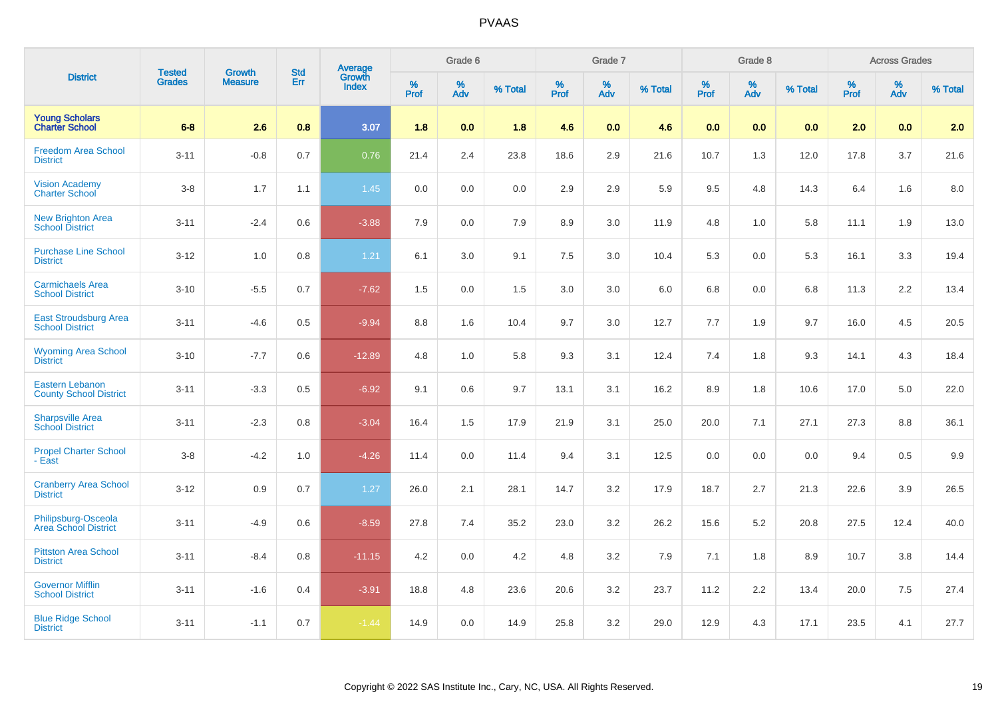|                                                         | <b>Tested</b> | <b>Growth</b>  | <b>Std</b> | <b>Average</b><br>Growth |                     | Grade 6  |         |                  | Grade 7  |         |                     | Grade 8  |         |                  | <b>Across Grades</b> |         |
|---------------------------------------------------------|---------------|----------------|------------|--------------------------|---------------------|----------|---------|------------------|----------|---------|---------------------|----------|---------|------------------|----------------------|---------|
| <b>District</b>                                         | <b>Grades</b> | <b>Measure</b> | Err        | <b>Index</b>             | $\%$<br><b>Prof</b> | %<br>Adv | % Total | %<br><b>Prof</b> | %<br>Adv | % Total | $\%$<br><b>Prof</b> | %<br>Adv | % Total | %<br><b>Prof</b> | %<br>Adv             | % Total |
| <b>Young Scholars</b><br><b>Charter School</b>          | $6-8$         | 2.6            | 0.8        | 3.07                     | 1.8                 | 0.0      | 1.8     | 4.6              | 0.0      | 4.6     | 0.0                 | 0.0      | 0.0     | 2.0              | 0.0                  | 2.0     |
| <b>Freedom Area School</b><br><b>District</b>           | $3 - 11$      | $-0.8$         | 0.7        | 0.76                     | 21.4                | 2.4      | 23.8    | 18.6             | 2.9      | 21.6    | 10.7                | 1.3      | 12.0    | 17.8             | 3.7                  | 21.6    |
| <b>Vision Academy</b><br>Charter School                 | $3 - 8$       | 1.7            | 1.1        | 1.45                     | 0.0                 | 0.0      | 0.0     | 2.9              | 2.9      | 5.9     | 9.5                 | 4.8      | 14.3    | 6.4              | 1.6                  | 8.0     |
| New Brighton Area<br>School District                    | $3 - 11$      | $-2.4$         | 0.6        | $-3.88$                  | 7.9                 | 0.0      | 7.9     | 8.9              | 3.0      | 11.9    | 4.8                 | 1.0      | 5.8     | 11.1             | 1.9                  | 13.0    |
| <b>Purchase Line School</b><br><b>District</b>          | $3 - 12$      | 1.0            | 0.8        | 1.21                     | 6.1                 | 3.0      | 9.1     | 7.5              | 3.0      | 10.4    | 5.3                 | 0.0      | 5.3     | 16.1             | 3.3                  | 19.4    |
| <b>Carmichaels Area</b><br><b>School District</b>       | $3 - 10$      | $-5.5$         | 0.7        | $-7.62$                  | 1.5                 | 0.0      | 1.5     | 3.0              | 3.0      | 6.0     | 6.8                 | 0.0      | 6.8     | 11.3             | 2.2                  | 13.4    |
| <b>East Stroudsburg Area</b><br><b>School District</b>  | $3 - 11$      | $-4.6$         | 0.5        | $-9.94$                  | 8.8                 | 1.6      | 10.4    | 9.7              | 3.0      | 12.7    | 7.7                 | 1.9      | 9.7     | 16.0             | 4.5                  | 20.5    |
| <b>Wyoming Area School</b><br><b>District</b>           | $3 - 10$      | $-7.7$         | 0.6        | $-12.89$                 | 4.8                 | 1.0      | 5.8     | 9.3              | 3.1      | 12.4    | 7.4                 | 1.8      | 9.3     | 14.1             | 4.3                  | 18.4    |
| <b>Eastern Lebanon</b><br><b>County School District</b> | $3 - 11$      | $-3.3$         | 0.5        | $-6.92$                  | 9.1                 | 0.6      | 9.7     | 13.1             | 3.1      | 16.2    | 8.9                 | 1.8      | 10.6    | 17.0             | 5.0                  | 22.0    |
| <b>Sharpsville Area</b><br><b>School District</b>       | $3 - 11$      | $-2.3$         | 0.8        | $-3.04$                  | 16.4                | 1.5      | 17.9    | 21.9             | 3.1      | 25.0    | 20.0                | 7.1      | 27.1    | 27.3             | 8.8                  | 36.1    |
| <b>Propel Charter School</b><br>- East                  | $3 - 8$       | $-4.2$         | 1.0        | $-4.26$                  | 11.4                | 0.0      | 11.4    | 9.4              | 3.1      | 12.5    | 0.0                 | 0.0      | 0.0     | 9.4              | 0.5                  | 9.9     |
| <b>Cranberry Area School</b><br><b>District</b>         | $3 - 12$      | $0.9\,$        | 0.7        | 1.27                     | 26.0                | 2.1      | 28.1    | 14.7             | 3.2      | 17.9    | 18.7                | 2.7      | 21.3    | 22.6             | 3.9                  | 26.5    |
| Philipsburg-Osceola<br>Area School District             | $3 - 11$      | $-4.9$         | 0.6        | $-8.59$                  | 27.8                | 7.4      | 35.2    | 23.0             | 3.2      | 26.2    | 15.6                | 5.2      | 20.8    | 27.5             | 12.4                 | 40.0    |
| <b>Pittston Area School</b><br><b>District</b>          | $3 - 11$      | $-8.4$         | 0.8        | $-11.15$                 | 4.2                 | 0.0      | 4.2     | 4.8              | 3.2      | 7.9     | 7.1                 | 1.8      | 8.9     | 10.7             | 3.8                  | 14.4    |
| <b>Governor Mifflin</b><br><b>School District</b>       | $3 - 11$      | $-1.6$         | 0.4        | $-3.91$                  | 18.8                | 4.8      | 23.6    | 20.6             | 3.2      | 23.7    | 11.2                | 2.2      | 13.4    | 20.0             | 7.5                  | 27.4    |
| <b>Blue Ridge School</b><br><b>District</b>             | $3 - 11$      | $-1.1$         | 0.7        | $-1.44$                  | 14.9                | 0.0      | 14.9    | 25.8             | 3.2      | 29.0    | 12.9                | 4.3      | 17.1    | 23.5             | 4.1                  | 27.7    |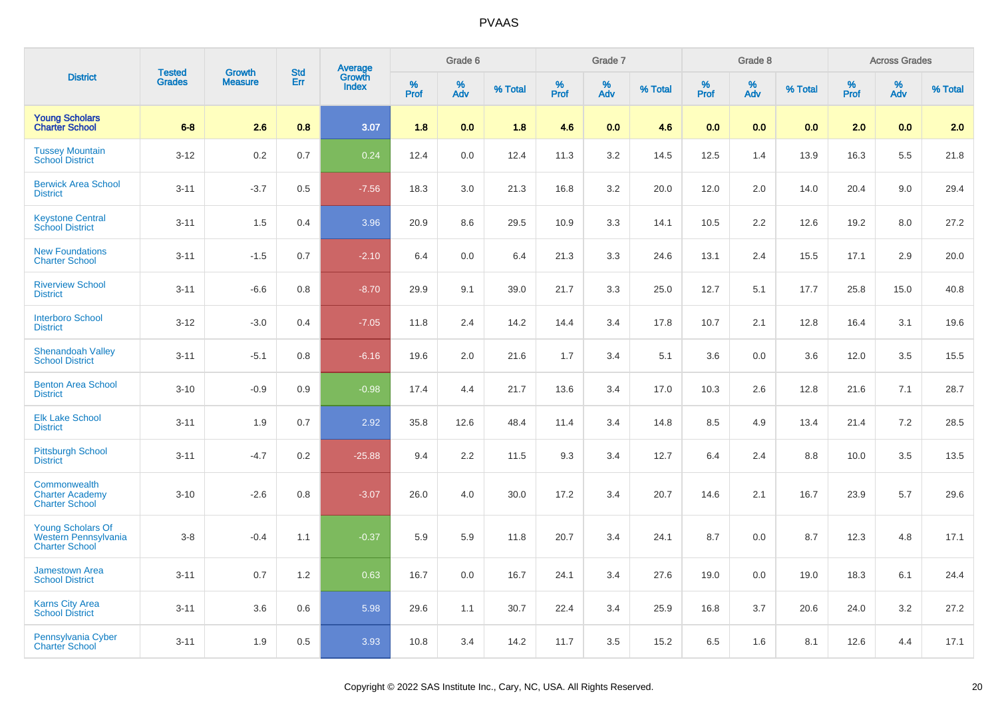|                                                                           | <b>Tested</b> | <b>Growth</b>  | <b>Std</b> | <b>Average</b><br>Growth |           | Grade 6  |         |           | Grade 7  |         |           | Grade 8  |         |           | <b>Across Grades</b> |         |
|---------------------------------------------------------------------------|---------------|----------------|------------|--------------------------|-----------|----------|---------|-----------|----------|---------|-----------|----------|---------|-----------|----------------------|---------|
| <b>District</b>                                                           | <b>Grades</b> | <b>Measure</b> | Err        | <b>Index</b>             | %<br>Prof | %<br>Adv | % Total | %<br>Prof | %<br>Adv | % Total | %<br>Prof | %<br>Adv | % Total | %<br>Prof | %<br>Adv             | % Total |
| <b>Young Scholars</b><br><b>Charter School</b>                            | $6-8$         | 2.6            | 0.8        | 3.07                     | 1.8       | 0.0      | 1.8     | 4.6       | 0.0      | 4.6     | 0.0       | 0.0      | 0.0     | 2.0       | 0.0                  | 2.0     |
| <b>Tussey Mountain</b><br><b>School District</b>                          | $3 - 12$      | 0.2            | 0.7        | 0.24                     | 12.4      | 0.0      | 12.4    | 11.3      | 3.2      | 14.5    | 12.5      | 1.4      | 13.9    | 16.3      | 5.5                  | 21.8    |
| <b>Berwick Area School</b><br><b>District</b>                             | $3 - 11$      | $-3.7$         | 0.5        | $-7.56$                  | 18.3      | 3.0      | 21.3    | 16.8      | 3.2      | 20.0    | 12.0      | 2.0      | 14.0    | 20.4      | 9.0                  | 29.4    |
| <b>Keystone Central</b><br><b>School District</b>                         | $3 - 11$      | 1.5            | 0.4        | 3.96                     | 20.9      | 8.6      | 29.5    | 10.9      | 3.3      | 14.1    | 10.5      | 2.2      | 12.6    | 19.2      | 8.0                  | 27.2    |
| <b>New Foundations</b><br><b>Charter School</b>                           | $3 - 11$      | $-1.5$         | 0.7        | $-2.10$                  | 6.4       | 0.0      | 6.4     | 21.3      | 3.3      | 24.6    | 13.1      | 2.4      | 15.5    | 17.1      | 2.9                  | 20.0    |
| <b>Riverview School</b><br><b>District</b>                                | $3 - 11$      | $-6.6$         | 0.8        | $-8.70$                  | 29.9      | 9.1      | 39.0    | 21.7      | 3.3      | 25.0    | 12.7      | 5.1      | 17.7    | 25.8      | 15.0                 | 40.8    |
| <b>Interboro School</b><br><b>District</b>                                | $3 - 12$      | $-3.0$         | 0.4        | $-7.05$                  | 11.8      | 2.4      | 14.2    | 14.4      | 3.4      | 17.8    | 10.7      | 2.1      | 12.8    | 16.4      | 3.1                  | 19.6    |
| <b>Shenandoah Valley</b><br><b>School District</b>                        | $3 - 11$      | $-5.1$         | 0.8        | $-6.16$                  | 19.6      | 2.0      | 21.6    | 1.7       | 3.4      | 5.1     | 3.6       | 0.0      | 3.6     | 12.0      | 3.5                  | 15.5    |
| <b>Benton Area School</b><br><b>District</b>                              | $3 - 10$      | $-0.9$         | 0.9        | $-0.98$                  | 17.4      | 4.4      | 21.7    | 13.6      | 3.4      | 17.0    | 10.3      | 2.6      | 12.8    | 21.6      | 7.1                  | 28.7    |
| <b>Elk Lake School</b><br><b>District</b>                                 | $3 - 11$      | 1.9            | 0.7        | 2.92                     | 35.8      | 12.6     | 48.4    | 11.4      | 3.4      | 14.8    | 8.5       | 4.9      | 13.4    | 21.4      | 7.2                  | 28.5    |
| <b>Pittsburgh School</b><br><b>District</b>                               | $3 - 11$      | $-4.7$         | 0.2        | $-25.88$                 | 9.4       | 2.2      | 11.5    | 9.3       | 3.4      | 12.7    | 6.4       | 2.4      | 8.8     | 10.0      | 3.5                  | 13.5    |
| Commonwealth<br><b>Charter Academy</b><br><b>Charter School</b>           | $3 - 10$      | $-2.6$         | 0.8        | $-3.07$                  | 26.0      | 4.0      | 30.0    | 17.2      | 3.4      | 20.7    | 14.6      | 2.1      | 16.7    | 23.9      | 5.7                  | 29.6    |
| <b>Young Scholars Of</b><br>Western Pennsylvania<br><b>Charter School</b> | $3-8$         | $-0.4$         | 1.1        | $-0.37$                  | 5.9       | 5.9      | 11.8    | 20.7      | 3.4      | 24.1    | 8.7       | 0.0      | 8.7     | 12.3      | 4.8                  | 17.1    |
| <b>Jamestown Area</b><br><b>School District</b>                           | $3 - 11$      | 0.7            | 1.2        | 0.63                     | 16.7      | 0.0      | 16.7    | 24.1      | 3.4      | 27.6    | 19.0      | 0.0      | 19.0    | 18.3      | 6.1                  | 24.4    |
| <b>Karns City Area</b><br><b>School District</b>                          | $3 - 11$      | 3.6            | 0.6        | 5.98                     | 29.6      | 1.1      | 30.7    | 22.4      | 3.4      | 25.9    | 16.8      | 3.7      | 20.6    | 24.0      | 3.2                  | 27.2    |
| Pennsylvania Cyber<br><b>Charter School</b>                               | $3 - 11$      | 1.9            | 0.5        | 3.93                     | 10.8      | 3.4      | 14.2    | 11.7      | 3.5      | 15.2    | 6.5       | 1.6      | 8.1     | 12.6      | 4.4                  | 17.1    |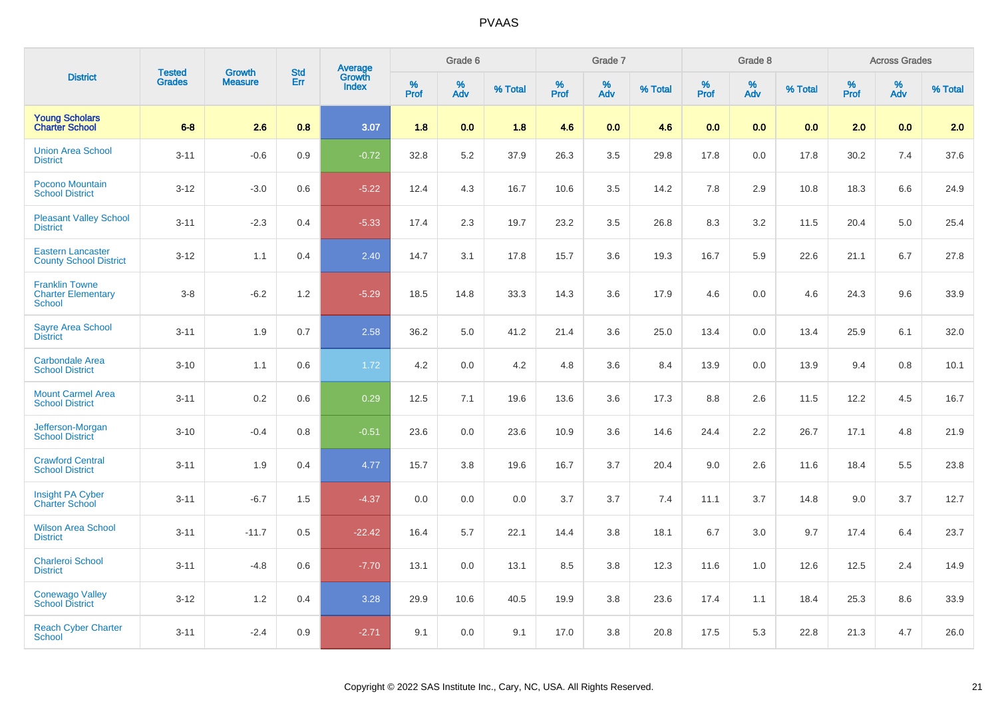|                                                                     | <b>Tested</b> | <b>Growth</b>  | <b>Std</b> |                                          |           | Grade 6  |         |              | Grade 7  |         |              | Grade 8  |         |                  | <b>Across Grades</b> |         |
|---------------------------------------------------------------------|---------------|----------------|------------|------------------------------------------|-----------|----------|---------|--------------|----------|---------|--------------|----------|---------|------------------|----------------------|---------|
| <b>District</b>                                                     | <b>Grades</b> | <b>Measure</b> | Err        | <b>Average</b><br>Growth<br><b>Index</b> | %<br>Prof | %<br>Adv | % Total | $\%$<br>Prof | %<br>Adv | % Total | $\%$<br>Prof | %<br>Adv | % Total | %<br><b>Prof</b> | %<br>Adv             | % Total |
| <b>Young Scholars</b><br><b>Charter School</b>                      | $6-8$         | 2.6            | 0.8        | 3.07                                     | 1.8       | 0.0      | 1.8     | 4.6          | 0.0      | 4.6     | 0.0          | 0.0      | 0.0     | 2.0              | 0.0                  | 2.0     |
| <b>Union Area School</b><br><b>District</b>                         | $3 - 11$      | $-0.6$         | 0.9        | $-0.72$                                  | 32.8      | 5.2      | 37.9    | 26.3         | 3.5      | 29.8    | 17.8         | 0.0      | 17.8    | 30.2             | 7.4                  | 37.6    |
| Pocono Mountain<br><b>School District</b>                           | $3 - 12$      | $-3.0$         | 0.6        | $-5.22$                                  | 12.4      | 4.3      | 16.7    | 10.6         | 3.5      | 14.2    | 7.8          | 2.9      | 10.8    | 18.3             | 6.6                  | 24.9    |
| <b>Pleasant Valley School</b><br><b>District</b>                    | $3 - 11$      | $-2.3$         | 0.4        | $-5.33$                                  | 17.4      | 2.3      | 19.7    | 23.2         | 3.5      | 26.8    | 8.3          | 3.2      | 11.5    | 20.4             | 5.0                  | 25.4    |
| <b>Eastern Lancaster</b><br><b>County School District</b>           | $3 - 12$      | 1.1            | 0.4        | 2.40                                     | 14.7      | 3.1      | 17.8    | 15.7         | 3.6      | 19.3    | 16.7         | 5.9      | 22.6    | 21.1             | 6.7                  | 27.8    |
| <b>Franklin Towne</b><br><b>Charter Elementary</b><br><b>School</b> | $3 - 8$       | $-6.2$         | 1.2        | $-5.29$                                  | 18.5      | 14.8     | 33.3    | 14.3         | 3.6      | 17.9    | 4.6          | 0.0      | 4.6     | 24.3             | 9.6                  | 33.9    |
| <b>Sayre Area School</b><br><b>District</b>                         | $3 - 11$      | 1.9            | 0.7        | 2.58                                     | 36.2      | 5.0      | 41.2    | 21.4         | 3.6      | 25.0    | 13.4         | 0.0      | 13.4    | 25.9             | 6.1                  | 32.0    |
| <b>Carbondale Area</b><br><b>School District</b>                    | $3 - 10$      | 1.1            | 0.6        | 1.72                                     | 4.2       | 0.0      | 4.2     | 4.8          | 3.6      | 8.4     | 13.9         | 0.0      | 13.9    | 9.4              | 0.8                  | 10.1    |
| <b>Mount Carmel Area</b><br><b>School District</b>                  | $3 - 11$      | 0.2            | 0.6        | 0.29                                     | 12.5      | 7.1      | 19.6    | 13.6         | 3.6      | 17.3    | 8.8          | 2.6      | 11.5    | 12.2             | 4.5                  | 16.7    |
| Jefferson-Morgan<br><b>School District</b>                          | $3 - 10$      | $-0.4$         | 0.8        | $-0.51$                                  | 23.6      | 0.0      | 23.6    | 10.9         | 3.6      | 14.6    | 24.4         | 2.2      | 26.7    | 17.1             | 4.8                  | 21.9    |
| <b>Crawford Central</b><br><b>School District</b>                   | $3 - 11$      | 1.9            | 0.4        | 4.77                                     | 15.7      | 3.8      | 19.6    | 16.7         | 3.7      | 20.4    | 9.0          | 2.6      | 11.6    | 18.4             | 5.5                  | 23.8    |
| Insight PA Cyber<br><b>Charter School</b>                           | $3 - 11$      | $-6.7$         | 1.5        | $-4.37$                                  | 0.0       | 0.0      | 0.0     | 3.7          | 3.7      | 7.4     | 11.1         | 3.7      | 14.8    | 9.0              | 3.7                  | 12.7    |
| <b>Wilson Area School</b><br><b>District</b>                        | $3 - 11$      | $-11.7$        | 0.5        | $-22.42$                                 | 16.4      | 5.7      | 22.1    | 14.4         | 3.8      | 18.1    | 6.7          | 3.0      | 9.7     | 17.4             | 6.4                  | 23.7    |
| <b>Charleroi School</b><br><b>District</b>                          | $3 - 11$      | $-4.8$         | 0.6        | $-7.70$                                  | 13.1      | 0.0      | 13.1    | 8.5          | 3.8      | 12.3    | 11.6         | 1.0      | 12.6    | 12.5             | 2.4                  | 14.9    |
| Conewago Valley<br>School District                                  | $3 - 12$      | 1.2            | 0.4        | 3.28                                     | 29.9      | 10.6     | 40.5    | 19.9         | 3.8      | 23.6    | 17.4         | 1.1      | 18.4    | 25.3             | 8.6                  | 33.9    |
| <b>Reach Cyber Charter</b><br><b>School</b>                         | $3 - 11$      | $-2.4$         | 0.9        | $-2.71$                                  | 9.1       | 0.0      | 9.1     | 17.0         | 3.8      | 20.8    | 17.5         | 5.3      | 22.8    | 21.3             | 4.7                  | 26.0    |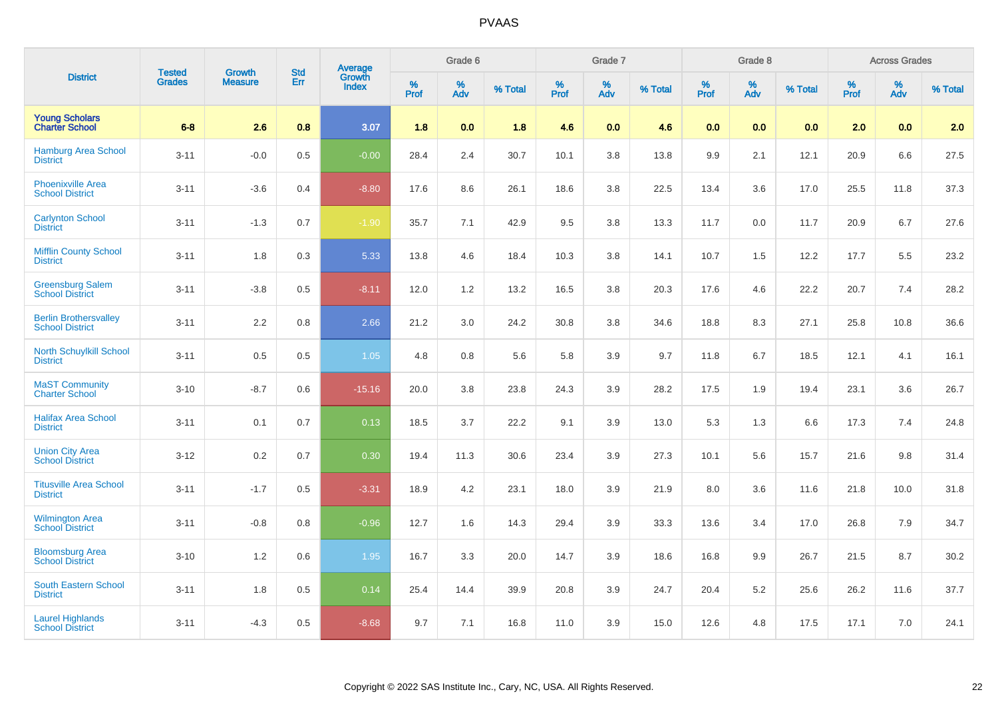|                                                        | <b>Tested</b> | <b>Growth</b>  | <b>Std</b> | <b>Average</b><br>Growth |                     | Grade 6  |         |                     | Grade 7  |         |                     | Grade 8                 |         |                     | <b>Across Grades</b> |         |
|--------------------------------------------------------|---------------|----------------|------------|--------------------------|---------------------|----------|---------|---------------------|----------|---------|---------------------|-------------------------|---------|---------------------|----------------------|---------|
| <b>District</b>                                        | <b>Grades</b> | <b>Measure</b> | Err        | <b>Index</b>             | $\%$<br><b>Prof</b> | %<br>Adv | % Total | $\%$<br><b>Prof</b> | %<br>Adv | % Total | $\%$<br><b>Prof</b> | $\frac{\%}{\text{Adv}}$ | % Total | $\%$<br><b>Prof</b> | $\%$<br>Adv          | % Total |
| <b>Young Scholars</b><br><b>Charter School</b>         | $6-8$         | 2.6            | 0.8        | 3.07                     | 1.8                 | 0.0      | 1.8     | 4.6                 | 0.0      | 4.6     | 0.0                 | 0.0                     | 0.0     | 2.0                 | 0.0                  | 2.0     |
| <b>Hamburg Area School</b><br><b>District</b>          | $3 - 11$      | $-0.0$         | 0.5        | $-0.00$                  | 28.4                | 2.4      | 30.7    | 10.1                | 3.8      | 13.8    | 9.9                 | 2.1                     | 12.1    | 20.9                | 6.6                  | 27.5    |
| <b>Phoenixville Area</b><br><b>School District</b>     | $3 - 11$      | $-3.6$         | 0.4        | $-8.80$                  | 17.6                | 8.6      | 26.1    | 18.6                | 3.8      | 22.5    | 13.4                | 3.6                     | 17.0    | 25.5                | 11.8                 | 37.3    |
| <b>Carlynton School</b><br><b>District</b>             | $3 - 11$      | $-1.3$         | 0.7        | $-1.90$                  | 35.7                | 7.1      | 42.9    | 9.5                 | 3.8      | 13.3    | 11.7                | 0.0                     | 11.7    | 20.9                | 6.7                  | 27.6    |
| <b>Mifflin County School</b><br><b>District</b>        | $3 - 11$      | 1.8            | 0.3        | 5.33                     | 13.8                | 4.6      | 18.4    | 10.3                | 3.8      | 14.1    | 10.7                | 1.5                     | 12.2    | 17.7                | 5.5                  | 23.2    |
| <b>Greensburg Salem</b><br><b>School District</b>      | $3 - 11$      | $-3.8$         | 0.5        | $-8.11$                  | 12.0                | 1.2      | 13.2    | 16.5                | 3.8      | 20.3    | 17.6                | 4.6                     | 22.2    | 20.7                | 7.4                  | 28.2    |
| <b>Berlin Brothersvalley</b><br><b>School District</b> | $3 - 11$      | 2.2            | 0.8        | 2.66                     | 21.2                | 3.0      | 24.2    | 30.8                | 3.8      | 34.6    | 18.8                | 8.3                     | 27.1    | 25.8                | 10.8                 | 36.6    |
| <b>North Schuylkill School</b><br><b>District</b>      | $3 - 11$      | 0.5            | 0.5        | 1.05                     | 4.8                 | 0.8      | 5.6     | 5.8                 | 3.9      | 9.7     | 11.8                | 6.7                     | 18.5    | 12.1                | 4.1                  | 16.1    |
| <b>MaST Community</b><br><b>Charter School</b>         | $3 - 10$      | $-8.7$         | 0.6        | $-15.16$                 | 20.0                | $3.8\,$  | 23.8    | 24.3                | 3.9      | 28.2    | 17.5                | 1.9                     | 19.4    | 23.1                | 3.6                  | 26.7    |
| <b>Halifax Area School</b><br><b>District</b>          | $3 - 11$      | 0.1            | 0.7        | 0.13                     | 18.5                | 3.7      | 22.2    | 9.1                 | 3.9      | 13.0    | 5.3                 | 1.3                     | 6.6     | 17.3                | 7.4                  | 24.8    |
| <b>Union City Area</b><br><b>School District</b>       | $3 - 12$      | 0.2            | 0.7        | 0.30                     | 19.4                | 11.3     | 30.6    | 23.4                | 3.9      | 27.3    | 10.1                | 5.6                     | 15.7    | 21.6                | 9.8                  | 31.4    |
| <b>Titusville Area School</b><br><b>District</b>       | $3 - 11$      | $-1.7$         | 0.5        | $-3.31$                  | 18.9                | 4.2      | 23.1    | 18.0                | 3.9      | 21.9    | 8.0                 | 3.6                     | 11.6    | 21.8                | 10.0                 | 31.8    |
| Wilmington Area<br>School District                     | $3 - 11$      | $-0.8$         | 0.8        | $-0.96$                  | 12.7                | 1.6      | 14.3    | 29.4                | 3.9      | 33.3    | 13.6                | 3.4                     | 17.0    | 26.8                | 7.9                  | 34.7    |
| <b>Bloomsburg Area</b><br><b>School District</b>       | $3 - 10$      | 1.2            | 0.6        | 1.95                     | 16.7                | 3.3      | 20.0    | 14.7                | 3.9      | 18.6    | 16.8                | 9.9                     | 26.7    | 21.5                | 8.7                  | 30.2    |
| South Eastern School<br><b>District</b>                | $3 - 11$      | 1.8            | 0.5        | 0.14                     | 25.4                | 14.4     | 39.9    | 20.8                | 3.9      | 24.7    | 20.4                | 5.2                     | 25.6    | 26.2                | 11.6                 | 37.7    |
| <b>Laurel Highlands</b><br><b>School District</b>      | $3 - 11$      | $-4.3$         | 0.5        | $-8.68$                  | 9.7                 | 7.1      | 16.8    | 11.0                | 3.9      | 15.0    | 12.6                | 4.8                     | 17.5    | 17.1                | 7.0                  | 24.1    |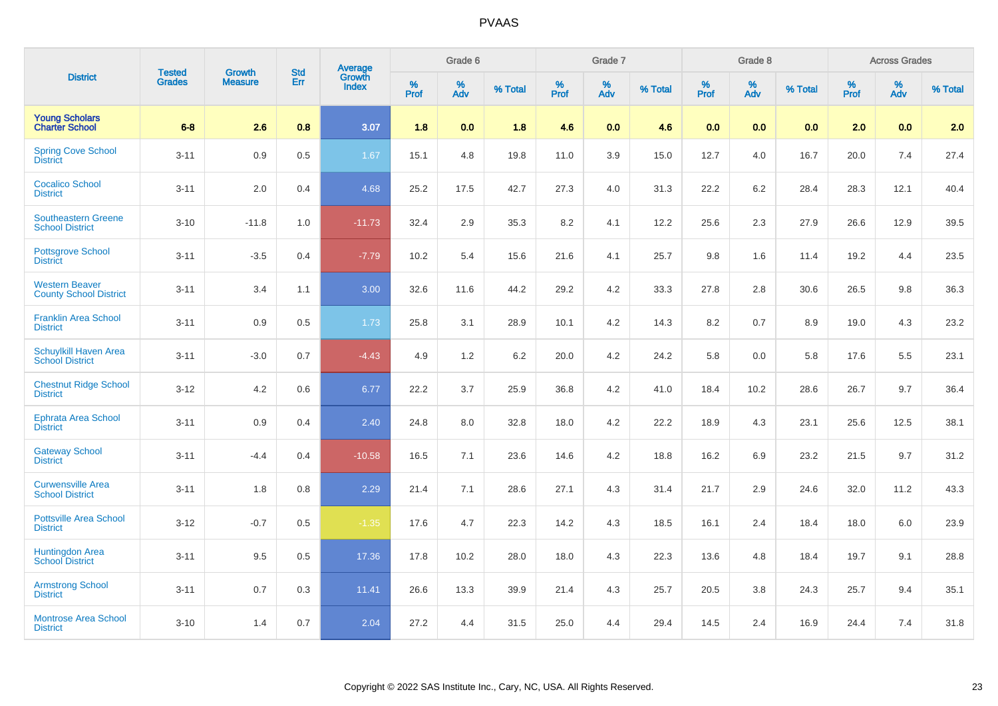|                                                        | <b>Tested</b> | <b>Growth</b>  | <b>Std</b> | <b>Average</b><br>Growth |                     | Grade 6  |         |                  | Grade 7  |         |                     | Grade 8  |         |                  | <b>Across Grades</b> |         |
|--------------------------------------------------------|---------------|----------------|------------|--------------------------|---------------------|----------|---------|------------------|----------|---------|---------------------|----------|---------|------------------|----------------------|---------|
| <b>District</b>                                        | <b>Grades</b> | <b>Measure</b> | Err        | <b>Index</b>             | $\%$<br><b>Prof</b> | %<br>Adv | % Total | %<br><b>Prof</b> | %<br>Adv | % Total | $\%$<br><b>Prof</b> | %<br>Adv | % Total | %<br><b>Prof</b> | %<br>Adv             | % Total |
| <b>Young Scholars</b><br><b>Charter School</b>         | $6-8$         | 2.6            | 0.8        | 3.07                     | 1.8                 | 0.0      | 1.8     | 4.6              | 0.0      | 4.6     | 0.0                 | 0.0      | 0.0     | 2.0              | 0.0                  | 2.0     |
| <b>Spring Cove School</b><br><b>District</b>           | $3 - 11$      | 0.9            | 0.5        | 1.67                     | 15.1                | 4.8      | 19.8    | 11.0             | 3.9      | 15.0    | 12.7                | 4.0      | 16.7    | 20.0             | 7.4                  | 27.4    |
| <b>Cocalico School</b><br><b>District</b>              | $3 - 11$      | $2.0\,$        | 0.4        | 4.68                     | 25.2                | 17.5     | 42.7    | 27.3             | 4.0      | 31.3    | 22.2                | 6.2      | 28.4    | 28.3             | 12.1                 | 40.4    |
| <b>Southeastern Greene</b><br><b>School District</b>   | $3 - 10$      | $-11.8$        | 1.0        | $-11.73$                 | 32.4                | 2.9      | 35.3    | 8.2              | 4.1      | 12.2    | 25.6                | 2.3      | 27.9    | 26.6             | 12.9                 | 39.5    |
| <b>Pottsgrove School</b><br><b>District</b>            | $3 - 11$      | $-3.5$         | 0.4        | $-7.79$                  | 10.2                | 5.4      | 15.6    | 21.6             | 4.1      | 25.7    | 9.8                 | 1.6      | 11.4    | 19.2             | 4.4                  | 23.5    |
| <b>Western Beaver</b><br><b>County School District</b> | $3 - 11$      | 3.4            | 1.1        | 3.00                     | 32.6                | 11.6     | 44.2    | 29.2             | 4.2      | 33.3    | 27.8                | 2.8      | 30.6    | 26.5             | 9.8                  | 36.3    |
| <b>Franklin Area School</b><br><b>District</b>         | $3 - 11$      | 0.9            | 0.5        | 1.73                     | 25.8                | 3.1      | 28.9    | 10.1             | 4.2      | 14.3    | 8.2                 | 0.7      | 8.9     | 19.0             | 4.3                  | 23.2    |
| Schuylkill Haven Area<br><b>School District</b>        | $3 - 11$      | $-3.0$         | 0.7        | $-4.43$                  | 4.9                 | 1.2      | 6.2     | 20.0             | 4.2      | 24.2    | 5.8                 | 0.0      | 5.8     | 17.6             | 5.5                  | 23.1    |
| <b>Chestnut Ridge School</b><br><b>District</b>        | $3 - 12$      | 4.2            | 0.6        | 6.77                     | 22.2                | 3.7      | 25.9    | 36.8             | 4.2      | 41.0    | 18.4                | 10.2     | 28.6    | 26.7             | 9.7                  | 36.4    |
| <b>Ephrata Area School</b><br><b>District</b>          | $3 - 11$      | 0.9            | 0.4        | 2.40                     | 24.8                | 8.0      | 32.8    | 18.0             | 4.2      | 22.2    | 18.9                | 4.3      | 23.1    | 25.6             | 12.5                 | 38.1    |
| <b>Gateway School</b><br><b>District</b>               | $3 - 11$      | $-4.4$         | 0.4        | $-10.58$                 | 16.5                | 7.1      | 23.6    | 14.6             | 4.2      | 18.8    | 16.2                | 6.9      | 23.2    | 21.5             | 9.7                  | 31.2    |
| <b>Curwensville Area</b><br><b>School District</b>     | $3 - 11$      | 1.8            | 0.8        | 2.29                     | 21.4                | 7.1      | 28.6    | 27.1             | 4.3      | 31.4    | 21.7                | 2.9      | 24.6    | 32.0             | 11.2                 | 43.3    |
| <b>Pottsville Area School</b><br><b>District</b>       | $3 - 12$      | $-0.7$         | 0.5        | $-1.35$                  | 17.6                | 4.7      | 22.3    | 14.2             | 4.3      | 18.5    | 16.1                | 2.4      | 18.4    | 18.0             | 6.0                  | 23.9    |
| Huntingdon Area<br>School District                     | $3 - 11$      | 9.5            | 0.5        | 17.36                    | 17.8                | 10.2     | 28.0    | 18.0             | 4.3      | 22.3    | 13.6                | 4.8      | 18.4    | 19.7             | 9.1                  | 28.8    |
| <b>Armstrong School</b><br><b>District</b>             | $3 - 11$      | 0.7            | 0.3        | 11.41                    | 26.6                | 13.3     | 39.9    | 21.4             | 4.3      | 25.7    | 20.5                | 3.8      | 24.3    | 25.7             | 9.4                  | 35.1    |
| <b>Montrose Area School</b><br><b>District</b>         | $3 - 10$      | 1.4            | 0.7        | 2.04                     | 27.2                | 4.4      | 31.5    | 25.0             | 4.4      | 29.4    | 14.5                | 2.4      | 16.9    | 24.4             | 7.4                  | 31.8    |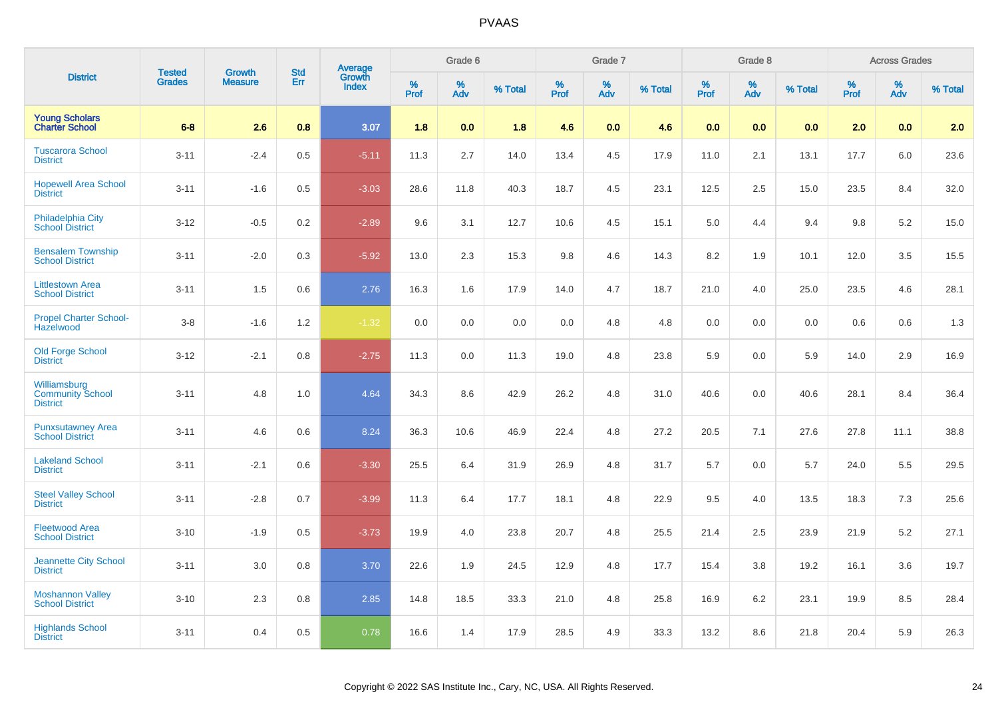|                                                            | <b>Tested</b> | <b>Growth</b>  | <b>Std</b> |                                          |           | Grade 6  |         |           | Grade 7  |         |              | Grade 8  |         |                     | <b>Across Grades</b> |         |
|------------------------------------------------------------|---------------|----------------|------------|------------------------------------------|-----------|----------|---------|-----------|----------|---------|--------------|----------|---------|---------------------|----------------------|---------|
| <b>District</b>                                            | <b>Grades</b> | <b>Measure</b> | Err        | <b>Average</b><br>Growth<br><b>Index</b> | %<br>Prof | %<br>Adv | % Total | %<br>Prof | %<br>Adv | % Total | $\%$<br>Prof | %<br>Adv | % Total | $\%$<br><b>Prof</b> | %<br>Adv             | % Total |
| <b>Young Scholars</b><br><b>Charter School</b>             | $6-8$         | 2.6            | 0.8        | 3.07                                     | 1.8       | 0.0      | 1.8     | 4.6       | 0.0      | 4.6     | 0.0          | 0.0      | 0.0     | 2.0                 | 0.0                  | 2.0     |
| <b>Tuscarora School</b><br><b>District</b>                 | $3 - 11$      | $-2.4$         | 0.5        | $-5.11$                                  | 11.3      | 2.7      | 14.0    | 13.4      | 4.5      | 17.9    | 11.0         | 2.1      | 13.1    | 17.7                | 6.0                  | 23.6    |
| <b>Hopewell Area School</b><br><b>District</b>             | $3 - 11$      | $-1.6$         | 0.5        | $-3.03$                                  | 28.6      | 11.8     | 40.3    | 18.7      | 4.5      | 23.1    | 12.5         | 2.5      | 15.0    | 23.5                | 8.4                  | 32.0    |
| <b>Philadelphia City</b><br><b>School District</b>         | $3 - 12$      | $-0.5$         | 0.2        | $-2.89$                                  | 9.6       | 3.1      | 12.7    | 10.6      | 4.5      | 15.1    | 5.0          | 4.4      | 9.4     | 9.8                 | 5.2                  | 15.0    |
| <b>Bensalem Township</b><br><b>School District</b>         | $3 - 11$      | $-2.0$         | 0.3        | $-5.92$                                  | 13.0      | 2.3      | 15.3    | 9.8       | 4.6      | 14.3    | 8.2          | 1.9      | 10.1    | 12.0                | 3.5                  | 15.5    |
| <b>Littlestown Area</b><br><b>School District</b>          | $3 - 11$      | 1.5            | 0.6        | 2.76                                     | 16.3      | 1.6      | 17.9    | 14.0      | 4.7      | 18.7    | 21.0         | 4.0      | 25.0    | 23.5                | 4.6                  | 28.1    |
| <b>Propel Charter School-</b><br><b>Hazelwood</b>          | $3-8$         | $-1.6$         | 1.2        | $-1.32$                                  | 0.0       | 0.0      | 0.0     | 0.0       | 4.8      | 4.8     | 0.0          | 0.0      | 0.0     | 0.6                 | 0.6                  | 1.3     |
| <b>Old Forge School</b><br><b>District</b>                 | $3 - 12$      | $-2.1$         | 0.8        | $-2.75$                                  | 11.3      | 0.0      | 11.3    | 19.0      | 4.8      | 23.8    | 5.9          | 0.0      | 5.9     | 14.0                | 2.9                  | 16.9    |
| Williamsburg<br><b>Community School</b><br><b>District</b> | $3 - 11$      | 4.8            | 1.0        | 4.64                                     | 34.3      | 8.6      | 42.9    | 26.2      | 4.8      | 31.0    | 40.6         | 0.0      | 40.6    | 28.1                | 8.4                  | 36.4    |
| <b>Punxsutawney Area</b><br><b>School District</b>         | $3 - 11$      | 4.6            | 0.6        | 8.24                                     | 36.3      | 10.6     | 46.9    | 22.4      | 4.8      | 27.2    | 20.5         | 7.1      | 27.6    | 27.8                | 11.1                 | 38.8    |
| <b>Lakeland School</b><br><b>District</b>                  | $3 - 11$      | $-2.1$         | 0.6        | $-3.30$                                  | 25.5      | 6.4      | 31.9    | 26.9      | 4.8      | 31.7    | 5.7          | 0.0      | 5.7     | 24.0                | 5.5                  | 29.5    |
| <b>Steel Valley School</b><br><b>District</b>              | $3 - 11$      | $-2.8$         | 0.7        | $-3.99$                                  | 11.3      | 6.4      | 17.7    | 18.1      | 4.8      | 22.9    | 9.5          | 4.0      | 13.5    | 18.3                | 7.3                  | 25.6    |
| <b>Fleetwood Area</b><br><b>School District</b>            | $3 - 10$      | $-1.9$         | 0.5        | $-3.73$                                  | 19.9      | 4.0      | 23.8    | 20.7      | 4.8      | 25.5    | 21.4         | 2.5      | 23.9    | 21.9                | 5.2                  | 27.1    |
| <b>Jeannette City School</b><br><b>District</b>            | $3 - 11$      | 3.0            | 0.8        | 3.70                                     | 22.6      | 1.9      | 24.5    | 12.9      | 4.8      | 17.7    | 15.4         | 3.8      | 19.2    | 16.1                | 3.6                  | 19.7    |
| <b>Moshannon Valley</b><br><b>School District</b>          | $3 - 10$      | 2.3            | 0.8        | 2.85                                     | 14.8      | 18.5     | 33.3    | 21.0      | 4.8      | 25.8    | 16.9         | 6.2      | 23.1    | 19.9                | 8.5                  | 28.4    |
| <b>Highlands School</b><br><b>District</b>                 | $3 - 11$      | 0.4            | 0.5        | 0.78                                     | 16.6      | 1.4      | 17.9    | 28.5      | 4.9      | 33.3    | 13.2         | 8.6      | 21.8    | 20.4                | 5.9                  | 26.3    |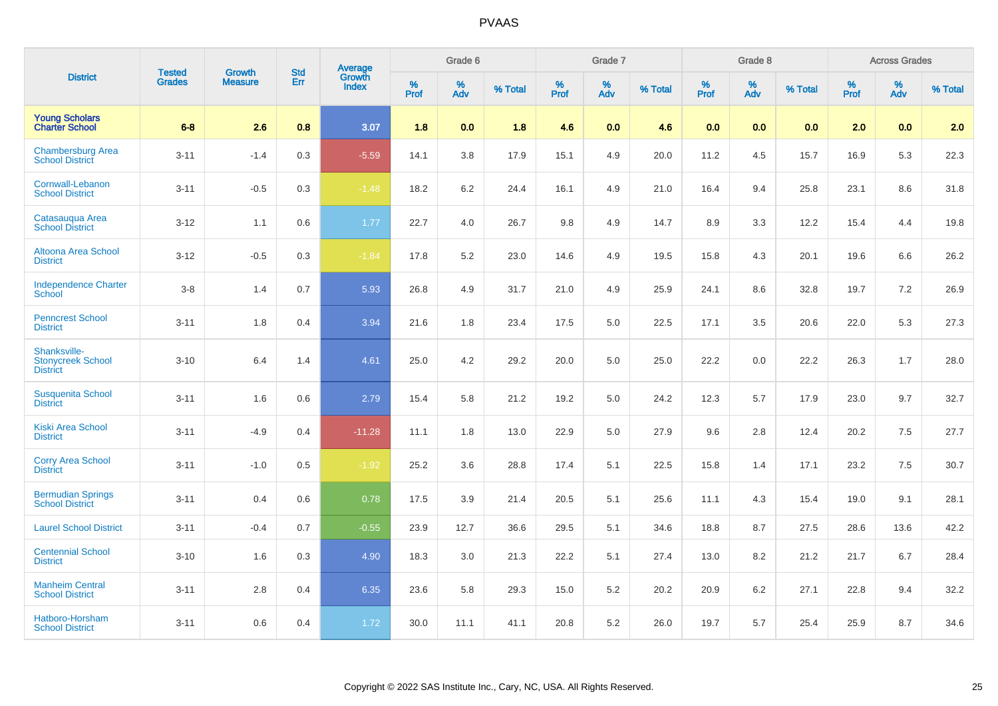|                                                             |                                | <b>Growth</b>  | <b>Std</b> |                                          |              | Grade 6  |         |              | Grade 7  |         |                     | Grade 8                 |         |              | <b>Across Grades</b> |         |
|-------------------------------------------------------------|--------------------------------|----------------|------------|------------------------------------------|--------------|----------|---------|--------------|----------|---------|---------------------|-------------------------|---------|--------------|----------------------|---------|
| <b>District</b>                                             | <b>Tested</b><br><b>Grades</b> | <b>Measure</b> | Err        | <b>Average</b><br>Growth<br><b>Index</b> | $\%$<br>Prof | %<br>Adv | % Total | $\%$<br>Prof | %<br>Adv | % Total | $\%$<br><b>Prof</b> | $\frac{\%}{\text{Adv}}$ | % Total | $\%$<br>Prof | %<br>Adv             | % Total |
| <b>Young Scholars</b><br><b>Charter School</b>              | $6-8$                          | 2.6            | 0.8        | 3.07                                     | 1.8          | 0.0      | 1.8     | 4.6          | 0.0      | 4.6     | 0.0                 | 0.0                     | 0.0     | 2.0          | 0.0                  | 2.0     |
| <b>Chambersburg Area</b><br><b>School District</b>          | $3 - 11$                       | $-1.4$         | 0.3        | $-5.59$                                  | 14.1         | 3.8      | 17.9    | 15.1         | 4.9      | 20.0    | 11.2                | 4.5                     | 15.7    | 16.9         | 5.3                  | 22.3    |
| Cornwall-Lebanon<br><b>School District</b>                  | $3 - 11$                       | $-0.5$         | 0.3        | $-1.48$                                  | 18.2         | 6.2      | 24.4    | 16.1         | 4.9      | 21.0    | 16.4                | 9.4                     | 25.8    | 23.1         | 8.6                  | 31.8    |
| Catasauqua Area<br><b>School District</b>                   | $3 - 12$                       | 1.1            | 0.6        | 1.77                                     | 22.7         | 4.0      | 26.7    | 9.8          | 4.9      | 14.7    | 8.9                 | 3.3                     | 12.2    | 15.4         | 4.4                  | 19.8    |
| Altoona Area School<br><b>District</b>                      | $3 - 12$                       | $-0.5$         | 0.3        | $-1.84$                                  | 17.8         | 5.2      | 23.0    | 14.6         | 4.9      | 19.5    | 15.8                | 4.3                     | 20.1    | 19.6         | 6.6                  | 26.2    |
| <b>Independence Charter</b><br><b>School</b>                | $3 - 8$                        | 1.4            | 0.7        | 5.93                                     | 26.8         | 4.9      | 31.7    | 21.0         | 4.9      | 25.9    | 24.1                | 8.6                     | 32.8    | 19.7         | 7.2                  | 26.9    |
| <b>Penncrest School</b><br><b>District</b>                  | $3 - 11$                       | 1.8            | 0.4        | 3.94                                     | 21.6         | 1.8      | 23.4    | 17.5         | 5.0      | 22.5    | 17.1                | 3.5                     | 20.6    | 22.0         | 5.3                  | 27.3    |
| Shanksville-<br><b>Stonycreek School</b><br><b>District</b> | $3 - 10$                       | 6.4            | 1.4        | 4.61                                     | 25.0         | 4.2      | 29.2    | 20.0         | 5.0      | 25.0    | 22.2                | 0.0                     | 22.2    | 26.3         | 1.7                  | 28.0    |
| <b>Susquenita School</b><br><b>District</b>                 | $3 - 11$                       | 1.6            | 0.6        | 2.79                                     | 15.4         | 5.8      | 21.2    | 19.2         | 5.0      | 24.2    | 12.3                | 5.7                     | 17.9    | 23.0         | 9.7                  | 32.7    |
| <b>Kiski Area School</b><br><b>District</b>                 | $3 - 11$                       | $-4.9$         | 0.4        | $-11.28$                                 | 11.1         | 1.8      | 13.0    | 22.9         | 5.0      | 27.9    | 9.6                 | 2.8                     | 12.4    | 20.2         | 7.5                  | 27.7    |
| <b>Corry Area School</b><br><b>District</b>                 | $3 - 11$                       | $-1.0$         | 0.5        | $-1.92$                                  | 25.2         | 3.6      | 28.8    | 17.4         | 5.1      | 22.5    | 15.8                | 1.4                     | 17.1    | 23.2         | $7.5\,$              | 30.7    |
| <b>Bermudian Springs</b><br><b>School District</b>          | $3 - 11$                       | 0.4            | 0.6        | 0.78                                     | 17.5         | 3.9      | 21.4    | 20.5         | 5.1      | 25.6    | 11.1                | 4.3                     | 15.4    | 19.0         | 9.1                  | 28.1    |
| <b>Laurel School District</b>                               | $3 - 11$                       | $-0.4$         | 0.7        | $-0.55$                                  | 23.9         | 12.7     | 36.6    | 29.5         | 5.1      | 34.6    | 18.8                | 8.7                     | 27.5    | 28.6         | 13.6                 | 42.2    |
| <b>Centennial School</b><br><b>District</b>                 | $3 - 10$                       | 1.6            | 0.3        | 4.90                                     | 18.3         | 3.0      | 21.3    | 22.2         | 5.1      | 27.4    | 13.0                | 8.2                     | 21.2    | 21.7         | 6.7                  | 28.4    |
| <b>Manheim Central</b><br><b>School District</b>            | $3 - 11$                       | 2.8            | 0.4        | 6.35                                     | 23.6         | 5.8      | 29.3    | 15.0         | 5.2      | 20.2    | 20.9                | 6.2                     | 27.1    | 22.8         | 9.4                  | 32.2    |
| Hatboro-Horsham<br><b>School District</b>                   | $3 - 11$                       | 0.6            | 0.4        | 1.72                                     | 30.0         | 11.1     | 41.1    | 20.8         | 5.2      | 26.0    | 19.7                | 5.7                     | 25.4    | 25.9         | 8.7                  | 34.6    |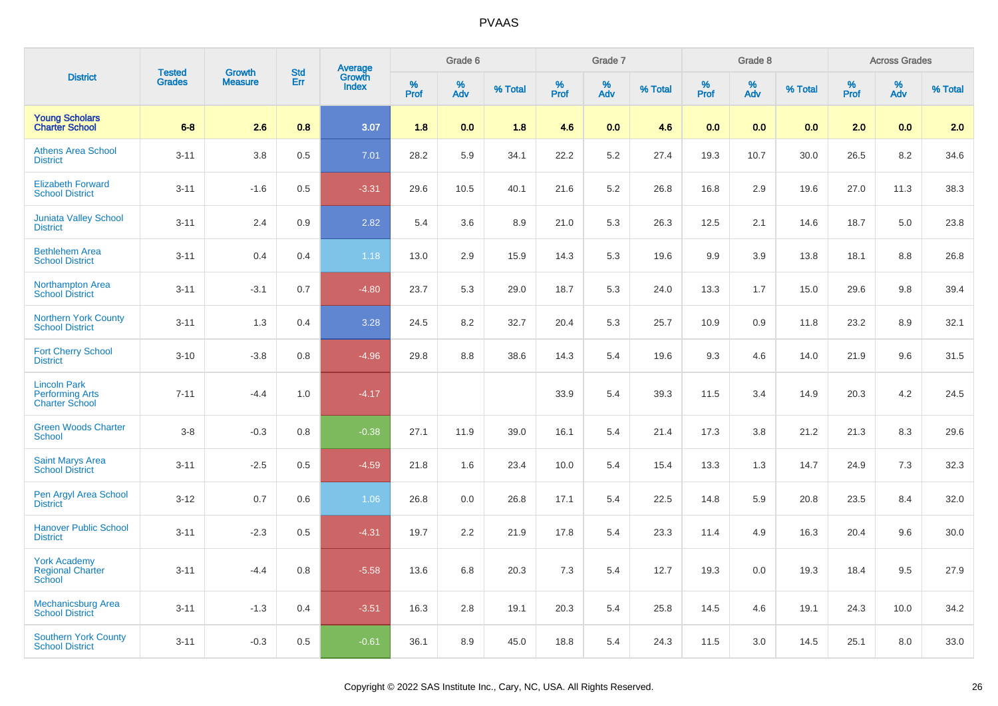|                                                                        | <b>Tested</b> | <b>Growth</b>  | <b>Std</b> |                                   |           | Grade 6  |         |           | Grade 7  |         |           | Grade 8  |         |           | <b>Across Grades</b> |         |
|------------------------------------------------------------------------|---------------|----------------|------------|-----------------------------------|-----------|----------|---------|-----------|----------|---------|-----------|----------|---------|-----------|----------------------|---------|
| <b>District</b>                                                        | <b>Grades</b> | <b>Measure</b> | Err        | Average<br>Growth<br><b>Index</b> | %<br>Prof | %<br>Adv | % Total | %<br>Prof | %<br>Adv | % Total | %<br>Prof | %<br>Adv | % Total | %<br>Prof | %<br>Adv             | % Total |
| <b>Young Scholars</b><br><b>Charter School</b>                         | $6-8$         | 2.6            | 0.8        | 3.07                              | 1.8       | 0.0      | 1.8     | 4.6       | 0.0      | 4.6     | 0.0       | 0.0      | 0.0     | 2.0       | 0.0                  | 2.0     |
| <b>Athens Area School</b><br><b>District</b>                           | $3 - 11$      | 3.8            | 0.5        | 7.01                              | 28.2      | 5.9      | 34.1    | 22.2      | 5.2      | 27.4    | 19.3      | 10.7     | 30.0    | 26.5      | 8.2                  | 34.6    |
| <b>Elizabeth Forward</b><br><b>School District</b>                     | $3 - 11$      | $-1.6$         | 0.5        | $-3.31$                           | 29.6      | 10.5     | 40.1    | 21.6      | 5.2      | 26.8    | 16.8      | 2.9      | 19.6    | 27.0      | 11.3                 | 38.3    |
| <b>Juniata Valley School</b><br><b>District</b>                        | $3 - 11$      | 2.4            | 0.9        | 2.82                              | 5.4       | 3.6      | 8.9     | 21.0      | 5.3      | 26.3    | 12.5      | 2.1      | 14.6    | 18.7      | 5.0                  | 23.8    |
| <b>Bethlehem Area</b><br><b>School District</b>                        | $3 - 11$      | 0.4            | 0.4        | 1.18                              | 13.0      | 2.9      | 15.9    | 14.3      | 5.3      | 19.6    | 9.9       | 3.9      | 13.8    | 18.1      | 8.8                  | 26.8    |
| <b>Northampton Area</b><br><b>School District</b>                      | $3 - 11$      | $-3.1$         | 0.7        | $-4.80$                           | 23.7      | 5.3      | 29.0    | 18.7      | 5.3      | 24.0    | 13.3      | 1.7      | 15.0    | 29.6      | 9.8                  | 39.4    |
| <b>Northern York County</b><br><b>School District</b>                  | $3 - 11$      | 1.3            | 0.4        | 3.28                              | 24.5      | 8.2      | 32.7    | 20.4      | 5.3      | 25.7    | 10.9      | 0.9      | 11.8    | 23.2      | 8.9                  | 32.1    |
| <b>Fort Cherry School</b><br><b>District</b>                           | $3 - 10$      | $-3.8$         | 0.8        | $-4.96$                           | 29.8      | 8.8      | 38.6    | 14.3      | 5.4      | 19.6    | 9.3       | 4.6      | 14.0    | 21.9      | 9.6                  | 31.5    |
| <b>Lincoln Park</b><br><b>Performing Arts</b><br><b>Charter School</b> | $7 - 11$      | $-4.4$         | 1.0        | $-4.17$                           |           |          |         | 33.9      | 5.4      | 39.3    | 11.5      | 3.4      | 14.9    | 20.3      | 4.2                  | 24.5    |
| <b>Green Woods Charter</b><br><b>School</b>                            | $3 - 8$       | $-0.3$         | 0.8        | $-0.38$                           | 27.1      | 11.9     | 39.0    | 16.1      | 5.4      | 21.4    | 17.3      | 3.8      | 21.2    | 21.3      | 8.3                  | 29.6    |
| Saint Marys Area<br><b>School District</b>                             | $3 - 11$      | $-2.5$         | 0.5        | $-4.59$                           | 21.8      | 1.6      | 23.4    | 10.0      | 5.4      | 15.4    | 13.3      | 1.3      | 14.7    | 24.9      | 7.3                  | 32.3    |
| Pen Argyl Area School<br><b>District</b>                               | $3 - 12$      | 0.7            | 0.6        | 1.06                              | 26.8      | 0.0      | 26.8    | 17.1      | 5.4      | 22.5    | 14.8      | 5.9      | 20.8    | 23.5      | 8.4                  | 32.0    |
| <b>Hanover Public School</b><br><b>District</b>                        | $3 - 11$      | $-2.3$         | 0.5        | $-4.31$                           | 19.7      | 2.2      | 21.9    | 17.8      | 5.4      | 23.3    | 11.4      | 4.9      | 16.3    | 20.4      | 9.6                  | 30.0    |
| <b>York Academy</b><br><b>Regional Charter</b><br>School               | $3 - 11$      | $-4.4$         | 0.8        | $-5.58$                           | 13.6      | 6.8      | 20.3    | 7.3       | 5.4      | 12.7    | 19.3      | 0.0      | 19.3    | 18.4      | 9.5                  | 27.9    |
| <b>Mechanicsburg Area</b><br><b>School District</b>                    | $3 - 11$      | $-1.3$         | 0.4        | $-3.51$                           | 16.3      | 2.8      | 19.1    | 20.3      | 5.4      | 25.8    | 14.5      | 4.6      | 19.1    | 24.3      | 10.0                 | 34.2    |
| <b>Southern York County</b><br><b>School District</b>                  | $3 - 11$      | $-0.3$         | 0.5        | $-0.61$                           | 36.1      | 8.9      | 45.0    | 18.8      | 5.4      | 24.3    | 11.5      | 3.0      | 14.5    | 25.1      | 8.0                  | 33.0    |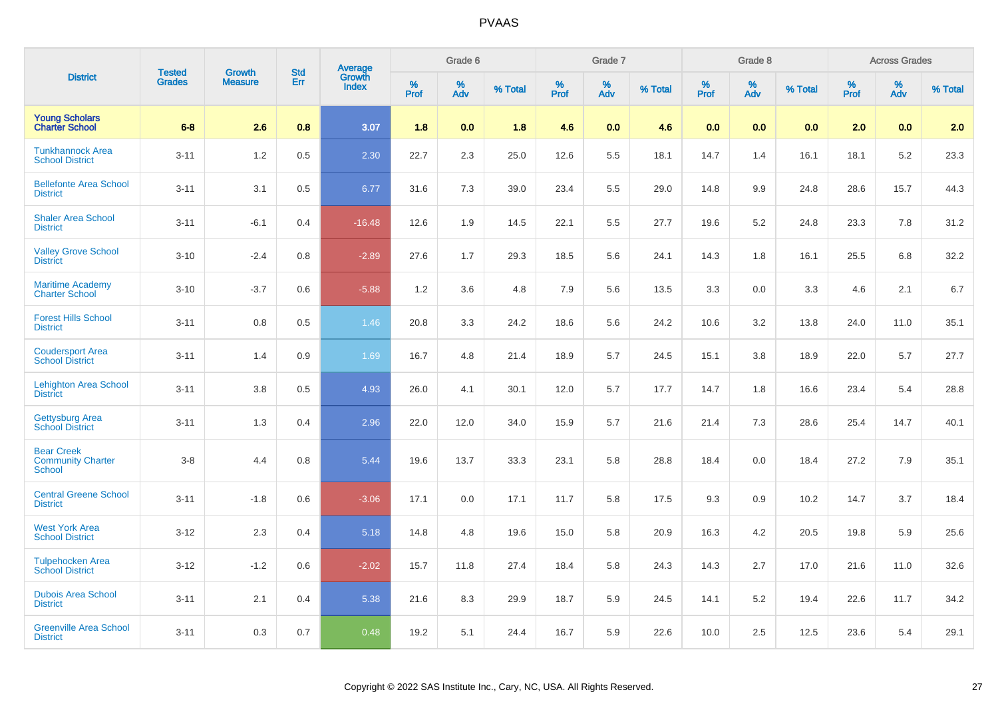|                                                                | <b>Tested</b> | <b>Growth</b>  | <b>Std</b> |                                          |           | Grade 6  |         |              | Grade 7  |         |                     | Grade 8  |         |              | <b>Across Grades</b> |         |
|----------------------------------------------------------------|---------------|----------------|------------|------------------------------------------|-----------|----------|---------|--------------|----------|---------|---------------------|----------|---------|--------------|----------------------|---------|
| <b>District</b>                                                | <b>Grades</b> | <b>Measure</b> | Err        | <b>Average</b><br>Growth<br><b>Index</b> | %<br>Prof | %<br>Adv | % Total | $\%$<br>Prof | %<br>Adv | % Total | $\%$<br><b>Prof</b> | %<br>Adv | % Total | $\%$<br>Prof | %<br>Adv             | % Total |
| <b>Young Scholars</b><br><b>Charter School</b>                 | $6-8$         | 2.6            | 0.8        | 3.07                                     | 1.8       | 0.0      | 1.8     | 4.6          | 0.0      | 4.6     | 0.0                 | 0.0      | 0.0     | 2.0          | 0.0                  | 2.0     |
| <b>Tunkhannock Area</b><br><b>School District</b>              | $3 - 11$      | 1.2            | 0.5        | 2.30                                     | 22.7      | 2.3      | 25.0    | 12.6         | 5.5      | 18.1    | 14.7                | 1.4      | 16.1    | 18.1         | 5.2                  | 23.3    |
| <b>Bellefonte Area School</b><br><b>District</b>               | $3 - 11$      | 3.1            | 0.5        | 6.77                                     | 31.6      | 7.3      | 39.0    | 23.4         | 5.5      | 29.0    | 14.8                | 9.9      | 24.8    | 28.6         | 15.7                 | 44.3    |
| <b>Shaler Area School</b><br><b>District</b>                   | $3 - 11$      | $-6.1$         | 0.4        | $-16.48$                                 | 12.6      | 1.9      | 14.5    | 22.1         | 5.5      | 27.7    | 19.6                | 5.2      | 24.8    | 23.3         | 7.8                  | 31.2    |
| <b>Valley Grove School</b><br><b>District</b>                  | $3 - 10$      | $-2.4$         | 0.8        | $-2.89$                                  | 27.6      | 1.7      | 29.3    | 18.5         | 5.6      | 24.1    | 14.3                | 1.8      | 16.1    | 25.5         | 6.8                  | 32.2    |
| <b>Maritime Academy</b><br><b>Charter School</b>               | $3 - 10$      | $-3.7$         | 0.6        | $-5.88$                                  | 1.2       | 3.6      | 4.8     | 7.9          | 5.6      | 13.5    | 3.3                 | 0.0      | 3.3     | 4.6          | 2.1                  | 6.7     |
| <b>Forest Hills School</b><br><b>District</b>                  | $3 - 11$      | 0.8            | 0.5        | 1.46                                     | 20.8      | 3.3      | 24.2    | 18.6         | 5.6      | 24.2    | 10.6                | 3.2      | 13.8    | 24.0         | 11.0                 | 35.1    |
| <b>Coudersport Area</b><br><b>School District</b>              | $3 - 11$      | 1.4            | 0.9        | 1.69                                     | 16.7      | 4.8      | 21.4    | 18.9         | 5.7      | 24.5    | 15.1                | 3.8      | 18.9    | 22.0         | 5.7                  | 27.7    |
| <b>Lehighton Area School</b><br><b>District</b>                | $3 - 11$      | 3.8            | 0.5        | 4.93                                     | 26.0      | 4.1      | 30.1    | 12.0         | 5.7      | 17.7    | 14.7                | 1.8      | 16.6    | 23.4         | 5.4                  | 28.8    |
| <b>Gettysburg Area</b><br><b>School District</b>               | $3 - 11$      | 1.3            | 0.4        | 2.96                                     | 22.0      | 12.0     | 34.0    | 15.9         | 5.7      | 21.6    | 21.4                | 7.3      | 28.6    | 25.4         | 14.7                 | 40.1    |
| <b>Bear Creek</b><br><b>Community Charter</b><br><b>School</b> | $3-8$         | 4.4            | 0.8        | 5.44                                     | 19.6      | 13.7     | 33.3    | 23.1         | 5.8      | 28.8    | 18.4                | 0.0      | 18.4    | 27.2         | 7.9                  | 35.1    |
| <b>Central Greene School</b><br><b>District</b>                | $3 - 11$      | $-1.8$         | 0.6        | $-3.06$                                  | 17.1      | 0.0      | 17.1    | 11.7         | 5.8      | 17.5    | 9.3                 | 0.9      | 10.2    | 14.7         | 3.7                  | 18.4    |
| <b>West York Area</b><br><b>School District</b>                | $3 - 12$      | 2.3            | 0.4        | 5.18                                     | 14.8      | 4.8      | 19.6    | 15.0         | 5.8      | 20.9    | 16.3                | 4.2      | 20.5    | 19.8         | 5.9                  | 25.6    |
| <b>Tulpehocken Area</b><br><b>School District</b>              | $3 - 12$      | $-1.2$         | 0.6        | $-2.02$                                  | 15.7      | 11.8     | 27.4    | 18.4         | 5.8      | 24.3    | 14.3                | 2.7      | 17.0    | 21.6         | 11.0                 | 32.6    |
| <b>Dubois Area School</b><br><b>District</b>                   | $3 - 11$      | 2.1            | 0.4        | 5.38                                     | 21.6      | 8.3      | 29.9    | 18.7         | 5.9      | 24.5    | 14.1                | 5.2      | 19.4    | 22.6         | 11.7                 | 34.2    |
| <b>Greenville Area School</b><br><b>District</b>               | $3 - 11$      | 0.3            | 0.7        | 0.48                                     | 19.2      | 5.1      | 24.4    | 16.7         | 5.9      | 22.6    | 10.0                | 2.5      | 12.5    | 23.6         | 5.4                  | 29.1    |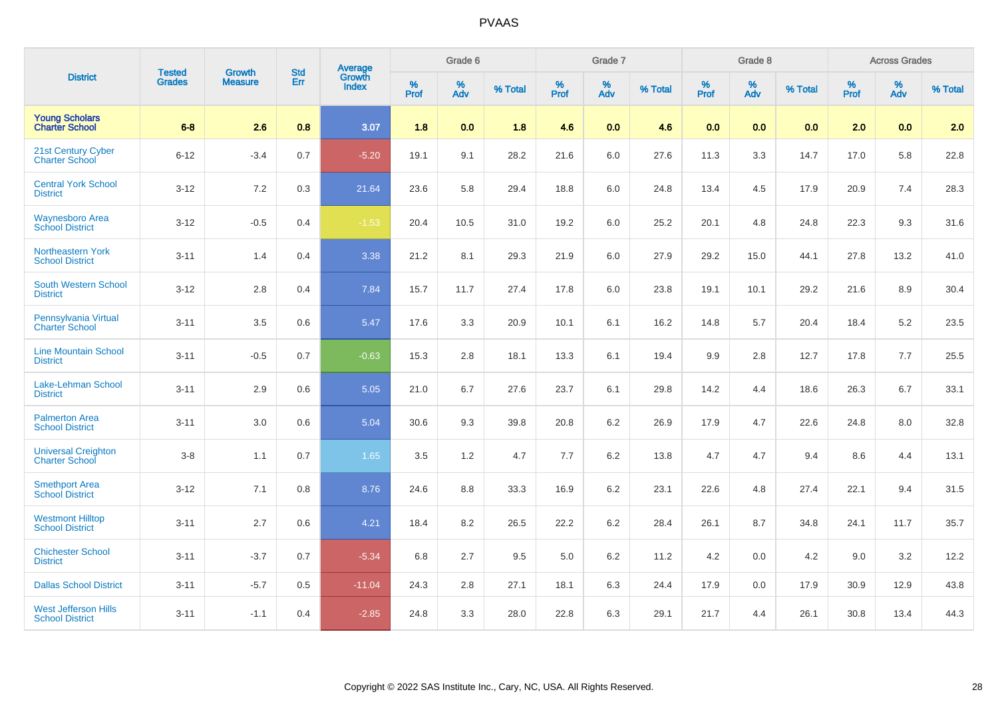|                                                       | <b>Tested</b> | <b>Growth</b>  | <b>Std</b> | <b>Average</b><br>Growth |           | Grade 6  |         |           | Grade 7  |         |                  | Grade 8  |         |           | <b>Across Grades</b> |         |
|-------------------------------------------------------|---------------|----------------|------------|--------------------------|-----------|----------|---------|-----------|----------|---------|------------------|----------|---------|-----------|----------------------|---------|
| <b>District</b>                                       | <b>Grades</b> | <b>Measure</b> | Err        | <b>Index</b>             | %<br>Prof | %<br>Adv | % Total | %<br>Prof | %<br>Adv | % Total | %<br><b>Prof</b> | %<br>Adv | % Total | %<br>Prof | %<br>Adv             | % Total |
| <b>Young Scholars</b><br><b>Charter School</b>        | $6-8$         | 2.6            | 0.8        | 3.07                     | 1.8       | 0.0      | 1.8     | 4.6       | 0.0      | 4.6     | 0.0              | 0.0      | 0.0     | 2.0       | 0.0                  | 2.0     |
| 21st Century Cyber<br>Charter School                  | $6 - 12$      | $-3.4$         | 0.7        | $-5.20$                  | 19.1      | 9.1      | 28.2    | 21.6      | $6.0\,$  | 27.6    | 11.3             | 3.3      | 14.7    | 17.0      | 5.8                  | 22.8    |
| <b>Central York School</b><br><b>District</b>         | $3 - 12$      | $7.2\,$        | 0.3        | 21.64                    | 23.6      | 5.8      | 29.4    | 18.8      | 6.0      | 24.8    | 13.4             | 4.5      | 17.9    | 20.9      | 7.4                  | 28.3    |
| <b>Waynesboro Area</b><br><b>School District</b>      | $3 - 12$      | $-0.5$         | 0.4        | $-1.53$                  | 20.4      | 10.5     | 31.0    | 19.2      | $6.0\,$  | 25.2    | 20.1             | 4.8      | 24.8    | 22.3      | 9.3                  | 31.6    |
| <b>Northeastern York</b><br><b>School District</b>    | $3 - 11$      | 1.4            | 0.4        | 3.38                     | 21.2      | 8.1      | 29.3    | 21.9      | 6.0      | 27.9    | 29.2             | 15.0     | 44.1    | 27.8      | 13.2                 | 41.0    |
| South Western School<br><b>District</b>               | $3 - 12$      | 2.8            | 0.4        | 7.84                     | 15.7      | 11.7     | 27.4    | 17.8      | 6.0      | 23.8    | 19.1             | 10.1     | 29.2    | 21.6      | 8.9                  | 30.4    |
| Pennsylvania Virtual<br><b>Charter School</b>         | $3 - 11$      | 3.5            | 0.6        | 5.47                     | 17.6      | 3.3      | 20.9    | 10.1      | 6.1      | 16.2    | 14.8             | 5.7      | 20.4    | 18.4      | 5.2                  | 23.5    |
| <b>Line Mountain School</b><br><b>District</b>        | $3 - 11$      | $-0.5$         | 0.7        | $-0.63$                  | 15.3      | 2.8      | 18.1    | 13.3      | 6.1      | 19.4    | 9.9              | 2.8      | 12.7    | 17.8      | 7.7                  | 25.5    |
| Lake-Lehman School<br><b>District</b>                 | $3 - 11$      | 2.9            | 0.6        | 5.05                     | 21.0      | 6.7      | 27.6    | 23.7      | 6.1      | 29.8    | 14.2             | 4.4      | 18.6    | 26.3      | 6.7                  | 33.1    |
| <b>Palmerton Area</b><br><b>School District</b>       | $3 - 11$      | 3.0            | 0.6        | 5.04                     | 30.6      | 9.3      | 39.8    | 20.8      | $6.2\,$  | 26.9    | 17.9             | 4.7      | 22.6    | 24.8      | 8.0                  | 32.8    |
| <b>Universal Creighton</b><br><b>Charter School</b>   | $3-8$         | 1.1            | 0.7        | 1.65                     | 3.5       | 1.2      | 4.7     | 7.7       | 6.2      | 13.8    | 4.7              | 4.7      | 9.4     | 8.6       | 4.4                  | 13.1    |
| <b>Smethport Area</b><br><b>School District</b>       | $3 - 12$      | 7.1            | 0.8        | 8.76                     | 24.6      | 8.8      | 33.3    | 16.9      | $6.2\,$  | 23.1    | 22.6             | 4.8      | 27.4    | 22.1      | 9.4                  | 31.5    |
| <b>Westmont Hilltop</b><br><b>School District</b>     | $3 - 11$      | 2.7            | 0.6        | 4.21                     | 18.4      | 8.2      | 26.5    | 22.2      | 6.2      | 28.4    | 26.1             | 8.7      | 34.8    | 24.1      | 11.7                 | 35.7    |
| <b>Chichester School</b><br><b>District</b>           | $3 - 11$      | $-3.7$         | 0.7        | $-5.34$                  | 6.8       | 2.7      | 9.5     | 5.0       | 6.2      | 11.2    | 4.2              | 0.0      | 4.2     | 9.0       | 3.2                  | 12.2    |
| <b>Dallas School District</b>                         | $3 - 11$      | $-5.7$         | 0.5        | $-11.04$                 | 24.3      | 2.8      | 27.1    | 18.1      | 6.3      | 24.4    | 17.9             | 0.0      | 17.9    | 30.9      | 12.9                 | 43.8    |
| <b>West Jefferson Hills</b><br><b>School District</b> | $3 - 11$      | $-1.1$         | 0.4        | $-2.85$                  | 24.8      | 3.3      | 28.0    | 22.8      | 6.3      | 29.1    | 21.7             | 4.4      | 26.1    | 30.8      | 13.4                 | 44.3    |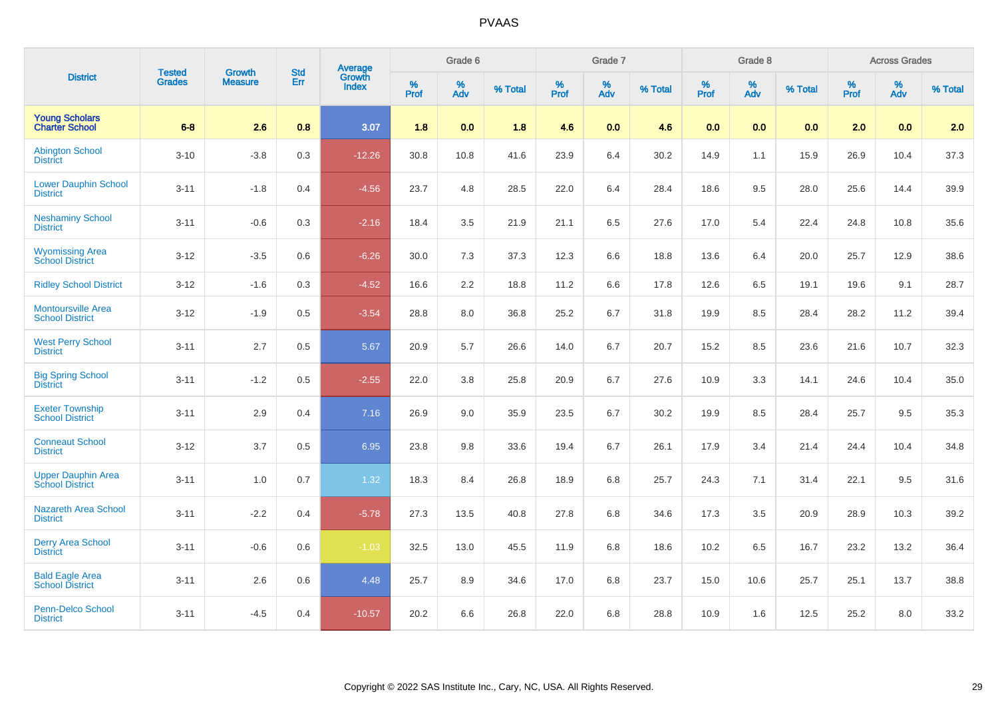|                                                     | <b>Tested</b> |                          | <b>Std</b> | <b>Average</b><br>Growth |           | Grade 6     |         |           | Grade 7  |         |                  | Grade 8  |         |           | <b>Across Grades</b> |         |
|-----------------------------------------------------|---------------|--------------------------|------------|--------------------------|-----------|-------------|---------|-----------|----------|---------|------------------|----------|---------|-----------|----------------------|---------|
| <b>District</b>                                     | <b>Grades</b> | Growth<br><b>Measure</b> | Err        | <b>Index</b>             | %<br>Prof | $\%$<br>Adv | % Total | %<br>Prof | %<br>Adv | % Total | %<br><b>Prof</b> | %<br>Adv | % Total | %<br>Prof | %<br>Adv             | % Total |
| <b>Young Scholars</b><br><b>Charter School</b>      | $6-8$         | 2.6                      | 0.8        | 3.07                     | 1.8       | 0.0         | 1.8     | 4.6       | 0.0      | 4.6     | 0.0              | 0.0      | 0.0     | 2.0       | 0.0                  | 2.0     |
| <b>Abington School</b><br><b>District</b>           | $3 - 10$      | $-3.8$                   | 0.3        | $-12.26$                 | 30.8      | 10.8        | 41.6    | 23.9      | 6.4      | 30.2    | 14.9             | 1.1      | 15.9    | 26.9      | 10.4                 | 37.3    |
| <b>Lower Dauphin School</b><br><b>District</b>      | $3 - 11$      | $-1.8$                   | 0.4        | $-4.56$                  | 23.7      | 4.8         | 28.5    | 22.0      | 6.4      | 28.4    | 18.6             | 9.5      | 28.0    | 25.6      | 14.4                 | 39.9    |
| <b>Neshaminy School</b><br><b>District</b>          | $3 - 11$      | $-0.6$                   | 0.3        | $-2.16$                  | 18.4      | 3.5         | 21.9    | 21.1      | 6.5      | 27.6    | 17.0             | 5.4      | 22.4    | 24.8      | 10.8                 | 35.6    |
| <b>Wyomissing Area</b><br><b>School District</b>    | $3 - 12$      | $-3.5$                   | 0.6        | $-6.26$                  | 30.0      | 7.3         | 37.3    | 12.3      | 6.6      | 18.8    | 13.6             | 6.4      | 20.0    | 25.7      | 12.9                 | 38.6    |
| <b>Ridley School District</b>                       | $3 - 12$      | $-1.6$                   | 0.3        | $-4.52$                  | 16.6      | 2.2         | 18.8    | 11.2      | 6.6      | 17.8    | 12.6             | 6.5      | 19.1    | 19.6      | 9.1                  | 28.7    |
| <b>Montoursville Area</b><br><b>School District</b> | $3 - 12$      | $-1.9$                   | 0.5        | $-3.54$                  | 28.8      | $8.0\,$     | 36.8    | 25.2      | 6.7      | 31.8    | 19.9             | 8.5      | 28.4    | 28.2      | 11.2                 | 39.4    |
| <b>West Perry School</b><br><b>District</b>         | $3 - 11$      | 2.7                      | 0.5        | 5.67                     | 20.9      | 5.7         | 26.6    | 14.0      | 6.7      | 20.7    | 15.2             | 8.5      | 23.6    | 21.6      | 10.7                 | 32.3    |
| <b>Big Spring School</b><br><b>District</b>         | $3 - 11$      | $-1.2$                   | 0.5        | $-2.55$                  | 22.0      | 3.8         | 25.8    | 20.9      | 6.7      | 27.6    | 10.9             | 3.3      | 14.1    | 24.6      | 10.4                 | 35.0    |
| <b>Exeter Township</b><br><b>School District</b>    | $3 - 11$      | 2.9                      | 0.4        | 7.16                     | 26.9      | 9.0         | 35.9    | 23.5      | 6.7      | 30.2    | 19.9             | 8.5      | 28.4    | 25.7      | 9.5                  | 35.3    |
| <b>Conneaut School</b><br><b>District</b>           | $3 - 12$      | 3.7                      | 0.5        | 6.95                     | 23.8      | 9.8         | 33.6    | 19.4      | 6.7      | 26.1    | 17.9             | 3.4      | 21.4    | 24.4      | 10.4                 | 34.8    |
| <b>Upper Dauphin Area</b><br><b>School District</b> | $3 - 11$      | 1.0                      | 0.7        | 1.32                     | 18.3      | 8.4         | 26.8    | 18.9      | 6.8      | 25.7    | 24.3             | 7.1      | 31.4    | 22.1      | 9.5                  | 31.6    |
| <b>Nazareth Area School</b><br><b>District</b>      | $3 - 11$      | $-2.2$                   | 0.4        | $-5.78$                  | 27.3      | 13.5        | 40.8    | 27.8      | 6.8      | 34.6    | 17.3             | 3.5      | 20.9    | 28.9      | 10.3                 | 39.2    |
| <b>Derry Area School</b><br><b>District</b>         | $3 - 11$      | $-0.6$                   | 0.6        | $-1.03$                  | 32.5      | 13.0        | 45.5    | 11.9      | 6.8      | 18.6    | 10.2             | 6.5      | 16.7    | 23.2      | 13.2                 | 36.4    |
| <b>Bald Eagle Area</b><br><b>School District</b>    | $3 - 11$      | 2.6                      | 0.6        | 4.48                     | 25.7      | 8.9         | 34.6    | 17.0      | 6.8      | 23.7    | 15.0             | 10.6     | 25.7    | 25.1      | 13.7                 | 38.8    |
| <b>Penn-Delco School</b><br><b>District</b>         | $3 - 11$      | $-4.5$                   | 0.4        | $-10.57$                 | 20.2      | 6.6         | 26.8    | 22.0      | 6.8      | 28.8    | 10.9             | 1.6      | 12.5    | 25.2      | 8.0                  | 33.2    |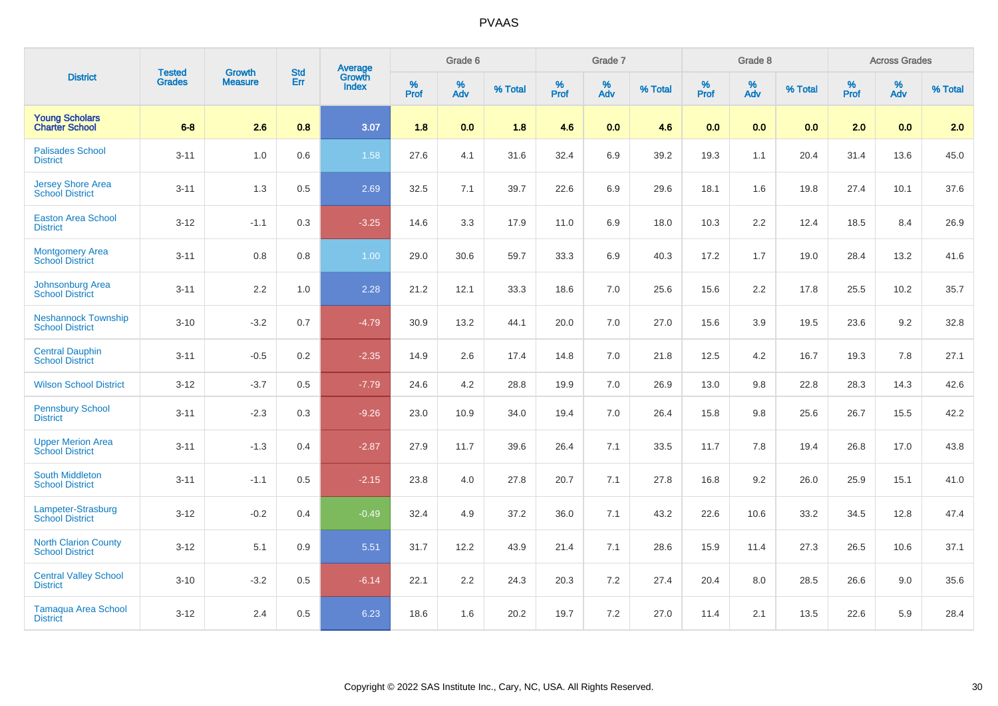|                                                       | <b>Tested</b> | <b>Growth</b>  | <b>Std</b> | Average                |              | Grade 6     |         |                  | Grade 7  |         |           | Grade 8  |         |                  | <b>Across Grades</b> |         |
|-------------------------------------------------------|---------------|----------------|------------|------------------------|--------------|-------------|---------|------------------|----------|---------|-----------|----------|---------|------------------|----------------------|---------|
| <b>District</b>                                       | <b>Grades</b> | <b>Measure</b> | Err        | Growth<br><b>Index</b> | $\%$<br>Prof | $\%$<br>Adv | % Total | %<br><b>Prof</b> | %<br>Adv | % Total | %<br>Prof | %<br>Adv | % Total | %<br><b>Prof</b> | %<br>Adv             | % Total |
| <b>Young Scholars</b><br><b>Charter School</b>        | $6-8$         | 2.6            | 0.8        | 3.07                   | 1.8          | 0.0         | 1.8     | 4.6              | 0.0      | 4.6     | 0.0       | 0.0      | 0.0     | 2.0              | 0.0                  | 2.0     |
| <b>Palisades School</b><br><b>District</b>            | $3 - 11$      | 1.0            | 0.6        | 1.58                   | 27.6         | 4.1         | 31.6    | 32.4             | 6.9      | 39.2    | 19.3      | 1.1      | 20.4    | 31.4             | 13.6                 | 45.0    |
| <b>Jersey Shore Area</b><br><b>School District</b>    | $3 - 11$      | 1.3            | 0.5        | 2.69                   | 32.5         | 7.1         | 39.7    | 22.6             | 6.9      | 29.6    | 18.1      | 1.6      | 19.8    | 27.4             | 10.1                 | 37.6    |
| <b>Easton Area School</b><br><b>District</b>          | $3 - 12$      | $-1.1$         | 0.3        | $-3.25$                | 14.6         | 3.3         | 17.9    | 11.0             | 6.9      | 18.0    | 10.3      | 2.2      | 12.4    | 18.5             | 8.4                  | 26.9    |
| <b>Montgomery Area</b><br><b>School District</b>      | $3 - 11$      | 0.8            | 0.8        | 1.00 <sub>1</sub>      | 29.0         | 30.6        | 59.7    | 33.3             | 6.9      | 40.3    | 17.2      | 1.7      | 19.0    | 28.4             | 13.2                 | 41.6    |
| <b>Johnsonburg Area</b><br><b>School District</b>     | $3 - 11$      | 2.2            | 1.0        | 2.28                   | 21.2         | 12.1        | 33.3    | 18.6             | 7.0      | 25.6    | 15.6      | 2.2      | 17.8    | 25.5             | 10.2                 | 35.7    |
| <b>Neshannock Township</b><br><b>School District</b>  | $3 - 10$      | $-3.2$         | 0.7        | $-4.79$                | 30.9         | 13.2        | 44.1    | 20.0             | 7.0      | 27.0    | 15.6      | 3.9      | 19.5    | 23.6             | 9.2                  | 32.8    |
| <b>Central Dauphin</b><br><b>School District</b>      | $3 - 11$      | $-0.5$         | 0.2        | $-2.35$                | 14.9         | 2.6         | 17.4    | 14.8             | 7.0      | 21.8    | 12.5      | 4.2      | 16.7    | 19.3             | 7.8                  | 27.1    |
| <b>Wilson School District</b>                         | $3 - 12$      | $-3.7$         | 0.5        | $-7.79$                | 24.6         | 4.2         | 28.8    | 19.9             | 7.0      | 26.9    | 13.0      | 9.8      | 22.8    | 28.3             | 14.3                 | 42.6    |
| <b>Pennsbury School</b><br><b>District</b>            | $3 - 11$      | $-2.3$         | 0.3        | $-9.26$                | 23.0         | 10.9        | 34.0    | 19.4             | 7.0      | 26.4    | 15.8      | 9.8      | 25.6    | 26.7             | 15.5                 | 42.2    |
| <b>Upper Merion Area</b><br><b>School District</b>    | $3 - 11$      | $-1.3$         | 0.4        | $-2.87$                | 27.9         | 11.7        | 39.6    | 26.4             | 7.1      | 33.5    | 11.7      | 7.8      | 19.4    | 26.8             | 17.0                 | 43.8    |
| <b>South Middleton</b><br><b>School District</b>      | $3 - 11$      | $-1.1$         | 0.5        | $-2.15$                | 23.8         | 4.0         | 27.8    | 20.7             | 7.1      | 27.8    | 16.8      | 9.2      | 26.0    | 25.9             | 15.1                 | 41.0    |
| Lampeter-Strasburg<br><b>School District</b>          | $3 - 12$      | $-0.2$         | 0.4        | $-0.49$                | 32.4         | 4.9         | 37.2    | 36.0             | 7.1      | 43.2    | 22.6      | 10.6     | 33.2    | 34.5             | 12.8                 | 47.4    |
| <b>North Clarion County</b><br><b>School District</b> | $3 - 12$      | 5.1            | 0.9        | 5.51                   | 31.7         | 12.2        | 43.9    | 21.4             | 7.1      | 28.6    | 15.9      | 11.4     | 27.3    | 26.5             | 10.6                 | 37.1    |
| <b>Central Valley School</b><br><b>District</b>       | $3 - 10$      | $-3.2$         | 0.5        | $-6.14$                | 22.1         | 2.2         | 24.3    | 20.3             | 7.2      | 27.4    | 20.4      | 8.0      | 28.5    | 26.6             | 9.0                  | 35.6    |
| <b>Tamaqua Area School</b><br><b>District</b>         | $3 - 12$      | 2.4            | 0.5        | 6.23                   | 18.6         | 1.6         | 20.2    | 19.7             | $7.2\,$  | 27.0    | 11.4      | 2.1      | 13.5    | 22.6             | 5.9                  | 28.4    |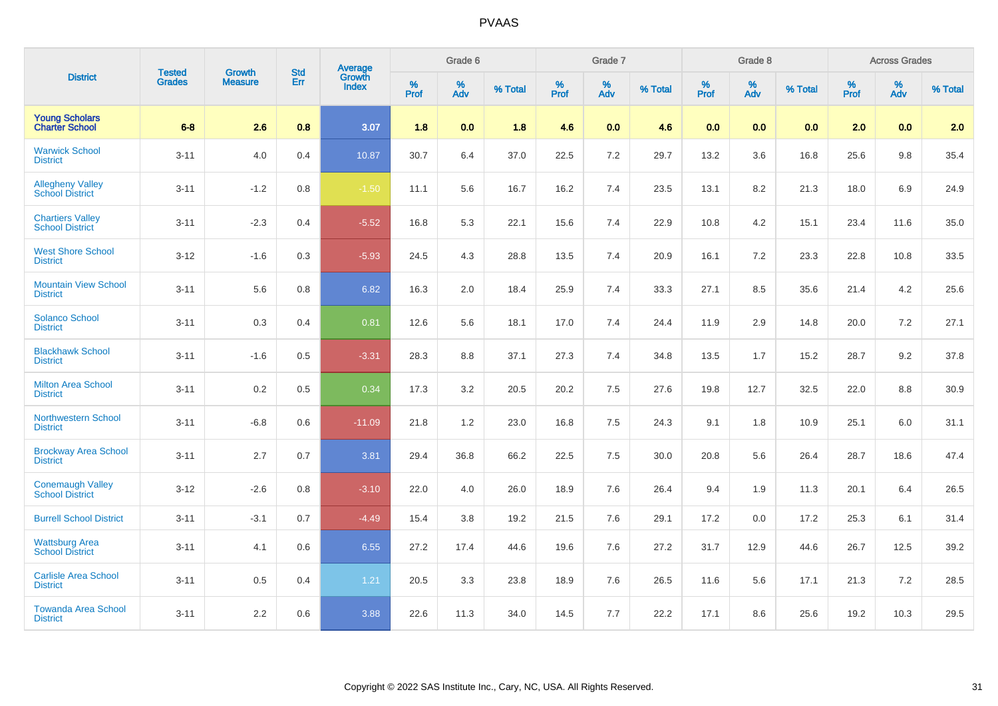|                                                   | <b>Tested</b> | <b>Growth</b>  | <b>Std</b> | Average                |              | Grade 6     |         |                  | Grade 7  |         |           | Grade 8  |         |           | <b>Across Grades</b> |         |
|---------------------------------------------------|---------------|----------------|------------|------------------------|--------------|-------------|---------|------------------|----------|---------|-----------|----------|---------|-----------|----------------------|---------|
| <b>District</b>                                   | <b>Grades</b> | <b>Measure</b> | Err        | Growth<br><b>Index</b> | $\%$<br>Prof | $\%$<br>Adv | % Total | %<br><b>Prof</b> | %<br>Adv | % Total | %<br>Prof | %<br>Adv | % Total | %<br>Prof | %<br>Adv             | % Total |
| <b>Young Scholars</b><br><b>Charter School</b>    | $6-8$         | 2.6            | 0.8        | 3.07                   | 1.8          | 0.0         | 1.8     | 4.6              | 0.0      | 4.6     | 0.0       | 0.0      | 0.0     | 2.0       | 0.0                  | 2.0     |
| <b>Warwick School</b><br><b>District</b>          | $3 - 11$      | 4.0            | 0.4        | 10.87                  | 30.7         | 6.4         | 37.0    | 22.5             | 7.2      | 29.7    | 13.2      | 3.6      | 16.8    | 25.6      | 9.8                  | 35.4    |
| <b>Allegheny Valley</b><br><b>School District</b> | $3 - 11$      | $-1.2$         | 0.8        | $-1.50$                | 11.1         | 5.6         | 16.7    | 16.2             | 7.4      | 23.5    | 13.1      | 8.2      | 21.3    | 18.0      | 6.9                  | 24.9    |
| <b>Chartiers Valley</b><br><b>School District</b> | $3 - 11$      | $-2.3$         | 0.4        | $-5.52$                | 16.8         | 5.3         | 22.1    | 15.6             | 7.4      | 22.9    | 10.8      | 4.2      | 15.1    | 23.4      | 11.6                 | 35.0    |
| <b>West Shore School</b><br><b>District</b>       | $3 - 12$      | $-1.6$         | 0.3        | $-5.93$                | 24.5         | 4.3         | 28.8    | 13.5             | 7.4      | 20.9    | 16.1      | 7.2      | 23.3    | 22.8      | 10.8                 | 33.5    |
| <b>Mountain View School</b><br><b>District</b>    | $3 - 11$      | 5.6            | 0.8        | 6.82                   | 16.3         | 2.0         | 18.4    | 25.9             | 7.4      | 33.3    | 27.1      | 8.5      | 35.6    | 21.4      | 4.2                  | 25.6    |
| <b>Solanco School</b><br><b>District</b>          | $3 - 11$      | 0.3            | 0.4        | 0.81                   | 12.6         | 5.6         | 18.1    | 17.0             | 7.4      | 24.4    | 11.9      | 2.9      | 14.8    | 20.0      | 7.2                  | 27.1    |
| <b>Blackhawk School</b><br><b>District</b>        | $3 - 11$      | $-1.6$         | 0.5        | $-3.31$                | 28.3         | 8.8         | 37.1    | 27.3             | 7.4      | 34.8    | 13.5      | 1.7      | 15.2    | 28.7      | 9.2                  | 37.8    |
| <b>Milton Area School</b><br><b>District</b>      | $3 - 11$      | $0.2\,$        | 0.5        | 0.34                   | 17.3         | 3.2         | 20.5    | 20.2             | 7.5      | 27.6    | 19.8      | 12.7     | 32.5    | 22.0      | 8.8                  | 30.9    |
| <b>Northwestern School</b><br><b>District</b>     | $3 - 11$      | $-6.8$         | 0.6        | $-11.09$               | 21.8         | 1.2         | 23.0    | 16.8             | 7.5      | 24.3    | 9.1       | 1.8      | 10.9    | 25.1      | 6.0                  | 31.1    |
| <b>Brockway Area School</b><br><b>District</b>    | $3 - 11$      | 2.7            | 0.7        | 3.81                   | 29.4         | 36.8        | 66.2    | 22.5             | 7.5      | 30.0    | 20.8      | 5.6      | 26.4    | 28.7      | 18.6                 | 47.4    |
| <b>Conemaugh Valley</b><br><b>School District</b> | $3 - 12$      | $-2.6$         | 0.8        | $-3.10$                | 22.0         | 4.0         | 26.0    | 18.9             | 7.6      | 26.4    | 9.4       | 1.9      | 11.3    | 20.1      | 6.4                  | 26.5    |
| <b>Burrell School District</b>                    | $3 - 11$      | $-3.1$         | 0.7        | $-4.49$                | 15.4         | 3.8         | 19.2    | 21.5             | 7.6      | 29.1    | 17.2      | 0.0      | 17.2    | 25.3      | 6.1                  | 31.4    |
| <b>Wattsburg Area</b><br><b>School District</b>   | $3 - 11$      | 4.1            | 0.6        | 6.55                   | 27.2         | 17.4        | 44.6    | 19.6             | 7.6      | 27.2    | 31.7      | 12.9     | 44.6    | 26.7      | 12.5                 | 39.2    |
| <b>Carlisle Area School</b><br><b>District</b>    | $3 - 11$      | 0.5            | 0.4        | 1.21                   | 20.5         | 3.3         | 23.8    | 18.9             | 7.6      | 26.5    | 11.6      | 5.6      | 17.1    | 21.3      | 7.2                  | 28.5    |
| <b>Towanda Area School</b><br><b>District</b>     | $3 - 11$      | 2.2            | 0.6        | 3.88                   | 22.6         | 11.3        | 34.0    | 14.5             | 7.7      | 22.2    | 17.1      | 8.6      | 25.6    | 19.2      | 10.3                 | 29.5    |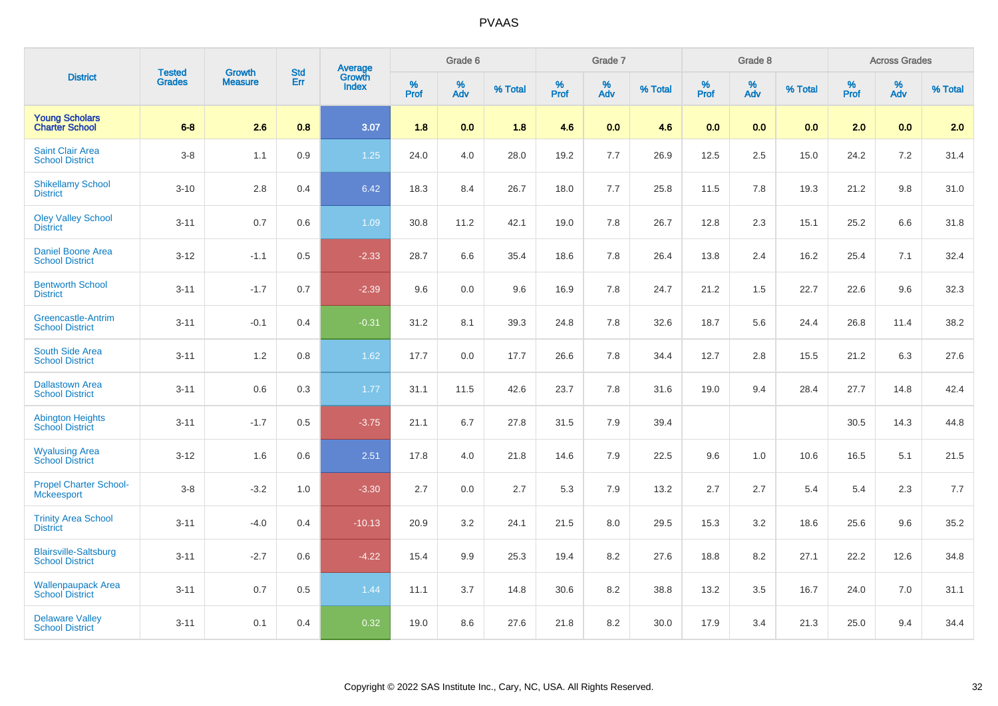|                                                        | <b>Tested</b> | <b>Growth</b>  | <b>Std</b> | <b>Average</b><br>Growth |                     | Grade 6  |         |                  | Grade 7  |         |                     | Grade 8                 |         |                     | <b>Across Grades</b> |         |
|--------------------------------------------------------|---------------|----------------|------------|--------------------------|---------------------|----------|---------|------------------|----------|---------|---------------------|-------------------------|---------|---------------------|----------------------|---------|
| <b>District</b>                                        | <b>Grades</b> | <b>Measure</b> | Err        | <b>Index</b>             | $\%$<br><b>Prof</b> | %<br>Adv | % Total | %<br><b>Prof</b> | %<br>Adv | % Total | $\%$<br><b>Prof</b> | $\frac{\%}{\text{Adv}}$ | % Total | $\%$<br><b>Prof</b> | $\%$<br>Adv          | % Total |
| <b>Young Scholars</b><br><b>Charter School</b>         | $6-8$         | 2.6            | 0.8        | 3.07                     | 1.8                 | 0.0      | 1.8     | 4.6              | 0.0      | 4.6     | 0.0                 | 0.0                     | 0.0     | 2.0                 | 0.0                  | 2.0     |
| <b>Saint Clair Area</b><br><b>School District</b>      | $3-8$         | 1.1            | 0.9        | $1.25$                   | 24.0                | 4.0      | 28.0    | 19.2             | 7.7      | 26.9    | 12.5                | 2.5                     | 15.0    | 24.2                | 7.2                  | 31.4    |
| <b>Shikellamy School</b><br><b>District</b>            | $3 - 10$      | $2.8\,$        | 0.4        | 6.42                     | 18.3                | 8.4      | 26.7    | 18.0             | $7.7$    | 25.8    | 11.5                | 7.8                     | 19.3    | 21.2                | 9.8                  | 31.0    |
| <b>Oley Valley School</b><br><b>District</b>           | $3 - 11$      | 0.7            | 0.6        | 1.09                     | 30.8                | 11.2     | 42.1    | 19.0             | 7.8      | 26.7    | 12.8                | 2.3                     | 15.1    | 25.2                | 6.6                  | 31.8    |
| <b>Daniel Boone Area</b><br><b>School District</b>     | $3 - 12$      | $-1.1$         | 0.5        | $-2.33$                  | 28.7                | 6.6      | 35.4    | 18.6             | 7.8      | 26.4    | 13.8                | 2.4                     | 16.2    | 25.4                | 7.1                  | 32.4    |
| <b>Bentworth School</b><br><b>District</b>             | $3 - 11$      | $-1.7$         | 0.7        | $-2.39$                  | 9.6                 | 0.0      | 9.6     | 16.9             | 7.8      | 24.7    | 21.2                | 1.5                     | 22.7    | 22.6                | 9.6                  | 32.3    |
| <b>Greencastle-Antrim</b><br><b>School District</b>    | $3 - 11$      | $-0.1$         | 0.4        | $-0.31$                  | 31.2                | 8.1      | 39.3    | 24.8             | 7.8      | 32.6    | 18.7                | 5.6                     | 24.4    | 26.8                | 11.4                 | 38.2    |
| South Side Area<br><b>School District</b>              | $3 - 11$      | 1.2            | 0.8        | 1.62                     | 17.7                | 0.0      | 17.7    | 26.6             | 7.8      | 34.4    | 12.7                | 2.8                     | 15.5    | 21.2                | 6.3                  | 27.6    |
| <b>Dallastown Area</b><br><b>School District</b>       | $3 - 11$      | 0.6            | 0.3        | 1.77                     | 31.1                | 11.5     | 42.6    | 23.7             | 7.8      | 31.6    | 19.0                | 9.4                     | 28.4    | 27.7                | 14.8                 | 42.4    |
| <b>Abington Heights</b><br><b>School District</b>      | $3 - 11$      | $-1.7$         | 0.5        | $-3.75$                  | 21.1                | 6.7      | 27.8    | 31.5             | 7.9      | 39.4    |                     |                         |         | 30.5                | 14.3                 | 44.8    |
| <b>Wyalusing Area</b><br><b>School District</b>        | $3 - 12$      | 1.6            | 0.6        | 2.51                     | 17.8                | 4.0      | 21.8    | 14.6             | 7.9      | 22.5    | 9.6                 | $1.0$                   | 10.6    | 16.5                | 5.1                  | 21.5    |
| <b>Propel Charter School-</b><br><b>Mckeesport</b>     | $3 - 8$       | $-3.2$         | 1.0        | $-3.30$                  | 2.7                 | 0.0      | 2.7     | 5.3              | 7.9      | 13.2    | 2.7                 | 2.7                     | 5.4     | 5.4                 | 2.3                  | $7.7$   |
| <b>Trinity Area School</b><br><b>District</b>          | $3 - 11$      | $-4.0$         | 0.4        | $-10.13$                 | 20.9                | 3.2      | 24.1    | 21.5             | 8.0      | 29.5    | 15.3                | 3.2                     | 18.6    | 25.6                | 9.6                  | 35.2    |
| <b>Blairsville-Saltsburg</b><br><b>School District</b> | $3 - 11$      | $-2.7$         | 0.6        | $-4.22$                  | 15.4                | 9.9      | 25.3    | 19.4             | 8.2      | 27.6    | 18.8                | 8.2                     | 27.1    | 22.2                | 12.6                 | 34.8    |
| <b>Wallenpaupack Area</b><br><b>School District</b>    | $3 - 11$      | 0.7            | 0.5        | 1.44                     | 11.1                | 3.7      | 14.8    | 30.6             | 8.2      | 38.8    | 13.2                | 3.5                     | 16.7    | 24.0                | 7.0                  | 31.1    |
| <b>Delaware Valley</b><br><b>School District</b>       | $3 - 11$      | 0.1            | 0.4        | 0.32                     | 19.0                | 8.6      | 27.6    | 21.8             | 8.2      | 30.0    | 17.9                | 3.4                     | 21.3    | 25.0                | 9.4                  | 34.4    |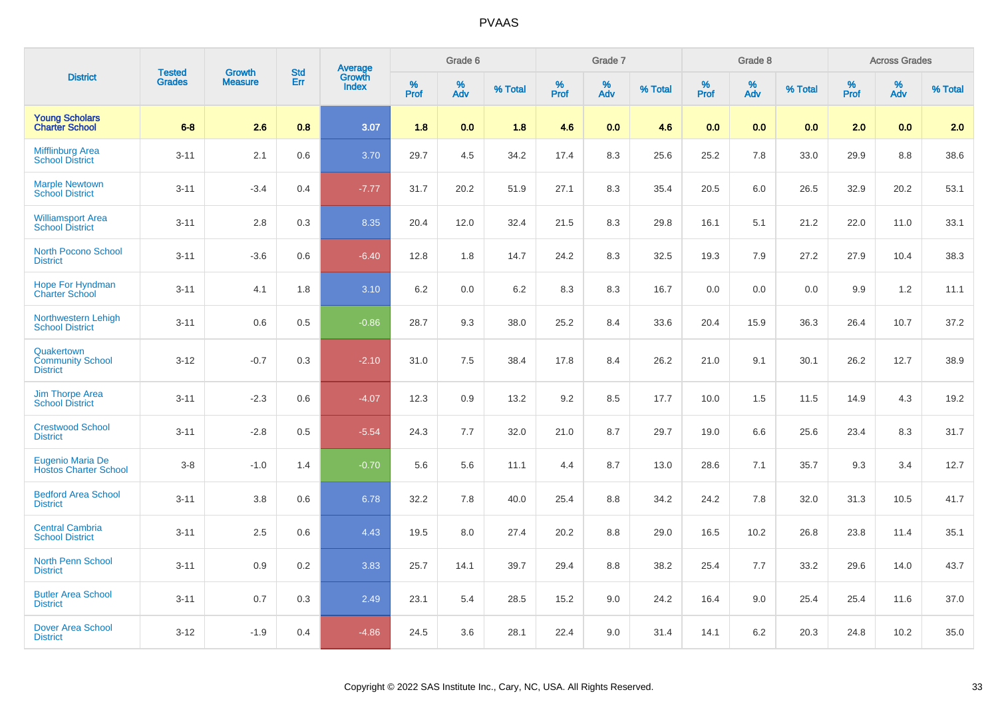|                                                          | <b>Tested</b> | <b>Growth</b>  | <b>Std</b> |                                          |           | Grade 6  |         |              | Grade 7  |         |           | Grade 8  |         |           | <b>Across Grades</b> |         |
|----------------------------------------------------------|---------------|----------------|------------|------------------------------------------|-----------|----------|---------|--------------|----------|---------|-----------|----------|---------|-----------|----------------------|---------|
| <b>District</b>                                          | <b>Grades</b> | <b>Measure</b> | Err        | <b>Average</b><br>Growth<br><b>Index</b> | %<br>Prof | %<br>Adv | % Total | $\%$<br>Prof | %<br>Adv | % Total | %<br>Prof | %<br>Adv | % Total | %<br>Prof | %<br>Adv             | % Total |
| <b>Young Scholars</b><br><b>Charter School</b>           | $6 - 8$       | 2.6            | 0.8        | 3.07                                     | 1.8       | 0.0      | 1.8     | 4.6          | 0.0      | 4.6     | 0.0       | 0.0      | 0.0     | 2.0       | 0.0                  | 2.0     |
| <b>Mifflinburg Area</b><br><b>School District</b>        | $3 - 11$      | 2.1            | 0.6        | 3.70                                     | 29.7      | 4.5      | 34.2    | 17.4         | 8.3      | 25.6    | 25.2      | 7.8      | 33.0    | 29.9      | 8.8                  | 38.6    |
| <b>Marple Newtown</b><br><b>School District</b>          | $3 - 11$      | $-3.4$         | 0.4        | $-7.77$                                  | 31.7      | 20.2     | 51.9    | 27.1         | 8.3      | 35.4    | 20.5      | 6.0      | 26.5    | 32.9      | 20.2                 | 53.1    |
| <b>Williamsport Area</b><br><b>School District</b>       | $3 - 11$      | 2.8            | 0.3        | 8.35                                     | 20.4      | 12.0     | 32.4    | 21.5         | 8.3      | 29.8    | 16.1      | 5.1      | 21.2    | 22.0      | 11.0                 | 33.1    |
| <b>North Pocono School</b><br><b>District</b>            | $3 - 11$      | $-3.6$         | 0.6        | $-6.40$                                  | 12.8      | 1.8      | 14.7    | 24.2         | 8.3      | 32.5    | 19.3      | 7.9      | 27.2    | 27.9      | 10.4                 | 38.3    |
| <b>Hope For Hyndman</b><br><b>Charter School</b>         | $3 - 11$      | 4.1            | 1.8        | 3.10                                     | 6.2       | 0.0      | 6.2     | 8.3          | 8.3      | 16.7    | 0.0       | 0.0      | 0.0     | 9.9       | 1.2                  | 11.1    |
| Northwestern Lehigh<br><b>School District</b>            | $3 - 11$      | 0.6            | 0.5        | $-0.86$                                  | 28.7      | 9.3      | 38.0    | 25.2         | 8.4      | 33.6    | 20.4      | 15.9     | 36.3    | 26.4      | 10.7                 | 37.2    |
| Quakertown<br><b>Community School</b><br><b>District</b> | $3 - 12$      | $-0.7$         | 0.3        | $-2.10$                                  | 31.0      | 7.5      | 38.4    | 17.8         | 8.4      | 26.2    | 21.0      | 9.1      | 30.1    | 26.2      | 12.7                 | 38.9    |
| <b>Jim Thorpe Area</b><br><b>School District</b>         | $3 - 11$      | $-2.3$         | $0.6\,$    | $-4.07$                                  | 12.3      | 0.9      | 13.2    | 9.2          | 8.5      | 17.7    | 10.0      | 1.5      | 11.5    | 14.9      | 4.3                  | 19.2    |
| <b>Crestwood School</b><br><b>District</b>               | $3 - 11$      | $-2.8$         | 0.5        | $-5.54$                                  | 24.3      | 7.7      | 32.0    | 21.0         | 8.7      | 29.7    | 19.0      | 6.6      | 25.6    | 23.4      | 8.3                  | 31.7    |
| <b>Eugenio Maria De</b><br><b>Hostos Charter School</b>  | $3-8$         | $-1.0$         | 1.4        | $-0.70$                                  | 5.6       | 5.6      | 11.1    | 4.4          | 8.7      | 13.0    | 28.6      | 7.1      | 35.7    | 9.3       | 3.4                  | 12.7    |
| <b>Bedford Area School</b><br><b>District</b>            | $3 - 11$      | 3.8            | 0.6        | 6.78                                     | 32.2      | 7.8      | 40.0    | 25.4         | 8.8      | 34.2    | 24.2      | 7.8      | 32.0    | 31.3      | 10.5                 | 41.7    |
| <b>Central Cambria</b><br><b>School District</b>         | $3 - 11$      | 2.5            | 0.6        | 4.43                                     | 19.5      | 8.0      | 27.4    | 20.2         | 8.8      | 29.0    | 16.5      | 10.2     | 26.8    | 23.8      | 11.4                 | 35.1    |
| <b>North Penn School</b><br><b>District</b>              | $3 - 11$      | 0.9            | 0.2        | 3.83                                     | 25.7      | 14.1     | 39.7    | 29.4         | 8.8      | 38.2    | 25.4      | 7.7      | 33.2    | 29.6      | 14.0                 | 43.7    |
| <b>Butler Area School</b><br><b>District</b>             | $3 - 11$      | 0.7            | 0.3        | 2.49                                     | 23.1      | 5.4      | 28.5    | 15.2         | 9.0      | 24.2    | 16.4      | 9.0      | 25.4    | 25.4      | 11.6                 | 37.0    |
| <b>Dover Area School</b><br><b>District</b>              | $3 - 12$      | $-1.9$         | 0.4        | $-4.86$                                  | 24.5      | 3.6      | 28.1    | 22.4         | 9.0      | 31.4    | 14.1      | 6.2      | 20.3    | 24.8      | 10.2                 | 35.0    |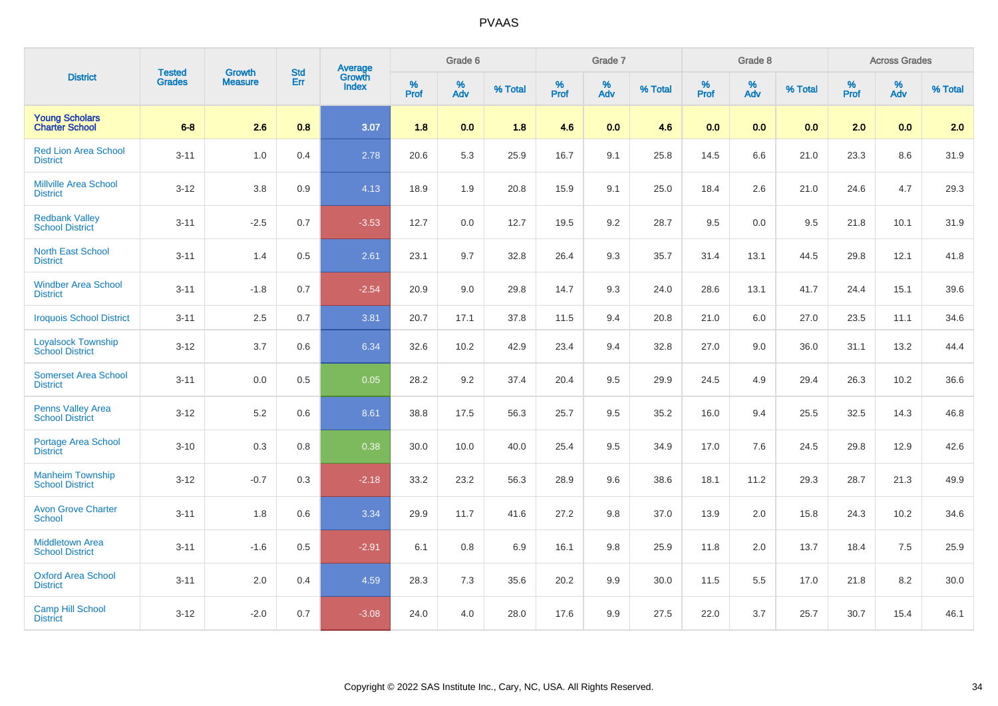|                                                     |                                |                                 | <b>Std</b> |                                          |              | Grade 6     |         |                  | Grade 7  |         |                  | Grade 8  |         |           | <b>Across Grades</b> |         |
|-----------------------------------------------------|--------------------------------|---------------------------------|------------|------------------------------------------|--------------|-------------|---------|------------------|----------|---------|------------------|----------|---------|-----------|----------------------|---------|
| <b>District</b>                                     | <b>Tested</b><br><b>Grades</b> | <b>Growth</b><br><b>Measure</b> | Err        | <b>Average</b><br>Growth<br><b>Index</b> | $\%$<br>Prof | $\%$<br>Adv | % Total | %<br><b>Prof</b> | %<br>Adv | % Total | %<br><b>Prof</b> | %<br>Adv | % Total | %<br>Prof | %<br>Adv             | % Total |
| <b>Young Scholars</b><br><b>Charter School</b>      | $6-8$                          | 2.6                             | 0.8        | 3.07                                     | 1.8          | 0.0         | 1.8     | 4.6              | 0.0      | 4.6     | 0.0              | 0.0      | 0.0     | 2.0       | 0.0                  | 2.0     |
| <b>Red Lion Area School</b><br><b>District</b>      | $3 - 11$                       | 1.0                             | 0.4        | 2.78                                     | 20.6         | 5.3         | 25.9    | 16.7             | 9.1      | 25.8    | 14.5             | 6.6      | 21.0    | 23.3      | 8.6                  | 31.9    |
| <b>Millville Area School</b><br><b>District</b>     | $3 - 12$                       | 3.8                             | 0.9        | 4.13                                     | 18.9         | 1.9         | 20.8    | 15.9             | 9.1      | 25.0    | 18.4             | 2.6      | 21.0    | 24.6      | 4.7                  | 29.3    |
| <b>Redbank Valley</b><br><b>School District</b>     | $3 - 11$                       | $-2.5$                          | 0.7        | $-3.53$                                  | 12.7         | 0.0         | 12.7    | 19.5             | 9.2      | 28.7    | 9.5              | 0.0      | 9.5     | 21.8      | 10.1                 | 31.9    |
| <b>North East School</b><br><b>District</b>         | $3 - 11$                       | 1.4                             | 0.5        | 2.61                                     | 23.1         | 9.7         | 32.8    | 26.4             | 9.3      | 35.7    | 31.4             | 13.1     | 44.5    | 29.8      | 12.1                 | 41.8    |
| <b>Windber Area School</b><br><b>District</b>       | $3 - 11$                       | $-1.8$                          | 0.7        | $-2.54$                                  | 20.9         | 9.0         | 29.8    | 14.7             | 9.3      | 24.0    | 28.6             | 13.1     | 41.7    | 24.4      | 15.1                 | 39.6    |
| <b>Iroquois School District</b>                     | $3 - 11$                       | 2.5                             | 0.7        | 3.81                                     | 20.7         | 17.1        | 37.8    | 11.5             | 9.4      | 20.8    | 21.0             | 6.0      | 27.0    | 23.5      | 11.1                 | 34.6    |
| <b>Loyalsock Township</b><br><b>School District</b> | $3 - 12$                       | 3.7                             | 0.6        | 6.34                                     | 32.6         | 10.2        | 42.9    | 23.4             | 9.4      | 32.8    | 27.0             | 9.0      | 36.0    | 31.1      | 13.2                 | 44.4    |
| <b>Somerset Area School</b><br><b>District</b>      | $3 - 11$                       | 0.0                             | 0.5        | 0.05                                     | 28.2         | 9.2         | 37.4    | 20.4             | 9.5      | 29.9    | 24.5             | 4.9      | 29.4    | 26.3      | 10.2                 | 36.6    |
| <b>Penns Valley Area</b><br><b>School District</b>  | $3 - 12$                       | 5.2                             | 0.6        | 8.61                                     | 38.8         | 17.5        | 56.3    | 25.7             | 9.5      | 35.2    | 16.0             | 9.4      | 25.5    | 32.5      | 14.3                 | 46.8    |
| <b>Portage Area School</b><br><b>District</b>       | $3 - 10$                       | 0.3                             | 0.8        | 0.38                                     | 30.0         | 10.0        | 40.0    | 25.4             | 9.5      | 34.9    | 17.0             | 7.6      | 24.5    | 29.8      | 12.9                 | 42.6    |
| <b>Manheim Township</b><br><b>School District</b>   | $3 - 12$                       | $-0.7$                          | 0.3        | $-2.18$                                  | 33.2         | 23.2        | 56.3    | 28.9             | 9.6      | 38.6    | 18.1             | 11.2     | 29.3    | 28.7      | 21.3                 | 49.9    |
| <b>Avon Grove Charter</b><br><b>School</b>          | $3 - 11$                       | 1.8                             | 0.6        | 3.34                                     | 29.9         | 11.7        | 41.6    | 27.2             | 9.8      | 37.0    | 13.9             | 2.0      | 15.8    | 24.3      | 10.2                 | 34.6    |
| <b>Middletown Area</b><br><b>School District</b>    | $3 - 11$                       | $-1.6$                          | 0.5        | $-2.91$                                  | 6.1          | 0.8         | 6.9     | 16.1             | 9.8      | 25.9    | 11.8             | 2.0      | 13.7    | 18.4      | 7.5                  | 25.9    |
| <b>Oxford Area School</b><br><b>District</b>        | $3 - 11$                       | 2.0                             | 0.4        | 4.59                                     | 28.3         | 7.3         | 35.6    | 20.2             | 9.9      | 30.0    | 11.5             | 5.5      | 17.0    | 21.8      | 8.2                  | 30.0    |
| <b>Camp Hill School</b><br><b>District</b>          | $3 - 12$                       | $-2.0$                          | 0.7        | $-3.08$                                  | 24.0         | 4.0         | 28.0    | 17.6             | 9.9      | 27.5    | 22.0             | 3.7      | 25.7    | 30.7      | 15.4                 | 46.1    |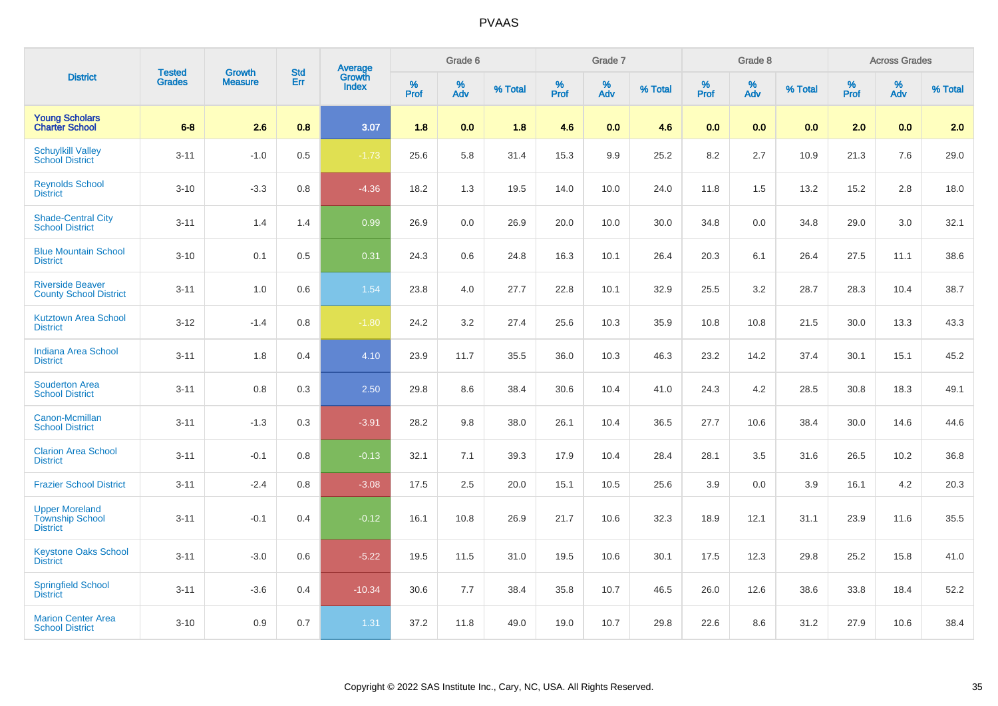|                                                                    | <b>Tested</b> | <b>Growth</b>  | <b>Std</b> | <b>Average</b><br>Growth |                     | Grade 6  |         |                  | Grade 7  |         |                  | Grade 8  |         |                  | <b>Across Grades</b> |         |
|--------------------------------------------------------------------|---------------|----------------|------------|--------------------------|---------------------|----------|---------|------------------|----------|---------|------------------|----------|---------|------------------|----------------------|---------|
| <b>District</b>                                                    | <b>Grades</b> | <b>Measure</b> | Err        | <b>Index</b>             | $\%$<br><b>Prof</b> | %<br>Adv | % Total | %<br><b>Prof</b> | %<br>Adv | % Total | %<br><b>Prof</b> | %<br>Adv | % Total | %<br><b>Prof</b> | %<br><b>Adv</b>      | % Total |
| <b>Young Scholars</b><br><b>Charter School</b>                     | $6-8$         | 2.6            | 0.8        | 3.07                     | 1.8                 | 0.0      | 1.8     | 4.6              | 0.0      | 4.6     | 0.0              | 0.0      | 0.0     | 2.0              | 0.0                  | 2.0     |
| <b>Schuylkill Valley</b><br><b>School District</b>                 | $3 - 11$      | $-1.0$         | 0.5        | $-1.73$                  | 25.6                | 5.8      | 31.4    | 15.3             | 9.9      | 25.2    | 8.2              | 2.7      | 10.9    | 21.3             | 7.6                  | 29.0    |
| <b>Reynolds School</b><br><b>District</b>                          | $3 - 10$      | $-3.3$         | 0.8        | $-4.36$                  | 18.2                | 1.3      | 19.5    | 14.0             | 10.0     | 24.0    | 11.8             | 1.5      | 13.2    | 15.2             | $2.8\,$              | 18.0    |
| <b>Shade-Central City</b><br><b>School District</b>                | $3 - 11$      | 1.4            | 1.4        | 0.99                     | 26.9                | 0.0      | 26.9    | 20.0             | 10.0     | 30.0    | 34.8             | 0.0      | 34.8    | 29.0             | 3.0                  | 32.1    |
| <b>Blue Mountain School</b><br><b>District</b>                     | $3 - 10$      | 0.1            | 0.5        | 0.31                     | 24.3                | 0.6      | 24.8    | 16.3             | 10.1     | 26.4    | 20.3             | 6.1      | 26.4    | 27.5             | 11.1                 | 38.6    |
| <b>Riverside Beaver</b><br><b>County School District</b>           | $3 - 11$      | 1.0            | 0.6        | 1.54                     | 23.8                | 4.0      | 27.7    | 22.8             | 10.1     | 32.9    | 25.5             | 3.2      | 28.7    | 28.3             | 10.4                 | 38.7    |
| <b>Kutztown Area School</b><br><b>District</b>                     | $3 - 12$      | $-1.4$         | 0.8        | $-1.80$                  | 24.2                | 3.2      | 27.4    | 25.6             | 10.3     | 35.9    | 10.8             | 10.8     | 21.5    | 30.0             | 13.3                 | 43.3    |
| <b>Indiana Area School</b><br><b>District</b>                      | $3 - 11$      | 1.8            | 0.4        | 4.10                     | 23.9                | 11.7     | 35.5    | 36.0             | 10.3     | 46.3    | 23.2             | 14.2     | 37.4    | 30.1             | 15.1                 | 45.2    |
| <b>Souderton Area</b><br><b>School District</b>                    | $3 - 11$      | 0.8            | 0.3        | 2.50                     | 29.8                | 8.6      | 38.4    | 30.6             | 10.4     | 41.0    | 24.3             | 4.2      | 28.5    | 30.8             | 18.3                 | 49.1    |
| <b>Canon-Mcmillan</b><br><b>School District</b>                    | $3 - 11$      | $-1.3$         | 0.3        | $-3.91$                  | 28.2                | 9.8      | 38.0    | 26.1             | 10.4     | 36.5    | 27.7             | 10.6     | 38.4    | 30.0             | 14.6                 | 44.6    |
| <b>Clarion Area School</b><br><b>District</b>                      | $3 - 11$      | $-0.1$         | 0.8        | $-0.13$                  | 32.1                | 7.1      | 39.3    | 17.9             | 10.4     | 28.4    | 28.1             | 3.5      | 31.6    | 26.5             | 10.2                 | 36.8    |
| <b>Frazier School District</b>                                     | $3 - 11$      | $-2.4$         | 0.8        | $-3.08$                  | 17.5                | 2.5      | 20.0    | 15.1             | 10.5     | 25.6    | 3.9              | 0.0      | 3.9     | 16.1             | 4.2                  | 20.3    |
| <b>Upper Moreland</b><br><b>Township School</b><br><b>District</b> | $3 - 11$      | $-0.1$         | 0.4        | $-0.12$                  | 16.1                | 10.8     | 26.9    | 21.7             | 10.6     | 32.3    | 18.9             | 12.1     | 31.1    | 23.9             | 11.6                 | 35.5    |
| <b>Keystone Oaks School</b><br><b>District</b>                     | $3 - 11$      | $-3.0$         | 0.6        | $-5.22$                  | 19.5                | 11.5     | 31.0    | 19.5             | 10.6     | 30.1    | 17.5             | 12.3     | 29.8    | 25.2             | 15.8                 | 41.0    |
| <b>Springfield School</b><br><b>District</b>                       | $3 - 11$      | $-3.6$         | 0.4        | $-10.34$                 | 30.6                | 7.7      | 38.4    | 35.8             | 10.7     | 46.5    | 26.0             | 12.6     | 38.6    | 33.8             | 18.4                 | 52.2    |
| <b>Marion Center Area</b><br><b>School District</b>                | $3 - 10$      | 0.9            | 0.7        | 1.31                     | 37.2                | 11.8     | 49.0    | 19.0             | 10.7     | 29.8    | 22.6             | 8.6      | 31.2    | 27.9             | 10.6                 | 38.4    |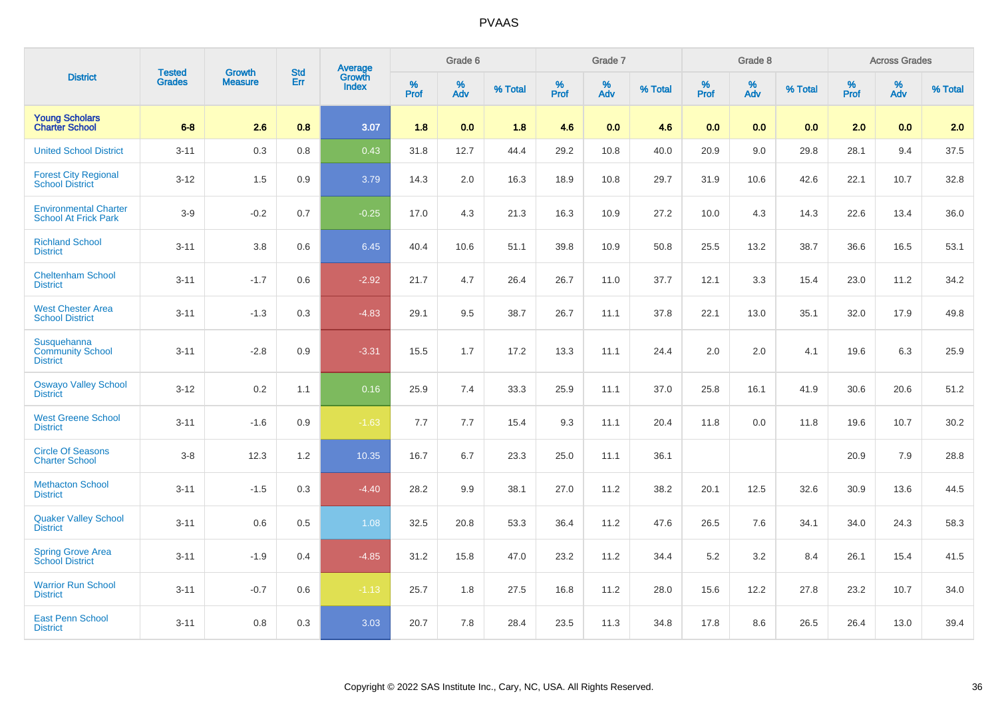| <b>District</b>                                             | <b>Tested</b> | <b>Growth</b>  | <b>Std</b> | <b>Average</b><br>Growth |                     | Grade 6  |         |                     | Grade 7  |         |                     | Grade 8                 |         |                     | <b>Across Grades</b> |         |
|-------------------------------------------------------------|---------------|----------------|------------|--------------------------|---------------------|----------|---------|---------------------|----------|---------|---------------------|-------------------------|---------|---------------------|----------------------|---------|
|                                                             | <b>Grades</b> | <b>Measure</b> | Err        | <b>Index</b>             | $\%$<br><b>Prof</b> | %<br>Adv | % Total | $\%$<br><b>Prof</b> | %<br>Adv | % Total | $\%$<br><b>Prof</b> | $\frac{\%}{\text{Adv}}$ | % Total | $\%$<br><b>Prof</b> | $\%$<br><b>Adv</b>   | % Total |
| <b>Young Scholars</b><br><b>Charter School</b>              | $6-8$         | 2.6            | 0.8        | 3.07                     | 1.8                 | 0.0      | 1.8     | 4.6                 | 0.0      | 4.6     | 0.0                 | 0.0                     | 0.0     | 2.0                 | 0.0                  | 2.0     |
| <b>United School District</b>                               | $3 - 11$      | 0.3            | 0.8        | 0.43                     | 31.8                | 12.7     | 44.4    | 29.2                | 10.8     | 40.0    | 20.9                | 9.0                     | 29.8    | 28.1                | 9.4                  | 37.5    |
| <b>Forest City Regional</b><br><b>School District</b>       | $3 - 12$      | 1.5            | 0.9        | 3.79                     | 14.3                | 2.0      | 16.3    | 18.9                | 10.8     | 29.7    | 31.9                | 10.6                    | 42.6    | 22.1                | 10.7                 | 32.8    |
| <b>Environmental Charter</b><br><b>School At Frick Park</b> | $3-9$         | $-0.2$         | 0.7        | $-0.25$                  | 17.0                | 4.3      | 21.3    | 16.3                | 10.9     | 27.2    | 10.0                | 4.3                     | 14.3    | 22.6                | 13.4                 | 36.0    |
| <b>Richland School</b><br><b>District</b>                   | $3 - 11$      | 3.8            | 0.6        | 6.45                     | 40.4                | 10.6     | 51.1    | 39.8                | 10.9     | 50.8    | 25.5                | 13.2                    | 38.7    | 36.6                | 16.5                 | 53.1    |
| <b>Cheltenham School</b><br><b>District</b>                 | $3 - 11$      | $-1.7$         | 0.6        | $-2.92$                  | 21.7                | 4.7      | 26.4    | 26.7                | 11.0     | 37.7    | 12.1                | 3.3                     | 15.4    | 23.0                | 11.2                 | 34.2    |
| <b>West Chester Area</b><br><b>School District</b>          | $3 - 11$      | $-1.3$         | 0.3        | $-4.83$                  | 29.1                | 9.5      | 38.7    | 26.7                | 11.1     | 37.8    | 22.1                | 13.0                    | 35.1    | 32.0                | 17.9                 | 49.8    |
| Susquehanna<br><b>Community School</b><br><b>District</b>   | $3 - 11$      | $-2.8$         | 0.9        | $-3.31$                  | 15.5                | 1.7      | 17.2    | 13.3                | 11.1     | 24.4    | 2.0                 | 2.0                     | 4.1     | 19.6                | 6.3                  | 25.9    |
| <b>Oswayo Valley School</b><br><b>District</b>              | $3 - 12$      | 0.2            | 1.1        | 0.16                     | 25.9                | 7.4      | 33.3    | 25.9                | 11.1     | 37.0    | 25.8                | 16.1                    | 41.9    | 30.6                | 20.6                 | 51.2    |
| <b>West Greene School</b><br><b>District</b>                | $3 - 11$      | $-1.6$         | 0.9        | $-1.63$                  | 7.7                 | 7.7      | 15.4    | 9.3                 | 11.1     | 20.4    | 11.8                | 0.0                     | 11.8    | 19.6                | 10.7                 | 30.2    |
| <b>Circle Of Seasons</b><br><b>Charter School</b>           | $3-8$         | 12.3           | 1.2        | 10.35                    | 16.7                | 6.7      | 23.3    | 25.0                | 11.1     | 36.1    |                     |                         |         | 20.9                | 7.9                  | 28.8    |
| <b>Methacton School</b><br><b>District</b>                  | $3 - 11$      | $-1.5$         | 0.3        | $-4.40$                  | 28.2                | 9.9      | 38.1    | 27.0                | 11.2     | 38.2    | 20.1                | 12.5                    | 32.6    | 30.9                | 13.6                 | 44.5    |
| <b>Quaker Valley School</b><br><b>District</b>              | $3 - 11$      | 0.6            | 0.5        | 1.08                     | 32.5                | 20.8     | 53.3    | 36.4                | 11.2     | 47.6    | 26.5                | 7.6                     | 34.1    | 34.0                | 24.3                 | 58.3    |
| <b>Spring Grove Area</b><br><b>School District</b>          | $3 - 11$      | $-1.9$         | 0.4        | $-4.85$                  | 31.2                | 15.8     | 47.0    | 23.2                | 11.2     | 34.4    | 5.2                 | 3.2                     | 8.4     | 26.1                | 15.4                 | 41.5    |
| <b>Warrior Run School</b><br><b>District</b>                | $3 - 11$      | $-0.7$         | 0.6        | $-1.13$                  | 25.7                | 1.8      | 27.5    | 16.8                | 11.2     | 28.0    | 15.6                | 12.2                    | 27.8    | 23.2                | 10.7                 | 34.0    |
| <b>East Penn School</b><br><b>District</b>                  | $3 - 11$      | 0.8            | 0.3        | 3.03                     | 20.7                | 7.8      | 28.4    | 23.5                | 11.3     | 34.8    | 17.8                | 8.6                     | 26.5    | 26.4                | 13.0                 | 39.4    |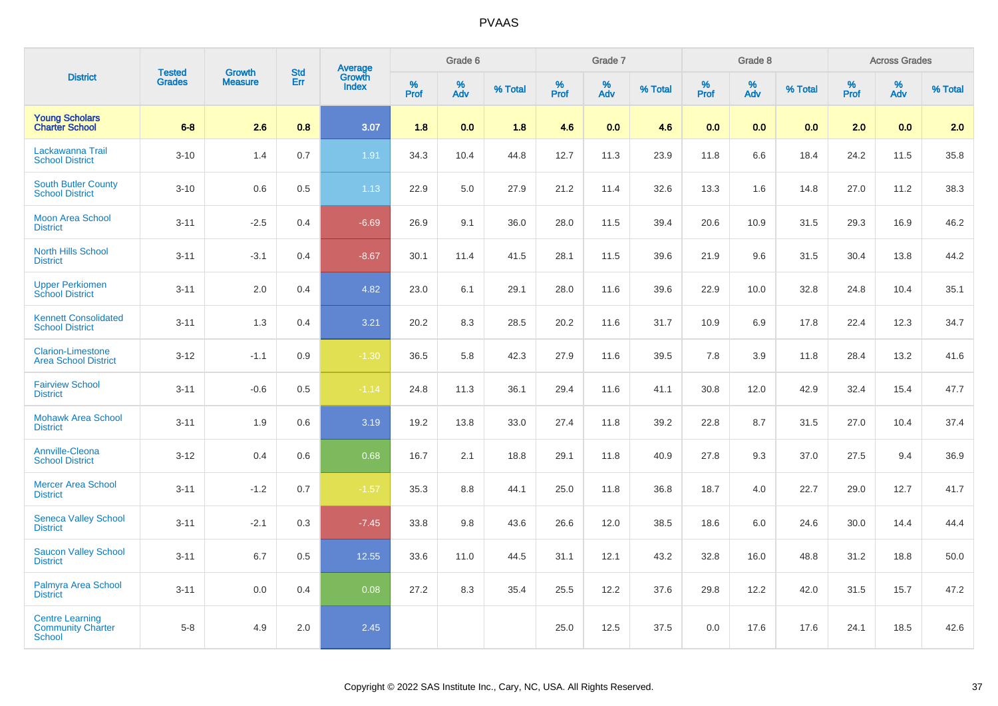| <b>District</b>                                              | <b>Tested</b> | <b>Growth</b>  | <b>Std</b> | <b>Average</b><br>Growth |                  | Grade 6  |         |                     | Grade 7  |         |                     | Grade 8                 |         |                  | <b>Across Grades</b> |         |
|--------------------------------------------------------------|---------------|----------------|------------|--------------------------|------------------|----------|---------|---------------------|----------|---------|---------------------|-------------------------|---------|------------------|----------------------|---------|
|                                                              | <b>Grades</b> | <b>Measure</b> | Err        | <b>Index</b>             | %<br><b>Prof</b> | %<br>Adv | % Total | $\%$<br><b>Prof</b> | %<br>Adv | % Total | $\%$<br><b>Prof</b> | $\frac{\%}{\text{Adv}}$ | % Total | %<br><b>Prof</b> | %<br>Adv             | % Total |
| <b>Young Scholars</b><br><b>Charter School</b>               | $6-8$         | 2.6            | 0.8        | 3.07                     | 1.8              | 0.0      | 1.8     | 4.6                 | 0.0      | 4.6     | 0.0                 | 0.0                     | 0.0     | 2.0              | 0.0                  | 2.0     |
| Lackawanna Trail<br><b>School District</b>                   | $3 - 10$      | 1.4            | 0.7        | 1.91                     | 34.3             | 10.4     | 44.8    | 12.7                | 11.3     | 23.9    | 11.8                | 6.6                     | 18.4    | 24.2             | 11.5                 | 35.8    |
| <b>South Butler County</b><br><b>School District</b>         | $3 - 10$      | 0.6            | 0.5        | 1.13                     | 22.9             | 5.0      | 27.9    | 21.2                | 11.4     | 32.6    | 13.3                | 1.6                     | 14.8    | 27.0             | 11.2                 | 38.3    |
| <b>Moon Area School</b><br><b>District</b>                   | $3 - 11$      | $-2.5$         | 0.4        | $-6.69$                  | 26.9             | 9.1      | 36.0    | 28.0                | 11.5     | 39.4    | 20.6                | 10.9                    | 31.5    | 29.3             | 16.9                 | 46.2    |
| <b>North Hills School</b><br><b>District</b>                 | $3 - 11$      | $-3.1$         | 0.4        | $-8.67$                  | 30.1             | 11.4     | 41.5    | 28.1                | 11.5     | 39.6    | 21.9                | 9.6                     | 31.5    | 30.4             | 13.8                 | 44.2    |
| <b>Upper Perkiomen<br/>School District</b>                   | $3 - 11$      | 2.0            | 0.4        | 4.82                     | 23.0             | 6.1      | 29.1    | 28.0                | 11.6     | 39.6    | 22.9                | 10.0                    | 32.8    | 24.8             | 10.4                 | 35.1    |
| <b>Kennett Consolidated</b><br><b>School District</b>        | $3 - 11$      | 1.3            | 0.4        | 3.21                     | 20.2             | 8.3      | 28.5    | 20.2                | 11.6     | 31.7    | 10.9                | 6.9                     | 17.8    | 22.4             | 12.3                 | 34.7    |
| <b>Clarion-Limestone</b><br><b>Area School District</b>      | $3 - 12$      | $-1.1$         | 0.9        | $-1.30$                  | 36.5             | 5.8      | 42.3    | 27.9                | 11.6     | 39.5    | 7.8                 | 3.9                     | 11.8    | 28.4             | 13.2                 | 41.6    |
| <b>Fairview School</b><br><b>District</b>                    | $3 - 11$      | $-0.6$         | 0.5        | $-1.14$                  | 24.8             | 11.3     | 36.1    | 29.4                | 11.6     | 41.1    | 30.8                | 12.0                    | 42.9    | 32.4             | 15.4                 | 47.7    |
| <b>Mohawk Area School</b><br><b>District</b>                 | $3 - 11$      | 1.9            | 0.6        | 3.19                     | 19.2             | 13.8     | 33.0    | 27.4                | 11.8     | 39.2    | 22.8                | 8.7                     | 31.5    | 27.0             | 10.4                 | 37.4    |
| <b>Annville-Cleona</b><br><b>School District</b>             | $3 - 12$      | 0.4            | 0.6        | 0.68                     | 16.7             | 2.1      | 18.8    | 29.1                | 11.8     | 40.9    | 27.8                | 9.3                     | 37.0    | 27.5             | 9.4                  | 36.9    |
| <b>Mercer Area School</b><br><b>District</b>                 | $3 - 11$      | $-1.2$         | 0.7        | $-1.57$                  | 35.3             | 8.8      | 44.1    | 25.0                | 11.8     | 36.8    | 18.7                | 4.0                     | 22.7    | 29.0             | 12.7                 | 41.7    |
| <b>Seneca Valley School</b><br><b>District</b>               | $3 - 11$      | $-2.1$         | 0.3        | $-7.45$                  | 33.8             | 9.8      | 43.6    | 26.6                | 12.0     | 38.5    | 18.6                | 6.0                     | 24.6    | 30.0             | 14.4                 | 44.4    |
| <b>Saucon Valley School</b><br><b>District</b>               | $3 - 11$      | 6.7            | 0.5        | 12.55                    | 33.6             | 11.0     | 44.5    | 31.1                | 12.1     | 43.2    | 32.8                | 16.0                    | 48.8    | 31.2             | 18.8                 | 50.0    |
| Palmyra Area School<br><b>District</b>                       | $3 - 11$      | 0.0            | 0.4        | 0.08                     | 27.2             | 8.3      | 35.4    | 25.5                | 12.2     | 37.6    | 29.8                | 12.2                    | 42.0    | 31.5             | 15.7                 | 47.2    |
| <b>Centre Learning</b><br><b>Community Charter</b><br>School | $5-8$         | 4.9            | 2.0        | 2.45                     |                  |          |         | 25.0                | 12.5     | 37.5    | 0.0                 | 17.6                    | 17.6    | 24.1             | 18.5                 | 42.6    |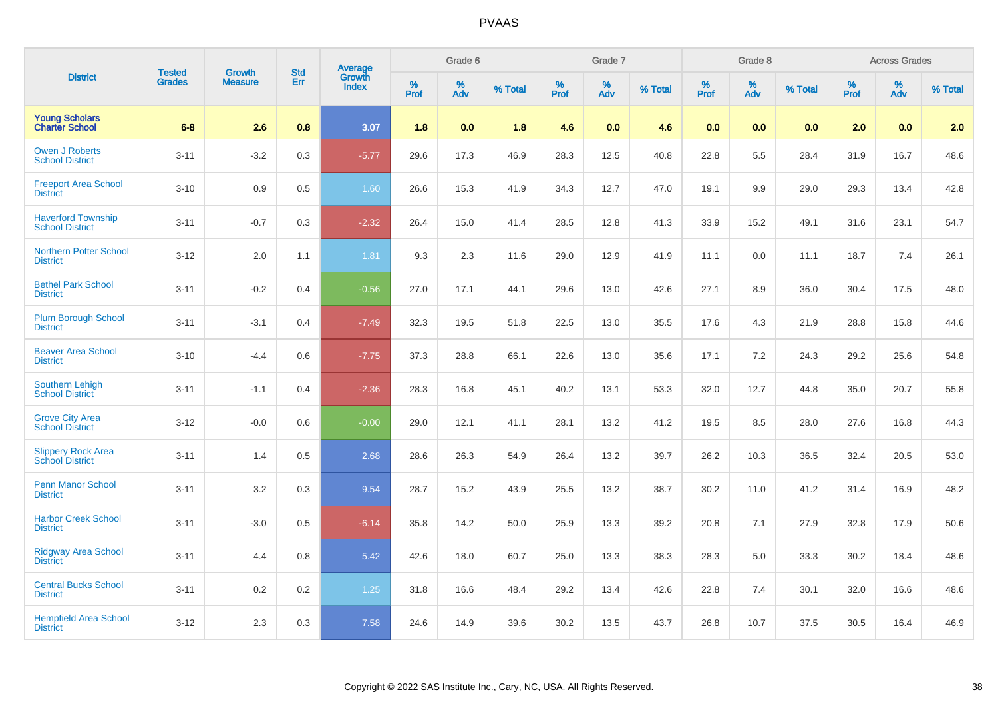| <b>District</b>                                     | <b>Tested</b> | <b>Growth</b>  | <b>Std</b> | <b>Average</b><br>Growth |              | Grade 6  |         |                     | Grade 7  |         |                     | Grade 8                 |         |                  | <b>Across Grades</b> |         |
|-----------------------------------------------------|---------------|----------------|------------|--------------------------|--------------|----------|---------|---------------------|----------|---------|---------------------|-------------------------|---------|------------------|----------------------|---------|
|                                                     | <b>Grades</b> | <b>Measure</b> | Err        | <b>Index</b>             | $\%$<br>Prof | %<br>Adv | % Total | $\%$<br><b>Prof</b> | %<br>Adv | % Total | $\%$<br><b>Prof</b> | $\frac{\%}{\text{Adv}}$ | % Total | %<br><b>Prof</b> | %<br>Adv             | % Total |
| <b>Young Scholars</b><br><b>Charter School</b>      | $6-8$         | 2.6            | 0.8        | 3.07                     | 1.8          | 0.0      | 1.8     | 4.6                 | 0.0      | 4.6     | 0.0                 | 0.0                     | 0.0     | 2.0              | 0.0                  | 2.0     |
| <b>Owen J Roberts</b><br><b>School District</b>     | $3 - 11$      | $-3.2$         | 0.3        | $-5.77$                  | 29.6         | 17.3     | 46.9    | 28.3                | 12.5     | 40.8    | 22.8                | 5.5                     | 28.4    | 31.9             | 16.7                 | 48.6    |
| <b>Freeport Area School</b><br><b>District</b>      | $3 - 10$      | 0.9            | 0.5        | 1.60                     | 26.6         | 15.3     | 41.9    | 34.3                | 12.7     | 47.0    | 19.1                | 9.9                     | 29.0    | 29.3             | 13.4                 | 42.8    |
| <b>Haverford Township</b><br><b>School District</b> | $3 - 11$      | $-0.7$         | 0.3        | $-2.32$                  | 26.4         | 15.0     | 41.4    | 28.5                | 12.8     | 41.3    | 33.9                | 15.2                    | 49.1    | 31.6             | 23.1                 | 54.7    |
| <b>Northern Potter School</b><br><b>District</b>    | $3 - 12$      | 2.0            | 1.1        | 1.81                     | 9.3          | 2.3      | 11.6    | 29.0                | 12.9     | 41.9    | 11.1                | 0.0                     | 11.1    | 18.7             | 7.4                  | 26.1    |
| <b>Bethel Park School</b><br><b>District</b>        | $3 - 11$      | $-0.2$         | 0.4        | $-0.56$                  | 27.0         | 17.1     | 44.1    | 29.6                | 13.0     | 42.6    | 27.1                | 8.9                     | 36.0    | 30.4             | 17.5                 | 48.0    |
| <b>Plum Borough School</b><br><b>District</b>       | $3 - 11$      | $-3.1$         | 0.4        | $-7.49$                  | 32.3         | 19.5     | 51.8    | 22.5                | 13.0     | 35.5    | 17.6                | 4.3                     | 21.9    | 28.8             | 15.8                 | 44.6    |
| <b>Beaver Area School</b><br><b>District</b>        | $3 - 10$      | $-4.4$         | 0.6        | $-7.75$                  | 37.3         | 28.8     | 66.1    | 22.6                | 13.0     | 35.6    | 17.1                | 7.2                     | 24.3    | 29.2             | 25.6                 | 54.8    |
| <b>Southern Lehigh</b><br><b>School District</b>    | $3 - 11$      | $-1.1$         | 0.4        | $-2.36$                  | 28.3         | 16.8     | 45.1    | 40.2                | 13.1     | 53.3    | 32.0                | 12.7                    | 44.8    | 35.0             | 20.7                 | 55.8    |
| <b>Grove City Area</b><br><b>School District</b>    | $3 - 12$      | $-0.0$         | 0.6        | $-0.00$                  | 29.0         | 12.1     | 41.1    | 28.1                | 13.2     | 41.2    | 19.5                | 8.5                     | 28.0    | 27.6             | 16.8                 | 44.3    |
| <b>Slippery Rock Area</b><br><b>School District</b> | $3 - 11$      | 1.4            | 0.5        | 2.68                     | 28.6         | 26.3     | 54.9    | 26.4                | 13.2     | 39.7    | 26.2                | 10.3                    | 36.5    | 32.4             | 20.5                 | 53.0    |
| <b>Penn Manor School</b><br><b>District</b>         | $3 - 11$      | 3.2            | 0.3        | 9.54                     | 28.7         | 15.2     | 43.9    | 25.5                | 13.2     | 38.7    | 30.2                | 11.0                    | 41.2    | 31.4             | 16.9                 | 48.2    |
| <b>Harbor Creek School</b><br><b>District</b>       | $3 - 11$      | $-3.0$         | 0.5        | $-6.14$                  | 35.8         | 14.2     | 50.0    | 25.9                | 13.3     | 39.2    | 20.8                | 7.1                     | 27.9    | 32.8             | 17.9                 | 50.6    |
| Ridgway Area School<br><b>District</b>              | $3 - 11$      | 4.4            | 0.8        | 5.42                     | 42.6         | 18.0     | 60.7    | 25.0                | 13.3     | 38.3    | 28.3                | 5.0                     | 33.3    | 30.2             | 18.4                 | 48.6    |
| <b>Central Bucks School</b><br><b>District</b>      | $3 - 11$      | 0.2            | 0.2        | 1.25                     | 31.8         | 16.6     | 48.4    | 29.2                | 13.4     | 42.6    | 22.8                | 7.4                     | 30.1    | 32.0             | 16.6                 | 48.6    |
| <b>Hempfield Area School</b><br><b>District</b>     | $3 - 12$      | 2.3            | 0.3        | 7.58                     | 24.6         | 14.9     | 39.6    | 30.2                | 13.5     | 43.7    | 26.8                | 10.7                    | 37.5    | 30.5             | 16.4                 | 46.9    |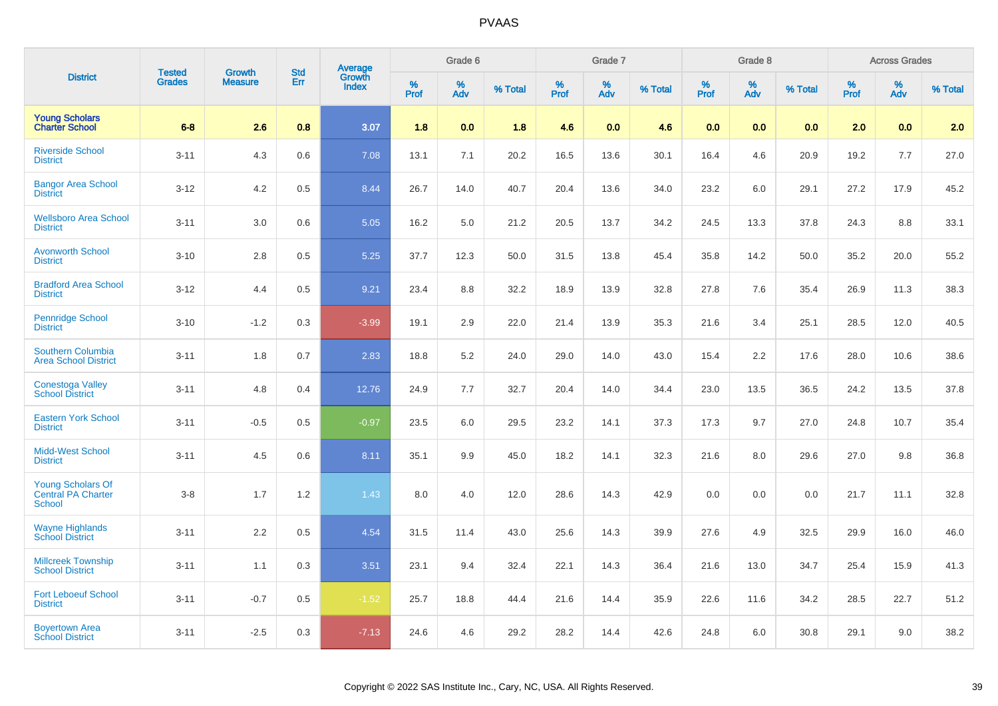| <b>District</b>                                                 | <b>Tested</b> | <b>Growth</b>  | <b>Std</b> | <b>Average</b><br>Growth |              | Grade 6  |         |              | Grade 7  |         |           | Grade 8  |         |           | <b>Across Grades</b> |         |
|-----------------------------------------------------------------|---------------|----------------|------------|--------------------------|--------------|----------|---------|--------------|----------|---------|-----------|----------|---------|-----------|----------------------|---------|
|                                                                 | <b>Grades</b> | <b>Measure</b> | Err        | <b>Index</b>             | $\%$<br>Prof | %<br>Adv | % Total | $\%$<br>Prof | %<br>Adv | % Total | %<br>Prof | %<br>Adv | % Total | %<br>Prof | %<br>Adv             | % Total |
| <b>Young Scholars</b><br><b>Charter School</b>                  | $6-8$         | 2.6            | 0.8        | 3.07                     | 1.8          | 0.0      | 1.8     | 4.6          | 0.0      | 4.6     | 0.0       | 0.0      | 0.0     | 2.0       | 0.0                  | 2.0     |
| <b>Riverside School</b><br><b>District</b>                      | $3 - 11$      | 4.3            | 0.6        | 7.08                     | 13.1         | 7.1      | 20.2    | 16.5         | 13.6     | 30.1    | 16.4      | 4.6      | 20.9    | 19.2      | 7.7                  | 27.0    |
| <b>Bangor Area School</b><br><b>District</b>                    | $3 - 12$      | 4.2            | 0.5        | 8.44                     | 26.7         | 14.0     | 40.7    | 20.4         | 13.6     | 34.0    | 23.2      | 6.0      | 29.1    | 27.2      | 17.9                 | 45.2    |
| <b>Wellsboro Area School</b><br><b>District</b>                 | $3 - 11$      | 3.0            | 0.6        | 5.05                     | 16.2         | 5.0      | 21.2    | 20.5         | 13.7     | 34.2    | 24.5      | 13.3     | 37.8    | 24.3      | 8.8                  | 33.1    |
| <b>Avonworth School</b><br><b>District</b>                      | $3 - 10$      | 2.8            | 0.5        | 5.25                     | 37.7         | 12.3     | 50.0    | 31.5         | 13.8     | 45.4    | 35.8      | 14.2     | 50.0    | 35.2      | 20.0                 | 55.2    |
| <b>Bradford Area School</b><br><b>District</b>                  | $3 - 12$      | 4.4            | 0.5        | 9.21                     | 23.4         | 8.8      | 32.2    | 18.9         | 13.9     | 32.8    | 27.8      | 7.6      | 35.4    | 26.9      | 11.3                 | 38.3    |
| <b>Pennridge School</b><br><b>District</b>                      | $3 - 10$      | $-1.2$         | 0.3        | $-3.99$                  | 19.1         | 2.9      | 22.0    | 21.4         | 13.9     | 35.3    | 21.6      | 3.4      | 25.1    | 28.5      | 12.0                 | 40.5    |
| Southern Columbia<br><b>Area School District</b>                | $3 - 11$      | 1.8            | 0.7        | 2.83                     | 18.8         | 5.2      | 24.0    | 29.0         | 14.0     | 43.0    | 15.4      | 2.2      | 17.6    | 28.0      | 10.6                 | 38.6    |
| <b>Conestoga Valley</b><br><b>School District</b>               | $3 - 11$      | 4.8            | 0.4        | 12.76                    | 24.9         | 7.7      | 32.7    | 20.4         | 14.0     | 34.4    | 23.0      | 13.5     | 36.5    | 24.2      | 13.5                 | 37.8    |
| <b>Eastern York School</b><br><b>District</b>                   | $3 - 11$      | $-0.5$         | 0.5        | $-0.97$                  | 23.5         | 6.0      | 29.5    | 23.2         | 14.1     | 37.3    | 17.3      | 9.7      | 27.0    | 24.8      | 10.7                 | 35.4    |
| <b>Midd-West School</b><br><b>District</b>                      | $3 - 11$      | 4.5            | 0.6        | 8.11                     | 35.1         | 9.9      | 45.0    | 18.2         | 14.1     | 32.3    | 21.6      | 8.0      | 29.6    | 27.0      | 9.8                  | 36.8    |
| Young Scholars Of<br><b>Central PA Charter</b><br><b>School</b> | $3-8$         | 1.7            | 1.2        | 1.43                     | 8.0          | 4.0      | 12.0    | 28.6         | 14.3     | 42.9    | 0.0       | 0.0      | 0.0     | 21.7      | 11.1                 | 32.8    |
| <b>Wayne Highlands</b><br><b>School District</b>                | $3 - 11$      | 2.2            | 0.5        | 4.54                     | 31.5         | 11.4     | 43.0    | 25.6         | 14.3     | 39.9    | 27.6      | 4.9      | 32.5    | 29.9      | 16.0                 | 46.0    |
| <b>Millcreek Township</b><br><b>School District</b>             | $3 - 11$      | 1.1            | 0.3        | 3.51                     | 23.1         | 9.4      | 32.4    | 22.1         | 14.3     | 36.4    | 21.6      | 13.0     | 34.7    | 25.4      | 15.9                 | 41.3    |
| <b>Fort Leboeuf School</b><br><b>District</b>                   | $3 - 11$      | $-0.7$         | 0.5        | $-1.52$                  | 25.7         | 18.8     | 44.4    | 21.6         | 14.4     | 35.9    | 22.6      | 11.6     | 34.2    | 28.5      | 22.7                 | 51.2    |
| <b>Boyertown Area</b><br><b>School District</b>                 | $3 - 11$      | $-2.5$         | 0.3        | $-7.13$                  | 24.6         | 4.6      | 29.2    | 28.2         | 14.4     | 42.6    | 24.8      | 6.0      | 30.8    | 29.1      | 9.0                  | 38.2    |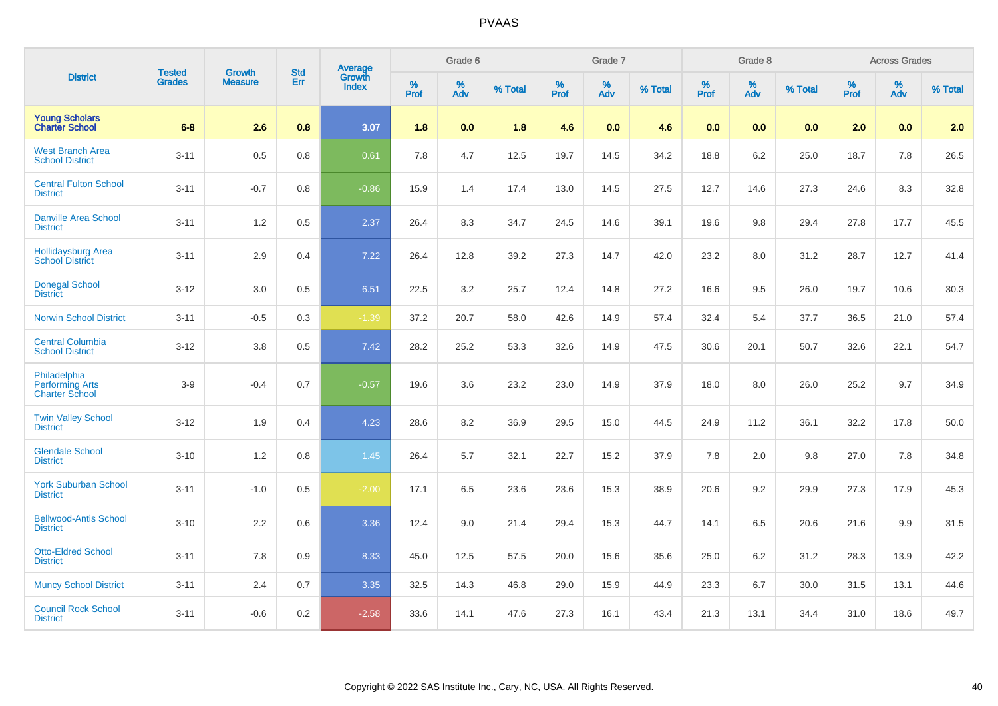|                                                                 | <b>Tested</b> |                          | <b>Std</b> | <b>Average</b><br>Growth |           | Grade 6  |         |           | Grade 7  |         |                  | Grade 8  |         |           | <b>Across Grades</b> |         |
|-----------------------------------------------------------------|---------------|--------------------------|------------|--------------------------|-----------|----------|---------|-----------|----------|---------|------------------|----------|---------|-----------|----------------------|---------|
| <b>District</b>                                                 | <b>Grades</b> | Growth<br><b>Measure</b> | Err        | <b>Index</b>             | %<br>Prof | %<br>Adv | % Total | %<br>Prof | %<br>Adv | % Total | %<br><b>Prof</b> | %<br>Adv | % Total | %<br>Prof | %<br>Adv             | % Total |
| <b>Young Scholars</b><br><b>Charter School</b>                  | $6-8$         | 2.6                      | 0.8        | 3.07                     | 1.8       | 0.0      | 1.8     | 4.6       | 0.0      | 4.6     | 0.0              | 0.0      | 0.0     | 2.0       | 0.0                  | 2.0     |
| <b>West Branch Area</b><br><b>School District</b>               | $3 - 11$      | 0.5                      | 0.8        | 0.61                     | 7.8       | 4.7      | 12.5    | 19.7      | 14.5     | 34.2    | 18.8             | 6.2      | 25.0    | 18.7      | 7.8                  | 26.5    |
| <b>Central Fulton School</b><br><b>District</b>                 | $3 - 11$      | $-0.7$                   | 0.8        | $-0.86$                  | 15.9      | 1.4      | 17.4    | 13.0      | 14.5     | 27.5    | 12.7             | 14.6     | 27.3    | 24.6      | 8.3                  | 32.8    |
| <b>Danville Area School</b><br><b>District</b>                  | $3 - 11$      | $1.2$                    | 0.5        | 2.37                     | 26.4      | 8.3      | 34.7    | 24.5      | 14.6     | 39.1    | 19.6             | 9.8      | 29.4    | 27.8      | 17.7                 | 45.5    |
| <b>Hollidaysburg Area</b><br><b>School District</b>             | $3 - 11$      | 2.9                      | 0.4        | 7.22                     | 26.4      | 12.8     | 39.2    | 27.3      | 14.7     | 42.0    | 23.2             | 8.0      | 31.2    | 28.7      | 12.7                 | 41.4    |
| Donegal School<br><b>District</b>                               | $3 - 12$      | 3.0                      | 0.5        | 6.51                     | 22.5      | 3.2      | 25.7    | 12.4      | 14.8     | 27.2    | 16.6             | 9.5      | 26.0    | 19.7      | 10.6                 | 30.3    |
| <b>Norwin School District</b>                                   | $3 - 11$      | $-0.5$                   | 0.3        | $-1.39$                  | 37.2      | 20.7     | 58.0    | 42.6      | 14.9     | 57.4    | 32.4             | 5.4      | 37.7    | 36.5      | 21.0                 | 57.4    |
| <b>Central Columbia</b><br><b>School District</b>               | $3 - 12$      | $3.8\,$                  | 0.5        | 7.42                     | 28.2      | 25.2     | 53.3    | 32.6      | 14.9     | 47.5    | 30.6             | 20.1     | 50.7    | 32.6      | 22.1                 | 54.7    |
| Philadelphia<br><b>Performing Arts</b><br><b>Charter School</b> | $3-9$         | $-0.4$                   | 0.7        | $-0.57$                  | 19.6      | 3.6      | 23.2    | 23.0      | 14.9     | 37.9    | 18.0             | 8.0      | 26.0    | 25.2      | 9.7                  | 34.9    |
| <b>Twin Valley School</b><br><b>District</b>                    | $3 - 12$      | 1.9                      | 0.4        | 4.23                     | 28.6      | 8.2      | 36.9    | 29.5      | 15.0     | 44.5    | 24.9             | 11.2     | 36.1    | 32.2      | 17.8                 | 50.0    |
| <b>Glendale School</b><br><b>District</b>                       | $3 - 10$      | $1.2$                    | 0.8        | 1.45                     | 26.4      | 5.7      | 32.1    | 22.7      | 15.2     | 37.9    | 7.8              | 2.0      | 9.8     | 27.0      | 7.8                  | 34.8    |
| <b>York Suburban School</b><br><b>District</b>                  | $3 - 11$      | $-1.0$                   | 0.5        | $-2.00$                  | 17.1      | 6.5      | 23.6    | 23.6      | 15.3     | 38.9    | 20.6             | 9.2      | 29.9    | 27.3      | 17.9                 | 45.3    |
| <b>Bellwood-Antis School</b><br><b>District</b>                 | $3 - 10$      | 2.2                      | 0.6        | 3.36                     | 12.4      | 9.0      | 21.4    | 29.4      | 15.3     | 44.7    | 14.1             | 6.5      | 20.6    | 21.6      | 9.9                  | 31.5    |
| <b>Otto-Eldred School</b><br><b>District</b>                    | $3 - 11$      | 7.8                      | 0.9        | 8.33                     | 45.0      | 12.5     | 57.5    | 20.0      | 15.6     | 35.6    | 25.0             | 6.2      | 31.2    | 28.3      | 13.9                 | 42.2    |
| <b>Muncy School District</b>                                    | $3 - 11$      | 2.4                      | 0.7        | 3.35                     | 32.5      | 14.3     | 46.8    | 29.0      | 15.9     | 44.9    | 23.3             | 6.7      | 30.0    | 31.5      | 13.1                 | 44.6    |
| <b>Council Rock School</b><br><b>District</b>                   | $3 - 11$      | $-0.6$                   | 0.2        | $-2.58$                  | 33.6      | 14.1     | 47.6    | 27.3      | 16.1     | 43.4    | 21.3             | 13.1     | 34.4    | 31.0      | 18.6                 | 49.7    |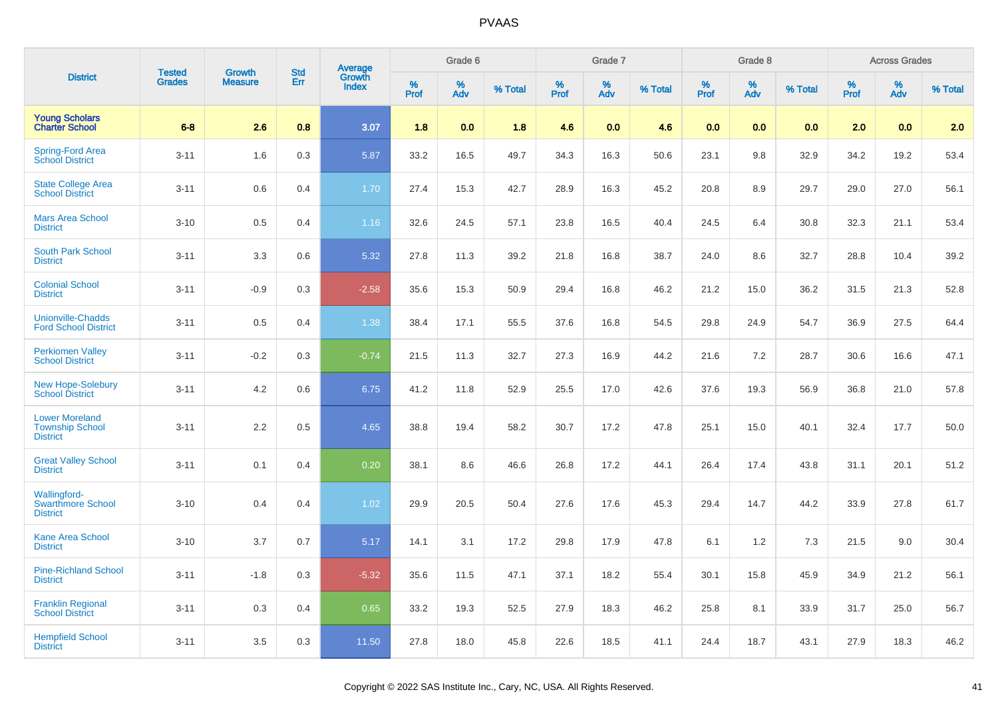| <b>District</b>                                                    | <b>Tested</b> | Growth         | <b>Std</b> |                                   |           | Grade 6  |         |           | Grade 7  |         |           | Grade 8  |         |           | <b>Across Grades</b> |         |
|--------------------------------------------------------------------|---------------|----------------|------------|-----------------------------------|-----------|----------|---------|-----------|----------|---------|-----------|----------|---------|-----------|----------------------|---------|
|                                                                    | <b>Grades</b> | <b>Measure</b> | Err        | Average<br>Growth<br><b>Index</b> | %<br>Prof | %<br>Adv | % Total | %<br>Prof | %<br>Adv | % Total | %<br>Prof | %<br>Adv | % Total | %<br>Prof | %<br>Adv             | % Total |
| <b>Young Scholars</b><br><b>Charter School</b>                     | $6-8$         | 2.6            | 0.8        | 3.07                              | 1.8       | 0.0      | 1.8     | 4.6       | 0.0      | 4.6     | 0.0       | 0.0      | 0.0     | 2.0       | 0.0                  | 2.0     |
| <b>Spring-Ford Area</b><br>School District                         | $3 - 11$      | 1.6            | 0.3        | 5.87                              | 33.2      | 16.5     | 49.7    | 34.3      | 16.3     | 50.6    | 23.1      | 9.8      | 32.9    | 34.2      | 19.2                 | 53.4    |
| <b>State College Area</b><br><b>School District</b>                | $3 - 11$      | 0.6            | 0.4        | 1.70                              | 27.4      | 15.3     | 42.7    | 28.9      | 16.3     | 45.2    | 20.8      | 8.9      | 29.7    | 29.0      | 27.0                 | 56.1    |
| <b>Mars Area School</b><br><b>District</b>                         | $3 - 10$      | 0.5            | 0.4        | 1.16                              | 32.6      | 24.5     | 57.1    | 23.8      | 16.5     | 40.4    | 24.5      | 6.4      | 30.8    | 32.3      | 21.1                 | 53.4    |
| <b>South Park School</b><br><b>District</b>                        | $3 - 11$      | 3.3            | 0.6        | 5.32                              | 27.8      | 11.3     | 39.2    | 21.8      | 16.8     | 38.7    | 24.0      | 8.6      | 32.7    | 28.8      | 10.4                 | 39.2    |
| <b>Colonial School</b><br><b>District</b>                          | $3 - 11$      | $-0.9$         | 0.3        | $-2.58$                           | 35.6      | 15.3     | 50.9    | 29.4      | 16.8     | 46.2    | 21.2      | 15.0     | 36.2    | 31.5      | 21.3                 | 52.8    |
| <b>Unionville-Chadds</b><br><b>Ford School District</b>            | $3 - 11$      | 0.5            | 0.4        | 1.38                              | 38.4      | 17.1     | 55.5    | 37.6      | 16.8     | 54.5    | 29.8      | 24.9     | 54.7    | 36.9      | 27.5                 | 64.4    |
| <b>Perkiomen Valley</b><br><b>School District</b>                  | $3 - 11$      | $-0.2$         | 0.3        | $-0.74$                           | 21.5      | 11.3     | 32.7    | 27.3      | 16.9     | 44.2    | 21.6      | 7.2      | 28.7    | 30.6      | 16.6                 | 47.1    |
| <b>New Hope-Solebury</b><br><b>School District</b>                 | $3 - 11$      | 4.2            | 0.6        | 6.75                              | 41.2      | 11.8     | 52.9    | 25.5      | 17.0     | 42.6    | 37.6      | 19.3     | 56.9    | 36.8      | 21.0                 | 57.8    |
| <b>Lower Moreland</b><br><b>Township School</b><br><b>District</b> | $3 - 11$      | 2.2            | 0.5        | 4.65                              | 38.8      | 19.4     | 58.2    | 30.7      | 17.2     | 47.8    | 25.1      | 15.0     | 40.1    | 32.4      | 17.7                 | 50.0    |
| <b>Great Valley School</b><br><b>District</b>                      | $3 - 11$      | 0.1            | 0.4        | 0.20                              | 38.1      | 8.6      | 46.6    | 26.8      | 17.2     | 44.1    | 26.4      | 17.4     | 43.8    | 31.1      | 20.1                 | 51.2    |
| <b>Wallingford-</b><br><b>Swarthmore School</b><br><b>District</b> | $3 - 10$      | 0.4            | 0.4        | 1.02                              | 29.9      | 20.5     | 50.4    | 27.6      | 17.6     | 45.3    | 29.4      | 14.7     | 44.2    | 33.9      | 27.8                 | 61.7    |
| <b>Kane Area School</b><br><b>District</b>                         | $3 - 10$      | 3.7            | 0.7        | 5.17                              | 14.1      | 3.1      | 17.2    | 29.8      | 17.9     | 47.8    | 6.1       | 1.2      | 7.3     | 21.5      | 9.0                  | 30.4    |
| <b>Pine-Richland School</b><br><b>District</b>                     | $3 - 11$      | $-1.8$         | 0.3        | $-5.32$                           | 35.6      | 11.5     | 47.1    | 37.1      | 18.2     | 55.4    | 30.1      | 15.8     | 45.9    | 34.9      | 21.2                 | 56.1    |
| <b>Franklin Regional</b><br><b>School District</b>                 | $3 - 11$      | 0.3            | 0.4        | 0.65                              | 33.2      | 19.3     | 52.5    | 27.9      | 18.3     | 46.2    | 25.8      | 8.1      | 33.9    | 31.7      | 25.0                 | 56.7    |
| <b>Hempfield School</b><br><b>District</b>                         | $3 - 11$      | 3.5            | 0.3        | 11.50                             | 27.8      | 18.0     | 45.8    | 22.6      | 18.5     | 41.1    | 24.4      | 18.7     | 43.1    | 27.9      | 18.3                 | 46.2    |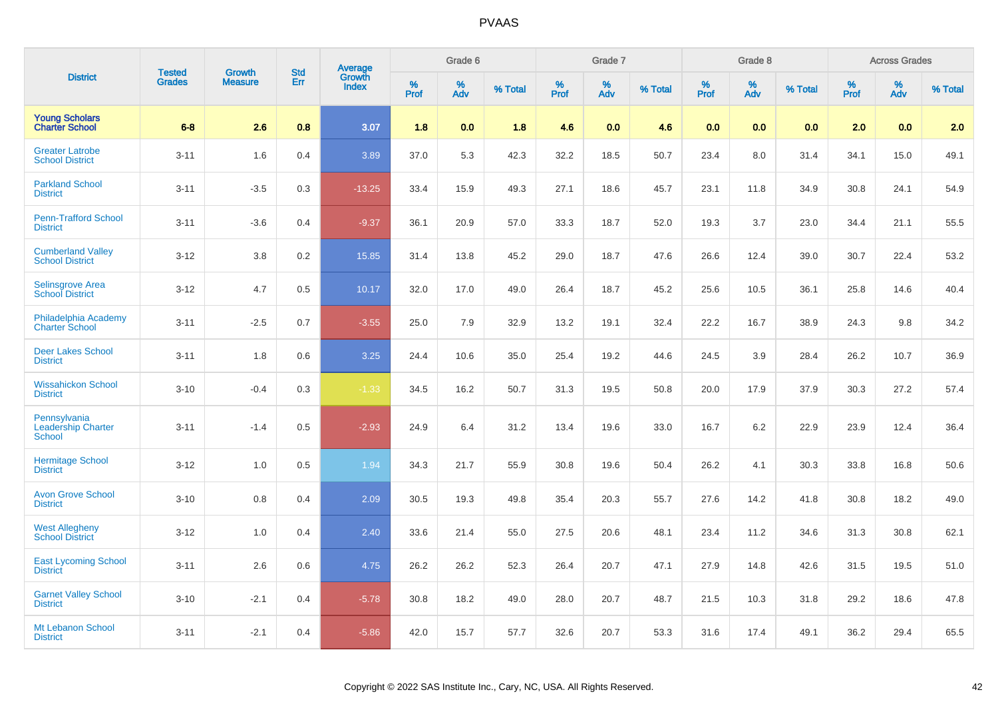| <b>District</b>                                     | <b>Tested</b> | <b>Growth</b>  | <b>Std</b> |                                          |           | Grade 6  |         |                     | Grade 7  |         |              | Grade 8  |         |           | <b>Across Grades</b> |         |
|-----------------------------------------------------|---------------|----------------|------------|------------------------------------------|-----------|----------|---------|---------------------|----------|---------|--------------|----------|---------|-----------|----------------------|---------|
|                                                     | <b>Grades</b> | <b>Measure</b> | Err        | <b>Average</b><br>Growth<br><b>Index</b> | %<br>Prof | %<br>Adv | % Total | $\%$<br><b>Prof</b> | %<br>Adv | % Total | $\%$<br>Prof | %<br>Adv | % Total | %<br>Prof | %<br>Adv             | % Total |
| <b>Young Scholars</b><br><b>Charter School</b>      | $6-8$         | 2.6            | 0.8        | 3.07                                     | 1.8       | 0.0      | 1.8     | 4.6                 | 0.0      | 4.6     | 0.0          | 0.0      | 0.0     | 2.0       | 0.0                  | 2.0     |
| <b>Greater Latrobe</b><br><b>School District</b>    | $3 - 11$      | 1.6            | 0.4        | 3.89                                     | 37.0      | 5.3      | 42.3    | 32.2                | 18.5     | 50.7    | 23.4         | 8.0      | 31.4    | 34.1      | 15.0                 | 49.1    |
| <b>Parkland School</b><br><b>District</b>           | $3 - 11$      | $-3.5$         | 0.3        | $-13.25$                                 | 33.4      | 15.9     | 49.3    | 27.1                | 18.6     | 45.7    | 23.1         | 11.8     | 34.9    | 30.8      | 24.1                 | 54.9    |
| <b>Penn-Trafford School</b><br><b>District</b>      | $3 - 11$      | $-3.6$         | 0.4        | $-9.37$                                  | 36.1      | 20.9     | 57.0    | 33.3                | 18.7     | 52.0    | 19.3         | 3.7      | 23.0    | 34.4      | 21.1                 | 55.5    |
| <b>Cumberland Valley</b><br><b>School District</b>  | $3 - 12$      | 3.8            | 0.2        | 15.85                                    | 31.4      | 13.8     | 45.2    | 29.0                | 18.7     | 47.6    | 26.6         | 12.4     | 39.0    | 30.7      | 22.4                 | 53.2    |
| Selinsgrove Area<br>School District                 | $3 - 12$      | 4.7            | 0.5        | 10.17                                    | 32.0      | 17.0     | 49.0    | 26.4                | 18.7     | 45.2    | 25.6         | 10.5     | 36.1    | 25.8      | 14.6                 | 40.4    |
| Philadelphia Academy<br><b>Charter School</b>       | $3 - 11$      | $-2.5$         | 0.7        | $-3.55$                                  | 25.0      | 7.9      | 32.9    | 13.2                | 19.1     | 32.4    | 22.2         | 16.7     | 38.9    | 24.3      | 9.8                  | 34.2    |
| <b>Deer Lakes School</b><br><b>District</b>         | $3 - 11$      | 1.8            | 0.6        | 3.25                                     | 24.4      | 10.6     | 35.0    | 25.4                | 19.2     | 44.6    | 24.5         | 3.9      | 28.4    | 26.2      | 10.7                 | 36.9    |
| <b>Wissahickon School</b><br><b>District</b>        | $3 - 10$      | $-0.4$         | 0.3        | $-1.33$                                  | 34.5      | 16.2     | 50.7    | 31.3                | 19.5     | 50.8    | 20.0         | 17.9     | 37.9    | 30.3      | 27.2                 | 57.4    |
| Pennsylvania<br><b>Leadership Charter</b><br>School | $3 - 11$      | $-1.4$         | 0.5        | $-2.93$                                  | 24.9      | 6.4      | 31.2    | 13.4                | 19.6     | 33.0    | 16.7         | 6.2      | 22.9    | 23.9      | 12.4                 | 36.4    |
| <b>Hermitage School</b><br><b>District</b>          | $3 - 12$      | 1.0            | 0.5        | 1.94                                     | 34.3      | 21.7     | 55.9    | 30.8                | 19.6     | 50.4    | 26.2         | 4.1      | 30.3    | 33.8      | 16.8                 | 50.6    |
| <b>Avon Grove School</b><br><b>District</b>         | $3 - 10$      | 0.8            | 0.4        | 2.09                                     | 30.5      | 19.3     | 49.8    | 35.4                | 20.3     | 55.7    | 27.6         | 14.2     | 41.8    | 30.8      | 18.2                 | 49.0    |
| <b>West Allegheny</b><br><b>School District</b>     | $3 - 12$      | 1.0            | 0.4        | 2.40                                     | 33.6      | 21.4     | 55.0    | 27.5                | 20.6     | 48.1    | 23.4         | 11.2     | 34.6    | 31.3      | 30.8                 | 62.1    |
| <b>East Lycoming School</b><br><b>District</b>      | $3 - 11$      | 2.6            | 0.6        | 4.75                                     | 26.2      | 26.2     | 52.3    | 26.4                | 20.7     | 47.1    | 27.9         | 14.8     | 42.6    | 31.5      | 19.5                 | 51.0    |
| <b>Garnet Valley School</b><br><b>District</b>      | $3 - 10$      | $-2.1$         | 0.4        | $-5.78$                                  | 30.8      | 18.2     | 49.0    | 28.0                | 20.7     | 48.7    | 21.5         | 10.3     | 31.8    | 29.2      | 18.6                 | 47.8    |
| Mt Lebanon School<br><b>District</b>                | $3 - 11$      | $-2.1$         | 0.4        | $-5.86$                                  | 42.0      | 15.7     | 57.7    | 32.6                | 20.7     | 53.3    | 31.6         | 17.4     | 49.1    | 36.2      | 29.4                 | 65.5    |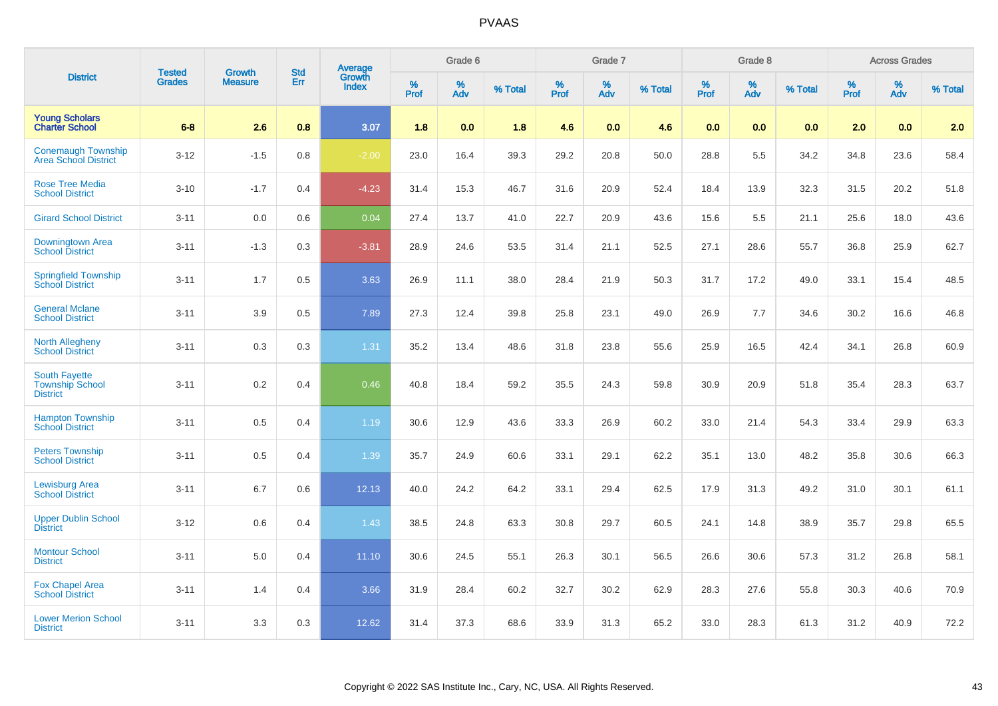| <b>District</b>                                                   | <b>Tested</b> | <b>Growth</b>  | <b>Std</b> | <b>Average</b><br>Growth |                     | Grade 6  |         |                  | Grade 7  |         |                     | Grade 8  |         |                     | <b>Across Grades</b> |         |
|-------------------------------------------------------------------|---------------|----------------|------------|--------------------------|---------------------|----------|---------|------------------|----------|---------|---------------------|----------|---------|---------------------|----------------------|---------|
|                                                                   | <b>Grades</b> | <b>Measure</b> | Err        | <b>Index</b>             | $\%$<br><b>Prof</b> | %<br>Adv | % Total | %<br><b>Prof</b> | %<br>Adv | % Total | $\%$<br><b>Prof</b> | %<br>Adv | % Total | $\%$<br><b>Prof</b> | $\%$<br><b>Adv</b>   | % Total |
| <b>Young Scholars</b><br><b>Charter School</b>                    | $6-8$         | 2.6            | 0.8        | 3.07                     | 1.8                 | 0.0      | 1.8     | 4.6              | 0.0      | 4.6     | 0.0                 | 0.0      | 0.0     | 2.0                 | 0.0                  | 2.0     |
| <b>Conemaugh Township</b><br><b>Area School District</b>          | $3 - 12$      | $-1.5$         | 0.8        | $-2.00$                  | 23.0                | 16.4     | 39.3    | 29.2             | 20.8     | 50.0    | 28.8                | 5.5      | 34.2    | 34.8                | 23.6                 | 58.4    |
| <b>Rose Tree Media</b><br><b>School District</b>                  | $3 - 10$      | $-1.7$         | 0.4        | $-4.23$                  | 31.4                | 15.3     | 46.7    | 31.6             | 20.9     | 52.4    | 18.4                | 13.9     | 32.3    | 31.5                | 20.2                 | 51.8    |
| <b>Girard School District</b>                                     | $3 - 11$      | 0.0            | 0.6        | 0.04                     | 27.4                | 13.7     | 41.0    | 22.7             | 20.9     | 43.6    | 15.6                | 5.5      | 21.1    | 25.6                | 18.0                 | 43.6    |
| Downingtown Area<br>School District                               | $3 - 11$      | $-1.3$         | 0.3        | $-3.81$                  | 28.9                | 24.6     | 53.5    | 31.4             | 21.1     | 52.5    | 27.1                | 28.6     | 55.7    | 36.8                | 25.9                 | 62.7    |
| <b>Springfield Township</b><br><b>School District</b>             | $3 - 11$      | 1.7            | 0.5        | 3.63                     | 26.9                | 11.1     | 38.0    | 28.4             | 21.9     | 50.3    | 31.7                | 17.2     | 49.0    | 33.1                | 15.4                 | 48.5    |
| <b>General Mclane</b><br><b>School District</b>                   | $3 - 11$      | 3.9            | 0.5        | 7.89                     | 27.3                | 12.4     | 39.8    | 25.8             | 23.1     | 49.0    | 26.9                | 7.7      | 34.6    | 30.2                | 16.6                 | 46.8    |
| <b>North Allegheny</b><br>School District                         | $3 - 11$      | 0.3            | 0.3        | 1.31                     | 35.2                | 13.4     | 48.6    | 31.8             | 23.8     | 55.6    | 25.9                | 16.5     | 42.4    | 34.1                | 26.8                 | 60.9    |
| <b>South Fayette</b><br><b>Township School</b><br><b>District</b> | $3 - 11$      | $0.2\,$        | 0.4        | 0.46                     | 40.8                | 18.4     | 59.2    | 35.5             | 24.3     | 59.8    | 30.9                | 20.9     | 51.8    | 35.4                | 28.3                 | 63.7    |
| <b>Hampton Township</b><br><b>School District</b>                 | $3 - 11$      | 0.5            | 0.4        | 1.19                     | 30.6                | 12.9     | 43.6    | 33.3             | 26.9     | 60.2    | 33.0                | 21.4     | 54.3    | 33.4                | 29.9                 | 63.3    |
| <b>Peters Township</b><br><b>School District</b>                  | $3 - 11$      | $0.5\,$        | 0.4        | 1.39                     | 35.7                | 24.9     | 60.6    | 33.1             | 29.1     | 62.2    | 35.1                | 13.0     | 48.2    | 35.8                | 30.6                 | 66.3    |
| <b>Lewisburg Area</b><br><b>School District</b>                   | $3 - 11$      | 6.7            | 0.6        | 12.13                    | 40.0                | 24.2     | 64.2    | 33.1             | 29.4     | 62.5    | 17.9                | 31.3     | 49.2    | 31.0                | 30.1                 | 61.1    |
| <b>Upper Dublin School</b><br><b>District</b>                     | $3 - 12$      | 0.6            | 0.4        | 1.43                     | 38.5                | 24.8     | 63.3    | 30.8             | 29.7     | 60.5    | 24.1                | 14.8     | 38.9    | 35.7                | 29.8                 | 65.5    |
| <b>Montour School</b><br><b>District</b>                          | $3 - 11$      | 5.0            | 0.4        | 11.10                    | 30.6                | 24.5     | 55.1    | 26.3             | 30.1     | 56.5    | 26.6                | 30.6     | 57.3    | 31.2                | 26.8                 | 58.1    |
| <b>Fox Chapel Area</b><br><b>School District</b>                  | $3 - 11$      | 1.4            | 0.4        | 3.66                     | 31.9                | 28.4     | 60.2    | 32.7             | 30.2     | 62.9    | 28.3                | 27.6     | 55.8    | 30.3                | 40.6                 | 70.9    |
| <b>Lower Merion School</b><br><b>District</b>                     | $3 - 11$      | 3.3            | 0.3        | 12.62                    | 31.4                | 37.3     | 68.6    | 33.9             | 31.3     | 65.2    | 33.0                | 28.3     | 61.3    | 31.2                | 40.9                 | 72.2    |